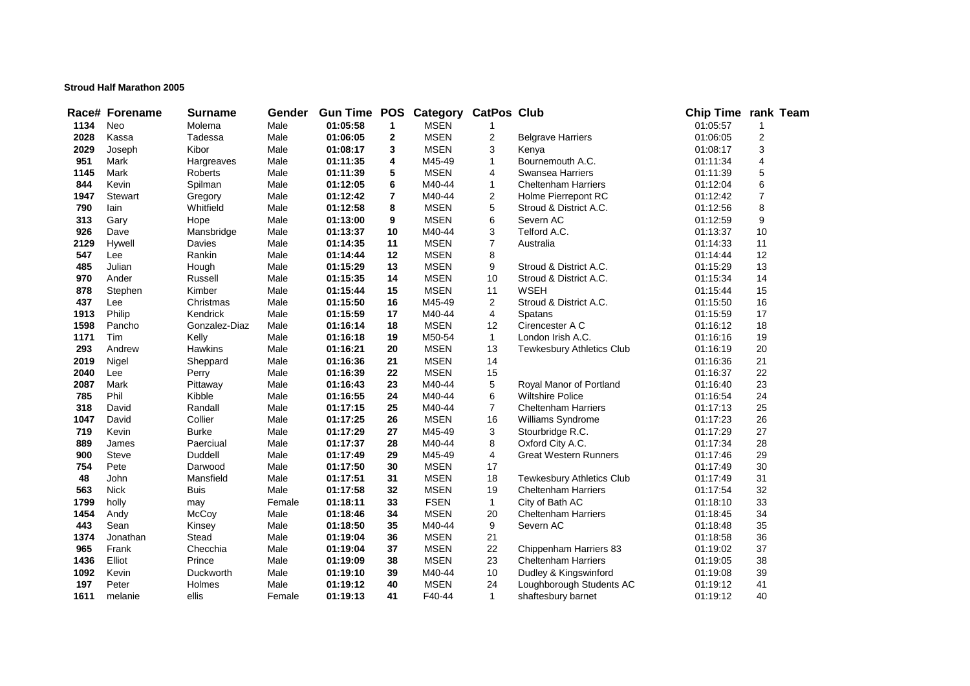## **Stroud Half Marathon 2005**

|      | Race# Forename | <b>Surname</b> | Gender | <b>Gun Time POS</b> |                         | Category    | <b>CatPos Club</b> |                                  | Chip Time rank Team |                |  |
|------|----------------|----------------|--------|---------------------|-------------------------|-------------|--------------------|----------------------------------|---------------------|----------------|--|
| 1134 | Neo            | Molema         | Male   | 01:05:58            | $\mathbf{1}$            | <b>MSEN</b> | 1                  |                                  | 01:05:57            | $\mathbf{1}$   |  |
| 2028 | Kassa          | Tadessa        | Male   | 01:06:05            | $\mathbf{2}$            | <b>MSEN</b> | 2                  | <b>Belgrave Harriers</b>         | 01:06:05            | 2              |  |
| 2029 | Joseph         | Kibor          | Male   | 01:08:17            | 3                       | <b>MSEN</b> | 3                  | Kenya                            | 01:08:17            | 3              |  |
| 951  | Mark           | Hargreaves     | Male   | 01:11:35            | 4                       | M45-49      | $\mathbf{1}$       | Bournemouth A.C.                 | 01:11:34            | 4              |  |
| 1145 | Mark           | <b>Roberts</b> | Male   | 01:11:39            | 5                       | <b>MSEN</b> | 4                  | <b>Swansea Harriers</b>          | 01:11:39            | 5              |  |
| 844  | Kevin          | Spilman        | Male   | 01:12:05            | 6                       | M40-44      | $\mathbf{1}$       | <b>Cheltenham Harriers</b>       | 01:12:04            | 6              |  |
| 1947 | <b>Stewart</b> | Gregory        | Male   | 01:12:42            | $\overline{\mathbf{r}}$ | M40-44      | 2                  | Holme Pierrepont RC              | 01:12:42            | $\overline{7}$ |  |
| 790  | lain           | Whitfield      | Male   | 01:12:58            | 8                       | <b>MSEN</b> | 5                  | Stroud & District A.C.           | 01:12:56            | 8              |  |
| 313  | Gary           | Hope           | Male   | 01:13:00            | 9                       | <b>MSEN</b> | 6                  | Severn AC                        | 01:12:59            | 9              |  |
| 926  | Dave           | Mansbridge     | Male   | 01:13:37            | 10                      | M40-44      | 3                  | Telford A.C.                     | 01:13:37            | 10             |  |
| 2129 | Hywell         | Davies         | Male   | 01:14:35            | 11                      | <b>MSEN</b> | 7                  | Australia                        | 01:14:33            | 11             |  |
| 547  | Lee            | Rankin         | Male   | 01:14:44            | 12                      | <b>MSEN</b> | 8                  |                                  | 01:14:44            | 12             |  |
| 485  | Julian         | Hough          | Male   | 01:15:29            | 13                      | <b>MSEN</b> | 9                  | Stroud & District A.C.           | 01:15:29            | 13             |  |
| 970  | Ander          | Russell        | Male   | 01:15:35            | 14                      | <b>MSEN</b> | 10                 | Stroud & District A.C.           | 01:15:34            | 14             |  |
| 878  | Stephen        | Kimber         | Male   | 01:15:44            | 15                      | <b>MSEN</b> | 11                 | <b>WSEH</b>                      | 01:15:44            | 15             |  |
| 437  | Lee            | Christmas      | Male   | 01:15:50            | 16                      | M45-49      | $\mathbf{2}$       | Stroud & District A.C.           | 01:15:50            | 16             |  |
| 1913 | Philip         | Kendrick       | Male   | 01:15:59            | 17                      | M40-44      | 4                  | Spatans                          | 01:15:59            | 17             |  |
| 1598 | Pancho         | Gonzalez-Diaz  | Male   | 01:16:14            | 18                      | <b>MSEN</b> | 12                 | Cirencester A C                  | 01:16:12            | 18             |  |
| 1171 | Tim            | Kelly          | Male   | 01:16:18            | 19                      | M50-54      | $\mathbf{1}$       | London Irish A.C.                | 01:16:16            | 19             |  |
| 293  | Andrew         | Hawkins        | Male   | 01:16:21            | 20                      | <b>MSEN</b> | 13                 | <b>Tewkesbury Athletics Club</b> | 01:16:19            | 20             |  |
| 2019 | Nigel          | Sheppard       | Male   | 01:16:36            | 21                      | <b>MSEN</b> | 14                 |                                  | 01:16:36            | 21             |  |
| 2040 | Lee            | Perry          | Male   | 01:16:39            | 22                      | <b>MSEN</b> | 15                 |                                  | 01:16:37            | 22             |  |
| 2087 | Mark           | Pittaway       | Male   | 01:16:43            | 23                      | M40-44      | 5                  | Royal Manor of Portland          | 01:16:40            | 23             |  |
| 785  | Phil           | Kibble         | Male   | 01:16:55            | 24                      | M40-44      | 6                  | <b>Wiltshire Police</b>          | 01:16:54            | 24             |  |
| 318  | David          | Randall        | Male   | 01:17:15            | 25                      | M40-44      | $\overline{7}$     | <b>Cheltenham Harriers</b>       | 01:17:13            | 25             |  |
| 1047 | David          | Collier        | Male   | 01:17:25            | 26                      | <b>MSEN</b> | 16                 | Williams Syndrome                | 01:17:23            | 26             |  |
| 719  | Kevin          | <b>Burke</b>   | Male   | 01:17:29            | 27                      | M45-49      | 3                  | Stourbridge R.C.                 | 01:17:29            | 27             |  |
| 889  | James          | Paerciual      | Male   | 01:17:37            | 28                      | M40-44      | 8                  | Oxford City A.C.                 | 01:17:34            | 28             |  |
| 900  | Steve          | Duddell        | Male   | 01:17:49            | 29                      | M45-49      | 4                  | <b>Great Western Runners</b>     | 01:17:46            | 29             |  |
| 754  | Pete           | Darwood        | Male   | 01:17:50            | 30                      | <b>MSEN</b> | 17                 |                                  | 01:17:49            | 30             |  |
| 48   | John           | Mansfield      | Male   | 01:17:51            | 31                      | <b>MSEN</b> | 18                 | <b>Tewkesbury Athletics Club</b> | 01:17:49            | 31             |  |
| 563  | <b>Nick</b>    | <b>Buis</b>    | Male   | 01:17:58            | 32                      | <b>MSEN</b> | 19                 | <b>Cheltenham Harriers</b>       | 01:17:54            | 32             |  |
| 1799 | holly          | may            | Female | 01:18:11            | 33                      | <b>FSEN</b> | $\mathbf{1}$       | City of Bath AC                  | 01:18:10            | 33             |  |
| 1454 | Andy           | McCoy          | Male   | 01:18:46            | 34                      | <b>MSEN</b> | 20                 | <b>Cheltenham Harriers</b>       | 01:18:45            | 34             |  |
| 443  | Sean           | Kinsey         | Male   | 01:18:50            | 35                      | M40-44      | 9                  | Severn AC                        | 01:18:48            | 35             |  |
| 1374 | Jonathan       | Stead          | Male   | 01:19:04            | 36                      | <b>MSEN</b> | 21                 |                                  | 01:18:58            | 36             |  |
| 965  | Frank          | Checchia       | Male   | 01:19:04            | 37                      | <b>MSEN</b> | 22                 | Chippenham Harriers 83           | 01:19:02            | 37             |  |
| 1436 | Elliot         | Prince         | Male   | 01:19:09            | 38                      | <b>MSEN</b> | 23                 | <b>Cheltenham Harriers</b>       | 01:19:05            | 38             |  |
| 1092 | Kevin          | Duckworth      | Male   | 01:19:10            | 39                      | M40-44      | 10                 | Dudley & Kingswinford            | 01:19:08            | 39             |  |
| 197  | Peter          | Holmes         | Male   | 01:19:12            | 40                      | <b>MSEN</b> | 24                 | Loughborough Students AC         | 01:19:12            | 41             |  |
| 1611 | melanie        | ellis          | Female | 01:19:13            | 41                      | F40-44      | $\mathbf{1}$       | shaftesbury barnet               | 01:19:12            | 40             |  |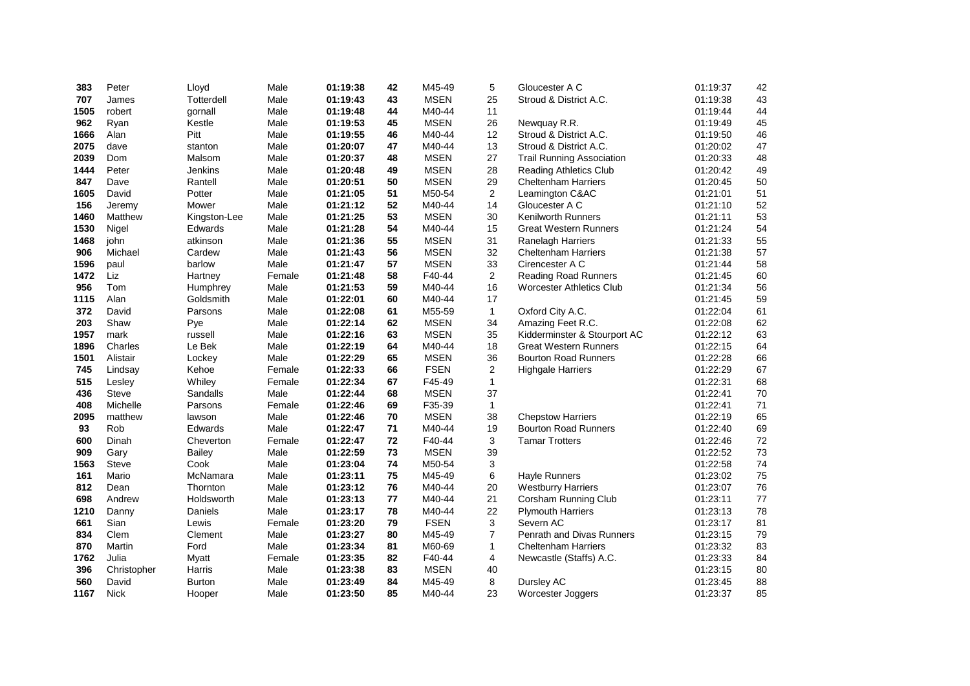| 383  | Peter       | Lloyd          | Male   | 01:19:38 | 42 | M45-49      | 5              | Gloucester A C                   | 01:19:37 | 42     |
|------|-------------|----------------|--------|----------|----|-------------|----------------|----------------------------------|----------|--------|
| 707  | James       | Totterdell     | Male   | 01:19:43 | 43 | <b>MSEN</b> | 25             | Stroud & District A.C.           | 01:19:38 | 43     |
| 1505 | robert      | gornall        | Male   | 01:19:48 | 44 | M40-44      | 11             |                                  | 01:19:44 | 44     |
| 962  | Ryan        | Kestle         | Male   | 01:19:53 | 45 | <b>MSEN</b> | 26             | Newquay R.R.                     | 01:19:49 | 45     |
| 1666 | Alan        | Pitt           | Male   | 01:19:55 | 46 | M40-44      | 12             | Stroud & District A.C.           | 01:19:50 | 46     |
| 2075 | dave        | stanton        | Male   | 01:20:07 | 47 | M40-44      | 13             | Stroud & District A.C.           | 01:20:02 | 47     |
| 2039 | Dom         | Malsom         | Male   | 01:20:37 | 48 | <b>MSEN</b> | 27             | <b>Trail Running Association</b> | 01:20:33 | 48     |
| 1444 | Peter       | <b>Jenkins</b> | Male   | 01:20:48 | 49 | <b>MSEN</b> | 28             | <b>Reading Athletics Club</b>    | 01:20:42 | 49     |
| 847  | Dave        | Rantell        | Male   | 01:20:51 | 50 | <b>MSEN</b> | 29             | <b>Cheltenham Harriers</b>       | 01:20:45 | 50     |
| 1605 | David       | Potter         | Male   | 01:21:05 | 51 | M50-54      | $\overline{2}$ | Leamington C&AC                  | 01:21:01 | 51     |
| 156  | Jeremy      | Mower          | Male   | 01:21:12 | 52 | M40-44      | 14             | Gloucester A C                   | 01:21:10 | 52     |
| 1460 | Matthew     | Kingston-Lee   | Male   | 01:21:25 | 53 | <b>MSEN</b> | 30             | <b>Kenilworth Runners</b>        | 01:21:11 | 53     |
| 1530 | Nigel       | Edwards        | Male   | 01:21:28 | 54 | M40-44      | 15             | <b>Great Western Runners</b>     | 01:21:24 | 54     |
| 1468 | john        | atkinson       | Male   | 01:21:36 | 55 | <b>MSEN</b> | 31             | Ranelagh Harriers                | 01:21:33 | 55     |
| 906  | Michael     | Cardew         | Male   | 01:21:43 | 56 | <b>MSEN</b> | 32             | <b>Cheltenham Harriers</b>       | 01:21:38 | 57     |
| 1596 | paul        | barlow         | Male   | 01:21:47 | 57 | <b>MSEN</b> | 33             | Cirencester A C                  | 01:21:44 | 58     |
| 1472 | Liz         | Hartney        | Female | 01:21:48 | 58 | F40-44      | $\overline{2}$ | <b>Reading Road Runners</b>      | 01:21:45 | 60     |
| 956  | Tom         | Humphrey       | Male   | 01:21:53 | 59 | M40-44      | 16             | <b>Worcester Athletics Club</b>  | 01:21:34 | 56     |
| 1115 | Alan        | Goldsmith      | Male   | 01:22:01 | 60 | M40-44      | 17             |                                  | 01:21:45 | 59     |
| 372  | David       | Parsons        | Male   | 01:22:08 | 61 | M55-59      | $\mathbf{1}$   | Oxford City A.C.                 | 01:22:04 | 61     |
| 203  | Shaw        | Pye            | Male   | 01:22:14 | 62 | <b>MSEN</b> | 34             | Amazing Feet R.C.                | 01:22:08 | 62     |
| 1957 | mark        | russell        | Male   | 01:22:16 | 63 | <b>MSEN</b> | 35             | Kidderminster & Stourport AC     | 01:22:12 | 63     |
| 1896 | Charles     | Le Bek         | Male   | 01:22:19 | 64 | M40-44      | 18             | <b>Great Western Runners</b>     | 01:22:15 | 64     |
| 1501 | Alistair    | Lockey         | Male   | 01:22:29 | 65 | <b>MSEN</b> | 36             | <b>Bourton Road Runners</b>      | 01:22:28 | 66     |
| 745  | Lindsay     | Kehoe          | Female | 01:22:33 | 66 | <b>FSEN</b> | $\overline{2}$ | <b>Highgale Harriers</b>         | 01:22:29 | 67     |
| 515  | Lesley      | Whiley         | Female | 01:22:34 | 67 | F45-49      | $\mathbf{1}$   |                                  | 01:22:31 | 68     |
| 436  | Steve       | Sandalls       | Male   | 01:22:44 | 68 | <b>MSEN</b> | 37             |                                  | 01:22:41 | $70\,$ |
| 408  | Michelle    | Parsons        | Female | 01:22:46 | 69 | F35-39      | $\mathbf{1}$   |                                  | 01:22:41 | $71$   |
| 2095 | matthew     | lawson         | Male   | 01:22:46 | 70 | <b>MSEN</b> | 38             | <b>Chepstow Harriers</b>         | 01:22:19 | 65     |
| 93   | Rob         | Edwards        | Male   | 01:22:47 | 71 | M40-44      | 19             | <b>Bourton Road Runners</b>      | 01:22:40 | 69     |
| 600  | Dinah       | Cheverton      | Female | 01:22:47 | 72 | F40-44      | 3              | <b>Tamar Trotters</b>            | 01:22:46 | 72     |
| 909  | Gary        | <b>Bailey</b>  | Male   | 01:22:59 | 73 | <b>MSEN</b> | 39             |                                  | 01:22:52 | 73     |
| 1563 | Steve       | Cook           | Male   | 01:23:04 | 74 | M50-54      | 3              |                                  | 01:22:58 | 74     |
| 161  | Mario       | McNamara       | Male   | 01:23:11 | 75 | M45-49      | 6              | <b>Hayle Runners</b>             | 01:23:02 | 75     |
| 812  | Dean        | Thornton       | Male   | 01:23:12 | 76 | M40-44      | 20             | <b>Westburry Harriers</b>        | 01:23:07 | 76     |
| 698  | Andrew      | Holdsworth     | Male   | 01:23:13 | 77 | M40-44      | 21             | Corsham Running Club             | 01:23:11 | 77     |
| 1210 | Danny       | Daniels        | Male   | 01:23:17 | 78 | M40-44      | 22             | <b>Plymouth Harriers</b>         | 01:23:13 | 78     |
| 661  | Sian        | Lewis          | Female | 01:23:20 | 79 | <b>FSEN</b> | 3              | Severn AC                        | 01:23:17 | 81     |
| 834  | Clem        | Clement        | Male   | 01:23:27 | 80 | M45-49      | $\overline{7}$ | Penrath and Divas Runners        | 01:23:15 | 79     |
| 870  | Martin      | Ford           | Male   | 01:23:34 | 81 | M60-69      | $\mathbf{1}$   | <b>Cheltenham Harriers</b>       | 01:23:32 | 83     |
| 1762 | Julia       | Myatt          | Female | 01:23:35 | 82 | F40-44      | 4              | Newcastle (Staffs) A.C.          | 01:23:33 | 84     |
| 396  | Christopher | Harris         | Male   | 01:23:38 | 83 | <b>MSEN</b> | 40             |                                  | 01:23:15 | 80     |
| 560  | David       | <b>Burton</b>  | Male   | 01:23:49 | 84 | M45-49      | 8              | Dursley AC                       | 01:23:45 | 88     |
| 1167 | <b>Nick</b> | Hooper         | Male   | 01:23:50 | 85 | M40-44      | 23             | Worcester Joggers                | 01:23:37 | 85     |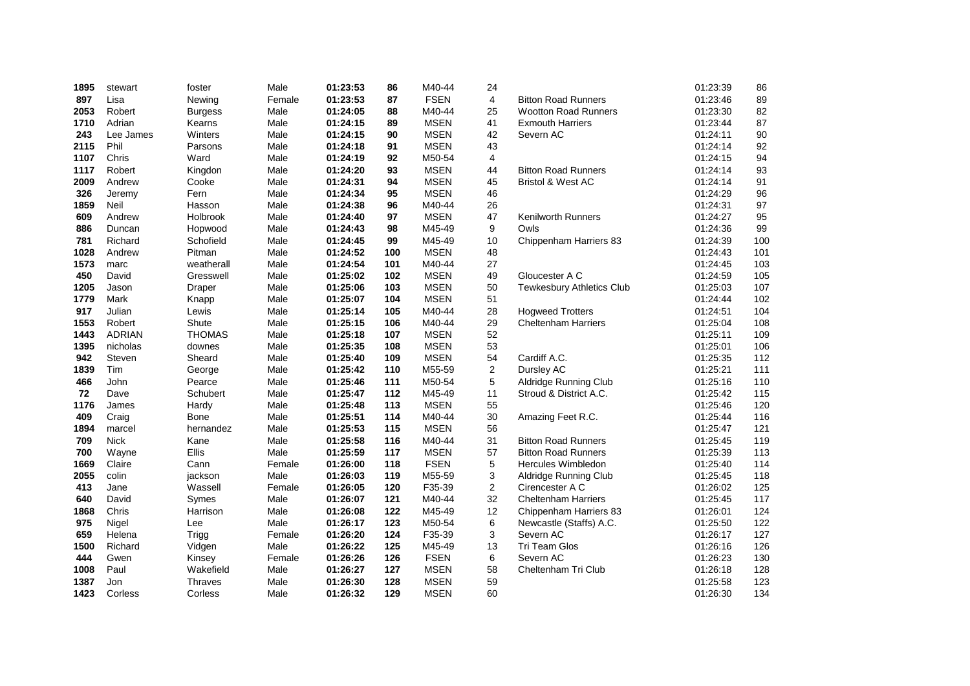| 1895 | stewart       | foster         | Male   | 01:23:53 | 86  | M40-44      | 24             |                                  | 01:23:39 | 86  |
|------|---------------|----------------|--------|----------|-----|-------------|----------------|----------------------------------|----------|-----|
| 897  | Lisa          | Newing         | Female | 01:23:53 | 87  | <b>FSEN</b> | 4              | <b>Bitton Road Runners</b>       | 01:23:46 | 89  |
| 2053 | Robert        | <b>Burgess</b> | Male   | 01:24:05 | 88  | M40-44      | 25             | <b>Wootton Road Runners</b>      | 01:23:30 | 82  |
| 1710 | Adrian        | Kearns         | Male   | 01:24:15 | 89  | <b>MSEN</b> | 41             | <b>Exmouth Harriers</b>          | 01:23:44 | 87  |
| 243  | Lee James     | Winters        | Male   | 01:24:15 | 90  | <b>MSEN</b> | 42             | Severn AC                        | 01:24:11 | 90  |
| 2115 | Phil          | Parsons        | Male   | 01:24:18 | 91  | <b>MSEN</b> | 43             |                                  | 01:24:14 | 92  |
| 1107 | Chris         | Ward           | Male   | 01:24:19 | 92  | M50-54      | $\overline{4}$ |                                  | 01:24:15 | 94  |
| 1117 | Robert        | Kingdon        | Male   | 01:24:20 | 93  | <b>MSEN</b> | 44             | <b>Bitton Road Runners</b>       | 01:24:14 | 93  |
| 2009 | Andrew        | Cooke          | Male   | 01:24:31 | 94  | <b>MSEN</b> | 45             | <b>Bristol &amp; West AC</b>     | 01:24:14 | 91  |
| 326  | Jeremy        | Fern           | Male   | 01:24:34 | 95  | <b>MSEN</b> | 46             |                                  | 01:24:29 | 96  |
| 1859 | Neil          | Hasson         | Male   | 01:24:38 | 96  | M40-44      | 26             |                                  | 01:24:31 | 97  |
| 609  | Andrew        | Holbrook       | Male   | 01:24:40 | 97  | <b>MSEN</b> | 47             | <b>Kenilworth Runners</b>        | 01:24:27 | 95  |
| 886  | Duncan        | Hopwood        | Male   | 01:24:43 | 98  | M45-49      | 9              | Owls                             | 01:24:36 | 99  |
| 781  | Richard       | Schofield      | Male   | 01:24:45 | 99  | M45-49      | $10$           | Chippenham Harriers 83           | 01:24:39 | 100 |
| 1028 | Andrew        | Pitman         | Male   | 01:24:52 | 100 | <b>MSEN</b> | 48             |                                  | 01:24:43 | 101 |
| 1573 | marc          | weatherall     | Male   | 01:24:54 | 101 | M40-44      | 27             |                                  | 01:24:45 | 103 |
| 450  | David         | Gresswell      | Male   | 01:25:02 | 102 | <b>MSEN</b> | 49             | Gloucester A C                   | 01:24:59 | 105 |
| 1205 | Jason         | Draper         | Male   | 01:25:06 | 103 | <b>MSEN</b> | 50             | <b>Tewkesbury Athletics Club</b> | 01:25:03 | 107 |
| 1779 | Mark          | Knapp          | Male   | 01:25:07 | 104 | <b>MSEN</b> | 51             |                                  | 01:24:44 | 102 |
| 917  | Julian        | Lewis          | Male   | 01:25:14 | 105 | M40-44      | 28             | <b>Hogweed Trotters</b>          | 01:24:51 | 104 |
| 1553 | Robert        | Shute          | Male   | 01:25:15 | 106 | M40-44      | 29             | <b>Cheltenham Harriers</b>       | 01:25:04 | 108 |
| 1443 | <b>ADRIAN</b> | <b>THOMAS</b>  | Male   | 01:25:18 | 107 | <b>MSEN</b> | 52             |                                  | 01:25:11 | 109 |
| 1395 | nicholas      | downes         | Male   | 01:25:35 | 108 | <b>MSEN</b> | 53             |                                  | 01:25:01 | 106 |
| 942  | Steven        | Sheard         | Male   | 01:25:40 | 109 | <b>MSEN</b> | 54             | Cardiff A.C.                     | 01:25:35 | 112 |
| 1839 | Tim           | George         | Male   | 01:25:42 | 110 | M55-59      | $\overline{c}$ | Dursley AC                       | 01:25:21 | 111 |
| 466  | John          | Pearce         | Male   | 01:25:46 | 111 | M50-54      | 5              | Aldridge Running Club            | 01:25:16 | 110 |
| 72   | Dave          | Schubert       | Male   | 01:25:47 | 112 | M45-49      | 11             | Stroud & District A.C.           | 01:25:42 | 115 |
| 1176 | James         | Hardy          | Male   | 01:25:48 | 113 | <b>MSEN</b> | 55             |                                  | 01:25:46 | 120 |
| 409  | Craig         | Bone           | Male   | 01:25:51 | 114 | M40-44      | 30             | Amazing Feet R.C.                | 01:25:44 | 116 |
| 1894 | marcel        | hernandez      | Male   | 01:25:53 | 115 | <b>MSEN</b> | 56             |                                  | 01:25:47 | 121 |
| 709  | <b>Nick</b>   | Kane           | Male   | 01:25:58 | 116 | M40-44      | 31             | <b>Bitton Road Runners</b>       | 01:25:45 | 119 |
| 700  | Wayne         | Ellis          | Male   | 01:25:59 | 117 | <b>MSEN</b> | 57             | <b>Bitton Road Runners</b>       | 01:25:39 | 113 |
| 1669 | Claire        | Cann           | Female | 01:26:00 | 118 | <b>FSEN</b> | 5              | Hercules Wimbledon               | 01:25:40 | 114 |
| 2055 | colin         | jackson        | Male   | 01:26:03 | 119 | M55-59      | 3              | Aldridge Running Club            | 01:25:45 | 118 |
| 413  | Jane          | Wassell        | Female | 01:26:05 | 120 | F35-39      | $\overline{a}$ | Cirencester A C                  | 01:26:02 | 125 |
| 640  | David         | Symes          | Male   | 01:26:07 | 121 | M40-44      | 32             | <b>Cheltenham Harriers</b>       | 01:25:45 | 117 |
| 1868 | Chris         | Harrison       | Male   | 01:26:08 | 122 | M45-49      | 12             | Chippenham Harriers 83           | 01:26:01 | 124 |
| 975  | Nigel         | Lee            | Male   | 01:26:17 | 123 | M50-54      | 6              | Newcastle (Staffs) A.C.          | 01:25:50 | 122 |
| 659  | Helena        | Trigg          | Female | 01:26:20 | 124 | F35-39      | 3              | Severn AC                        | 01:26:17 | 127 |
| 1500 | Richard       | Vidgen         | Male   | 01:26:22 | 125 | M45-49      | 13             | Tri Team Glos                    | 01:26:16 | 126 |
| 444  | Gwen          | Kinsey         | Female | 01:26:26 | 126 | <b>FSEN</b> | 6              | Severn AC                        | 01:26:23 | 130 |
| 1008 | Paul          | Wakefield      | Male   | 01:26:27 | 127 | <b>MSEN</b> | 58             | Cheltenham Tri Club              | 01:26:18 | 128 |
| 1387 | Jon           | <b>Thraves</b> | Male   | 01:26:30 | 128 | <b>MSEN</b> | 59             |                                  | 01:25:58 | 123 |
| 1423 | Corless       | Corless        | Male   | 01:26:32 | 129 | <b>MSEN</b> | 60             |                                  | 01:26:30 | 134 |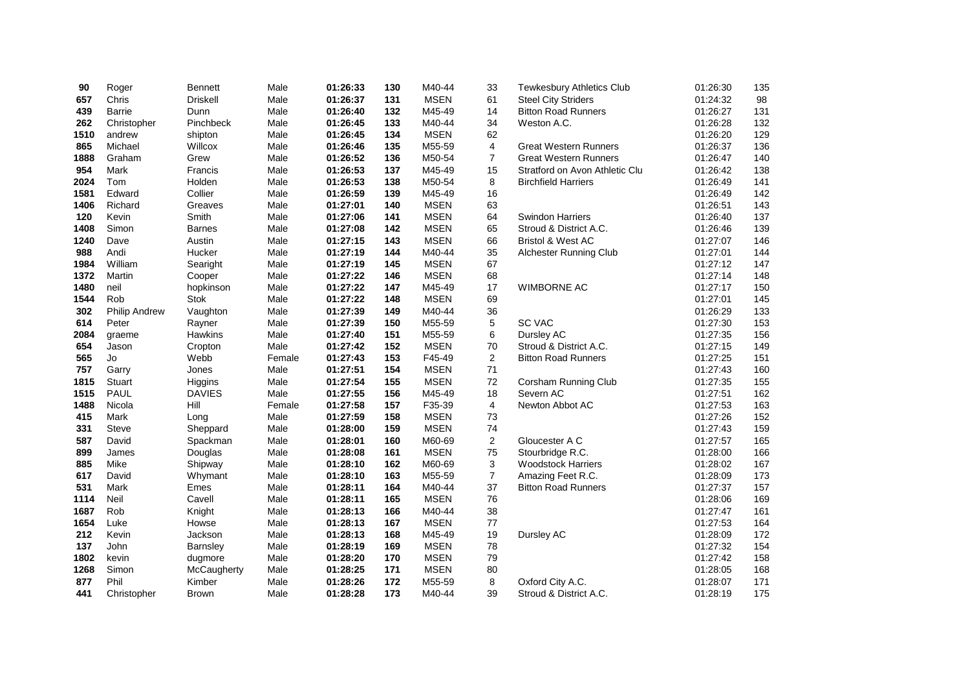| 90   | Roger                | <b>Bennett</b>  | Male   | 01:26:33 | 130 | M40-44      | 33             | <b>Tewkesbury Athletics Club</b> | 01:26:30 | 135 |
|------|----------------------|-----------------|--------|----------|-----|-------------|----------------|----------------------------------|----------|-----|
| 657  | Chris                | <b>Driskell</b> | Male   | 01:26:37 | 131 | <b>MSEN</b> | 61             | <b>Steel City Striders</b>       | 01:24:32 | 98  |
| 439  | Barrie               | Dunn            | Male   | 01:26:40 | 132 | M45-49      | 14             | <b>Bitton Road Runners</b>       | 01:26:27 | 131 |
| 262  | Christopher          | Pinchbeck       | Male   | 01:26:45 | 133 | M40-44      | 34             | Weston A.C.                      | 01:26:28 | 132 |
| 1510 | andrew               | shipton         | Male   | 01:26:45 | 134 | <b>MSEN</b> | 62             |                                  | 01:26:20 | 129 |
| 865  | Michael              | Willcox         | Male   | 01:26:46 | 135 | M55-59      | 4              | <b>Great Western Runners</b>     | 01:26:37 | 136 |
| 1888 | Graham               | Grew            | Male   | 01:26:52 | 136 | M50-54      | $\overline{7}$ | <b>Great Western Runners</b>     | 01:26:47 | 140 |
| 954  | Mark                 | Francis         | Male   | 01:26:53 | 137 | M45-49      | 15             | Stratford on Avon Athletic Clu   | 01:26:42 | 138 |
| 2024 | Tom                  | Holden          | Male   | 01:26:53 | 138 | M50-54      | 8              | <b>Birchfield Harriers</b>       | 01:26:49 | 141 |
| 1581 | Edward               | Collier         | Male   | 01:26:59 | 139 | M45-49      | 16             |                                  | 01:26:49 | 142 |
| 1406 | Richard              | Greaves         | Male   | 01:27:01 | 140 | <b>MSEN</b> | 63             |                                  | 01:26:51 | 143 |
| 120  | Kevin                | Smith           | Male   | 01:27:06 | 141 | <b>MSEN</b> | 64             | <b>Swindon Harriers</b>          | 01:26:40 | 137 |
| 1408 | Simon                | <b>Barnes</b>   | Male   | 01:27:08 | 142 | <b>MSEN</b> | 65             | Stroud & District A.C.           | 01:26:46 | 139 |
| 1240 | Dave                 | Austin          | Male   | 01:27:15 | 143 | <b>MSEN</b> | 66             | <b>Bristol &amp; West AC</b>     | 01:27:07 | 146 |
| 988  | Andi                 | Hucker          | Male   | 01:27:19 | 144 | M40-44      | 35             | Alchester Running Club           | 01:27:01 | 144 |
| 1984 | William              | Searight        | Male   | 01:27:19 | 145 | <b>MSEN</b> | 67             |                                  | 01:27:12 | 147 |
| 1372 | Martin               | Cooper          | Male   | 01:27:22 | 146 | <b>MSEN</b> | 68             |                                  | 01:27:14 | 148 |
| 1480 | neil                 | hopkinson       | Male   | 01:27:22 | 147 | M45-49      | 17             | <b>WIMBORNE AC</b>               | 01:27:17 | 150 |
| 1544 | Rob                  | Stok            | Male   | 01:27:22 | 148 | <b>MSEN</b> | 69             |                                  | 01:27:01 | 145 |
| 302  | <b>Philip Andrew</b> | Vaughton        | Male   | 01:27:39 | 149 | M40-44      | 36             |                                  | 01:26:29 | 133 |
| 614  | Peter                | Rayner          | Male   | 01:27:39 | 150 | M55-59      | 5              | <b>SC VAC</b>                    | 01:27:30 | 153 |
| 2084 | graeme               | <b>Hawkins</b>  | Male   | 01:27:40 | 151 | M55-59      | 6              | Dursley AC                       | 01:27:35 | 156 |
| 654  | Jason                | Cropton         | Male   | 01:27:42 | 152 | <b>MSEN</b> | $70\,$         | Stroud & District A.C.           | 01:27:15 | 149 |
| 565  | Jo                   | Webb            | Female | 01:27:43 | 153 | F45-49      | $\overline{c}$ | <b>Bitton Road Runners</b>       | 01:27:25 | 151 |
| 757  | Garry                | Jones           | Male   | 01:27:51 | 154 | <b>MSEN</b> | 71             |                                  | 01:27:43 | 160 |
| 1815 | <b>Stuart</b>        | Higgins         | Male   | 01:27:54 | 155 | <b>MSEN</b> | $72\,$         | Corsham Running Club             | 01:27:35 | 155 |
| 1515 | PAUL                 | <b>DAVIES</b>   | Male   | 01:27:55 | 156 | M45-49      | 18             | Severn AC                        | 01:27:51 | 162 |
| 1488 | Nicola               | Hill            | Female | 01:27:58 | 157 | F35-39      | 4              | Newton Abbot AC                  | 01:27:53 | 163 |
| 415  | Mark                 | Long            | Male   | 01:27:59 | 158 | <b>MSEN</b> | 73             |                                  | 01:27:26 | 152 |
| 331  | <b>Steve</b>         | Sheppard        | Male   | 01:28:00 | 159 | <b>MSEN</b> | 74             |                                  | 01:27:43 | 159 |
| 587  | David                | Spackman        | Male   | 01:28:01 | 160 | M60-69      | $\overline{2}$ | Gloucester A C                   | 01:27:57 | 165 |
| 899  | James                | Douglas         | Male   | 01:28:08 | 161 | <b>MSEN</b> | 75             | Stourbridge R.C.                 | 01:28:00 | 166 |
| 885  | Mike                 | Shipway         | Male   | 01:28:10 | 162 | M60-69      | 3              | <b>Woodstock Harriers</b>        | 01:28:02 | 167 |
| 617  | David                | Whymant         | Male   | 01:28:10 | 163 | M55-59      | $\overline{7}$ | Amazing Feet R.C.                | 01:28:09 | 173 |
| 531  | Mark                 | Emes            | Male   | 01:28:11 | 164 | M40-44      | 37             | <b>Bitton Road Runners</b>       | 01:27:37 | 157 |
| 1114 | Neil                 | Cavell          | Male   | 01:28:11 | 165 | <b>MSEN</b> | 76             |                                  | 01:28:06 | 169 |
| 1687 | Rob                  | Knight          | Male   | 01:28:13 | 166 | M40-44      | 38             |                                  | 01:27:47 | 161 |
| 1654 | Luke                 | Howse           | Male   | 01:28:13 | 167 | <b>MSEN</b> | $77 \,$        |                                  | 01:27:53 | 164 |
| 212  | Kevin                | Jackson         | Male   | 01:28:13 | 168 | M45-49      | 19             | Dursley AC                       | 01:28:09 | 172 |
| 137  | John                 | Barnsley        | Male   | 01:28:19 | 169 | <b>MSEN</b> | 78             |                                  | 01:27:32 | 154 |
| 1802 | kevin                | dugmore         | Male   | 01:28:20 | 170 | <b>MSEN</b> | 79             |                                  | 01:27:42 | 158 |
| 1268 | Simon                | McCaugherty     | Male   | 01:28:25 | 171 | <b>MSEN</b> | 80             |                                  | 01:28:05 | 168 |
| 877  | Phil                 | Kimber          | Male   | 01:28:26 | 172 | M55-59      | 8              | Oxford City A.C.                 | 01:28:07 | 171 |
| 441  | Christopher          | <b>Brown</b>    | Male   | 01:28:28 | 173 | M40-44      | 39             | Stroud & District A.C.           | 01:28:19 | 175 |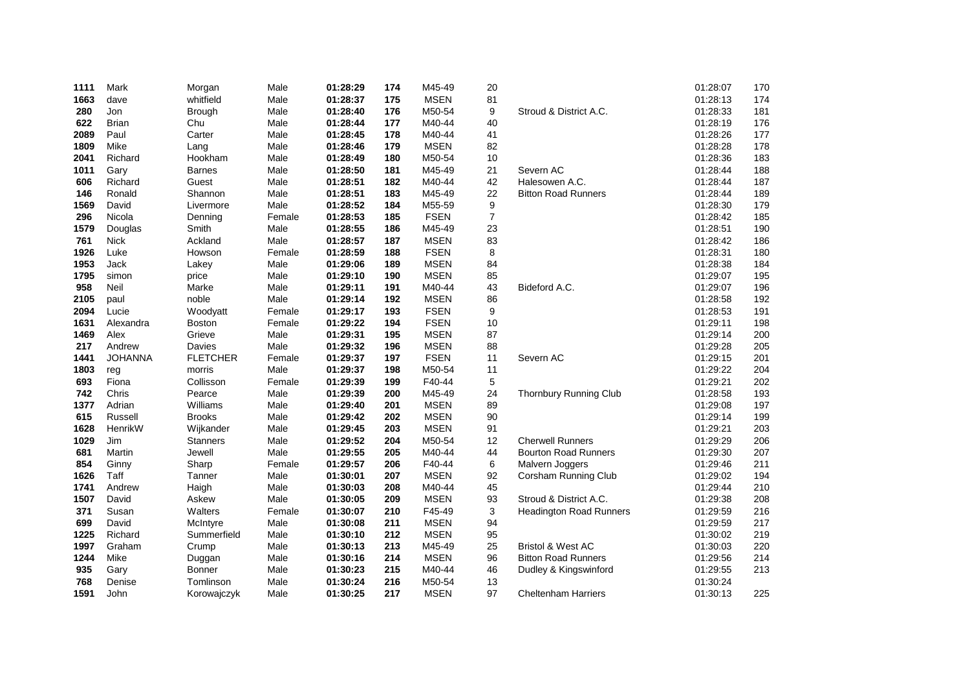| 1111 | Mark           | Morgan          | Male   | 01:28:29 | 174 | M45-49      | 20             |                                | 01:28:07 | 170 |
|------|----------------|-----------------|--------|----------|-----|-------------|----------------|--------------------------------|----------|-----|
| 1663 | dave           | whitfield       | Male   | 01:28:37 | 175 | <b>MSEN</b> | 81             |                                | 01:28:13 | 174 |
| 280  | Jon            | <b>Brough</b>   | Male   | 01:28:40 | 176 | M50-54      | 9              | Stroud & District A.C.         | 01:28:33 | 181 |
| 622  | <b>Brian</b>   | Chu             | Male   | 01:28:44 | 177 | M40-44      | 40             |                                | 01:28:19 | 176 |
| 2089 | Paul           | Carter          | Male   | 01:28:45 | 178 | M40-44      | 41             |                                | 01:28:26 | 177 |
| 1809 | Mike           | Lang            | Male   | 01:28:46 | 179 | <b>MSEN</b> | 82             |                                | 01:28:28 | 178 |
| 2041 | Richard        | Hookham         | Male   | 01:28:49 | 180 | M50-54      | 10             |                                | 01:28:36 | 183 |
| 1011 | Gary           | <b>Barnes</b>   | Male   | 01:28:50 | 181 | M45-49      | 21             | Severn AC                      | 01:28:44 | 188 |
| 606  | Richard        | Guest           | Male   | 01:28:51 | 182 | M40-44      | 42             | Halesowen A.C.                 | 01:28:44 | 187 |
| 146  | Ronald         | Shannon         | Male   | 01:28:51 | 183 | M45-49      | 22             | <b>Bitton Road Runners</b>     | 01:28:44 | 189 |
| 1569 | David          | Livermore       | Male   | 01:28:52 | 184 | M55-59      | 9              |                                | 01:28:30 | 179 |
| 296  | Nicola         | Denning         | Female | 01:28:53 | 185 | <b>FSEN</b> | $\overline{7}$ |                                | 01:28:42 | 185 |
| 1579 | Douglas        | Smith           | Male   | 01:28:55 | 186 | M45-49      | 23             |                                | 01:28:51 | 190 |
| 761  | <b>Nick</b>    | Ackland         | Male   | 01:28:57 | 187 | <b>MSEN</b> | 83             |                                | 01:28:42 | 186 |
| 1926 | Luke           | Howson          | Female | 01:28:59 | 188 | <b>FSEN</b> | 8              |                                | 01:28:31 | 180 |
| 1953 | Jack           | Lakey           | Male   | 01:29:06 | 189 | <b>MSEN</b> | 84             |                                | 01:28:38 | 184 |
| 1795 | simon          | price           | Male   | 01:29:10 | 190 | <b>MSEN</b> | 85             |                                | 01:29:07 | 195 |
| 958  | Neil           | Marke           | Male   | 01:29:11 | 191 | M40-44      | 43             | Bideford A.C.                  | 01:29:07 | 196 |
| 2105 | paul           | noble           | Male   | 01:29:14 | 192 | <b>MSEN</b> | 86             |                                | 01:28:58 | 192 |
| 2094 | Lucie          | Woodyatt        | Female | 01:29:17 | 193 | <b>FSEN</b> | 9              |                                | 01:28:53 | 191 |
| 1631 | Alexandra      | <b>Boston</b>   | Female | 01:29:22 | 194 | <b>FSEN</b> | 10             |                                | 01:29:11 | 198 |
| 1469 | Alex           | Grieve          | Male   | 01:29:31 | 195 | <b>MSEN</b> | 87             |                                | 01:29:14 | 200 |
| 217  | Andrew         | Davies          | Male   | 01:29:32 | 196 | <b>MSEN</b> | 88             |                                | 01:29:28 | 205 |
| 1441 | <b>JOHANNA</b> | <b>FLETCHER</b> | Female | 01:29:37 | 197 | <b>FSEN</b> | 11             | Severn AC                      | 01:29:15 | 201 |
| 1803 | reg            | morris          | Male   | 01:29:37 | 198 | M50-54      | 11             |                                | 01:29:22 | 204 |
| 693  | Fiona          | Collisson       | Female | 01:29:39 | 199 | F40-44      | 5              |                                | 01:29:21 | 202 |
| 742  | Chris          | Pearce          | Male   | 01:29:39 | 200 | M45-49      | 24             | Thornbury Running Club         | 01:28:58 | 193 |
| 1377 | Adrian         | Williams        | Male   | 01:29:40 | 201 | <b>MSEN</b> | 89             |                                | 01:29:08 | 197 |
| 615  | Russell        | <b>Brooks</b>   | Male   | 01:29:42 | 202 | <b>MSEN</b> | 90             |                                | 01:29:14 | 199 |
| 1628 | HenrikW        | Wijkander       | Male   | 01:29:45 | 203 | <b>MSEN</b> | 91             |                                | 01:29:21 | 203 |
| 1029 | Jim            | <b>Stanners</b> | Male   | 01:29:52 | 204 | M50-54      | 12             | <b>Cherwell Runners</b>        | 01:29:29 | 206 |
| 681  | Martin         | Jewell          | Male   | 01:29:55 | 205 | M40-44      | 44             | <b>Bourton Road Runners</b>    | 01:29:30 | 207 |
| 854  | Ginny          | Sharp           | Female | 01:29:57 | 206 | F40-44      | 6              | Malvern Joggers                | 01:29:46 | 211 |
| 1626 | Taff           | Tanner          | Male   | 01:30:01 | 207 | <b>MSEN</b> | 92             | Corsham Running Club           | 01:29:02 | 194 |
| 1741 | Andrew         | Haigh           | Male   | 01:30:03 | 208 | M40-44      | 45             |                                | 01:29:44 | 210 |
| 1507 | David          | Askew           | Male   | 01:30:05 | 209 | <b>MSEN</b> | 93             | Stroud & District A.C.         | 01:29:38 | 208 |
| 371  | Susan          | Walters         | Female | 01:30:07 | 210 | F45-49      | 3              | <b>Headington Road Runners</b> | 01:29:59 | 216 |
| 699  | David          | McIntyre        | Male   | 01:30:08 | 211 | <b>MSEN</b> | 94             |                                | 01:29:59 | 217 |
| 1225 | Richard        | Summerfield     | Male   | 01:30:10 | 212 | <b>MSEN</b> | 95             |                                | 01:30:02 | 219 |
| 1997 | Graham         | Crump           | Male   | 01:30:13 | 213 | M45-49      | 25             | <b>Bristol &amp; West AC</b>   | 01:30:03 | 220 |
| 1244 | Mike           | Duggan          | Male   | 01:30:16 | 214 | <b>MSEN</b> | 96             | <b>Bitton Road Runners</b>     | 01:29:56 | 214 |
| 935  | Gary           | <b>Bonner</b>   | Male   | 01:30:23 | 215 | M40-44      | 46             | Dudley & Kingswinford          | 01:29:55 | 213 |
| 768  | Denise         | Tomlinson       | Male   | 01:30:24 | 216 | M50-54      | 13             |                                | 01:30:24 |     |
| 1591 | John           | Korowajczyk     | Male   | 01:30:25 | 217 | <b>MSEN</b> | 97             | <b>Cheltenham Harriers</b>     | 01:30:13 | 225 |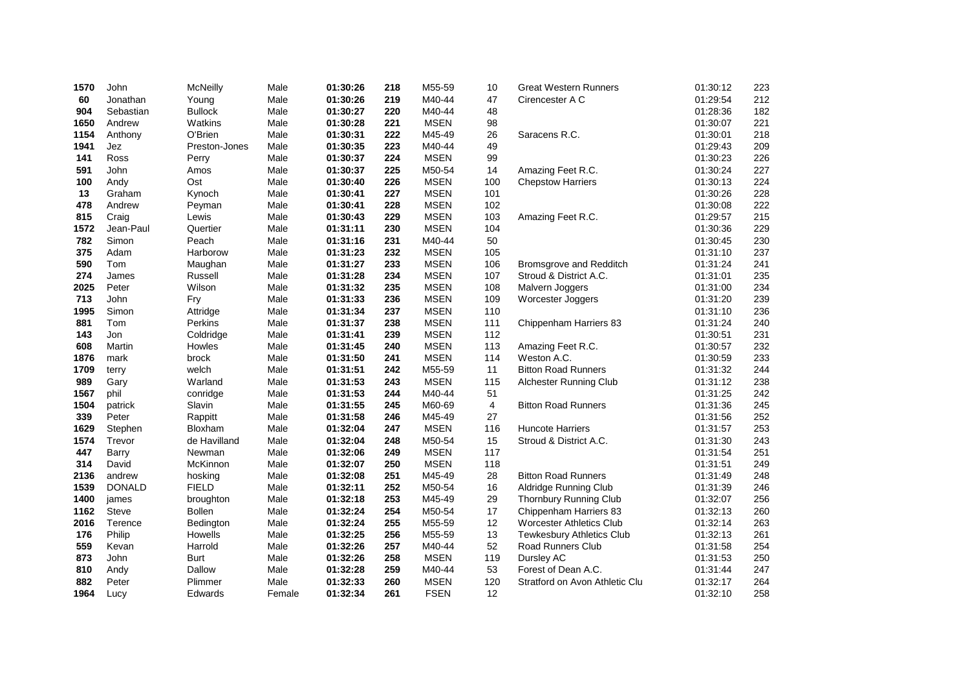| 1570         | John                    | <b>McNeilly</b>            | Male         | 01:30:26             | 218        | M55-59           | 10        | <b>Great Western Runners</b>                            | 01:30:12             | 223        |
|--------------|-------------------------|----------------------------|--------------|----------------------|------------|------------------|-----------|---------------------------------------------------------|----------------------|------------|
| 60           | Jonathan                | Young                      | Male         | 01:30:26             | 219        | M40-44           | 47        | Cirencester A C                                         | 01:29:54             | 212        |
| 904          | Sebastian               | <b>Bullock</b>             | Male         | 01:30:27             | 220        | M40-44           | 48        |                                                         | 01:28:36             | 182        |
| 1650         | Andrew                  | Watkins                    | Male         | 01:30:28             | 221        | <b>MSEN</b>      | 98        |                                                         | 01:30:07             | 221        |
| 1154         | Anthony                 | O'Brien                    | Male         | 01:30:31             | 222        | M45-49           | 26        | Saracens R.C.                                           | 01:30:01             | 218        |
| 1941         | Jez                     | Preston-Jones              | Male         | 01:30:35             | 223        | M40-44           | 49        |                                                         | 01:29:43             | 209        |
| 141          | Ross                    | Perry                      | Male         | 01:30:37             | 224        | <b>MSEN</b>      | 99        |                                                         | 01:30:23             | 226        |
| 591          | John                    | Amos                       | Male         | 01:30:37             | 225        | M50-54           | 14        | Amazing Feet R.C.                                       | 01:30:24             | 227        |
| 100          | Andy                    | Ost                        | Male         | 01:30:40             | 226        | <b>MSEN</b>      | 100       | <b>Chepstow Harriers</b>                                | 01:30:13             | 224        |
| 13           | Graham                  | Kynoch                     | Male         | 01:30:41             | 227        | <b>MSEN</b>      | 101       |                                                         | 01:30:26             | 228        |
| 478          | Andrew                  | Peyman                     | Male         | 01:30:41             | 228        | <b>MSEN</b>      | 102       |                                                         | 01:30:08             | 222        |
| 815          | Craig                   | Lewis                      | Male         | 01:30:43             | 229        | <b>MSEN</b>      | 103       | Amazing Feet R.C.                                       | 01:29:57             | 215        |
| 1572         | Jean-Paul               | Quertier                   | Male         | 01:31:11             | 230        | <b>MSEN</b>      | 104       |                                                         | 01:30:36             | 229        |
| 782          | Simon                   | Peach                      | Male         | 01:31:16             | 231        | M40-44           | 50        |                                                         | 01:30:45             | 230        |
| 375          | Adam                    | Harborow                   | Male         | 01:31:23             | 232        | <b>MSEN</b>      | 105       |                                                         | 01:31:10             | 237        |
| 590          | Tom                     | Maughan                    | Male         | 01:31:27             | 233        | <b>MSEN</b>      | 106       | Bromsgrove and Redditch                                 | 01:31:24             | 241        |
| 274          | James                   | Russell                    | Male         | 01:31:28             | 234        | <b>MSEN</b>      | 107       | Stroud & District A.C.                                  | 01:31:01             | 235        |
| 2025         | Peter                   | Wilson                     | Male         | 01:31:32             | 235        | <b>MSEN</b>      | 108       | Malvern Joggers                                         | 01:31:00             | 234        |
| 713          | John                    | Fry                        | Male         | 01:31:33             | 236        | <b>MSEN</b>      | 109       | Worcester Joggers                                       | 01:31:20             | 239        |
| 1995         | Simon                   | Attridge                   | Male         | 01:31:34             | 237        | <b>MSEN</b>      | 110       |                                                         | 01:31:10             | 236        |
| 881          | Tom                     | Perkins                    | Male         | 01:31:37             | 238        | <b>MSEN</b>      | 111       | Chippenham Harriers 83                                  | 01:31:24             | 240        |
| 143          | Jon                     | Coldridge                  | Male         | 01:31:41             | 239        | <b>MSEN</b>      | 112       |                                                         | 01:30:51             | 231        |
| 608          | Martin                  | Howles                     | Male         | 01:31:45             | 240        | <b>MSEN</b>      | 113       | Amazing Feet R.C.                                       | 01:30:57             | 232        |
| 1876         | mark                    | brock                      | Male         | 01:31:50             | 241        | <b>MSEN</b>      | 114       | Weston A.C.                                             | 01:30:59             | 233        |
| 1709         | terry                   | welch                      | Male         | 01:31:51             | 242        | M55-59           | 11        | <b>Bitton Road Runners</b>                              | 01:31:32             | 244        |
| 989          | Gary                    | Warland                    | Male         | 01:31:53             | 243        | <b>MSEN</b>      | 115       | Alchester Running Club                                  | 01:31:12             | 238        |
| 1567         | phil                    | conridge                   | Male         | 01:31:53             | 244        | M40-44           | 51        |                                                         | 01:31:25             | 242        |
| 1504         | patrick                 | Slavin                     | Male         | 01:31:55             | 245        | M60-69           | 4         | <b>Bitton Road Runners</b>                              | 01:31:36             | 245        |
| 339          | Peter                   | Rappitt                    | Male         | 01:31:58             | 246        | M45-49           | 27        |                                                         | 01:31:56             | 252        |
| 1629         | Stephen                 | Bloxham                    | Male         | 01:32:04             | 247        | <b>MSEN</b>      | 116       | <b>Huncote Harriers</b>                                 | 01:31:57             | 253        |
| 1574         | Trevor                  | de Havilland               | Male         | 01:32:04             | 248        | M50-54           | 15        | Stroud & District A.C.                                  | 01:31:30             | 243        |
| 447          | Barry                   | Newman                     | Male         | 01:32:06             | 249        | <b>MSEN</b>      | 117       |                                                         | 01:31:54             | 251        |
| 314          | David                   | McKinnon                   | Male         | 01:32:07             | 250        | <b>MSEN</b>      | 118       |                                                         | 01:31:51             | 249        |
| 2136<br>1539 | andrew<br><b>DONALD</b> | hosking<br><b>FIELD</b>    | Male<br>Male | 01:32:08<br>01:32:11 | 251<br>252 | M45-49<br>M50-54 | 28        | <b>Bitton Road Runners</b>                              | 01:31:49<br>01:31:39 | 248<br>246 |
| 1400         |                         |                            | Male         |                      | 253        | M45-49           | 16<br>29  | Aldridge Running Club                                   |                      |            |
| 1162         | james<br><b>Steve</b>   | broughton<br><b>Bollen</b> | Male         | 01:32:18<br>01:32:24 | 254        | M50-54           | 17        | <b>Thornbury Running Club</b><br>Chippenham Harriers 83 | 01:32:07<br>01:32:13 | 256<br>260 |
| 2016         | Terence                 |                            | Male         | 01:32:24             | 255        | M55-59           | 12        | <b>Worcester Athletics Club</b>                         | 01:32:14             | 263        |
| 176          | Philip                  | Bedington<br>Howells       | Male         | 01:32:25             | 256        | M55-59           | 13        |                                                         | 01:32:13             | 261        |
| 559          |                         |                            | Male         |                      | 257        | M40-44           |           | <b>Tewkesbury Athletics Club</b>                        |                      |            |
| 873          | Kevan<br>John           | Harrold<br><b>Burt</b>     | Male         | 01:32:26<br>01:32:26 | 258        | <b>MSEN</b>      | 52<br>119 | Road Runners Club<br>Dursley AC                         | 01:31:58<br>01:31:53 | 254<br>250 |
| 810          | Andy                    | Dallow                     | Male         | 01:32:28             | 259        | M40-44           | 53        | Forest of Dean A.C.                                     | 01:31:44             | 247        |
| 882          | Peter                   | Plimmer                    | Male         | 01:32:33             | 260        | <b>MSEN</b>      | 120       | Stratford on Avon Athletic Clu                          | 01:32:17             | 264        |
| 1964         |                         |                            |              | 01:32:34             | 261        | <b>FSEN</b>      | 12        |                                                         | 01:32:10             | 258        |
|              | Lucy                    | Edwards                    | Female       |                      |            |                  |           |                                                         |                      |            |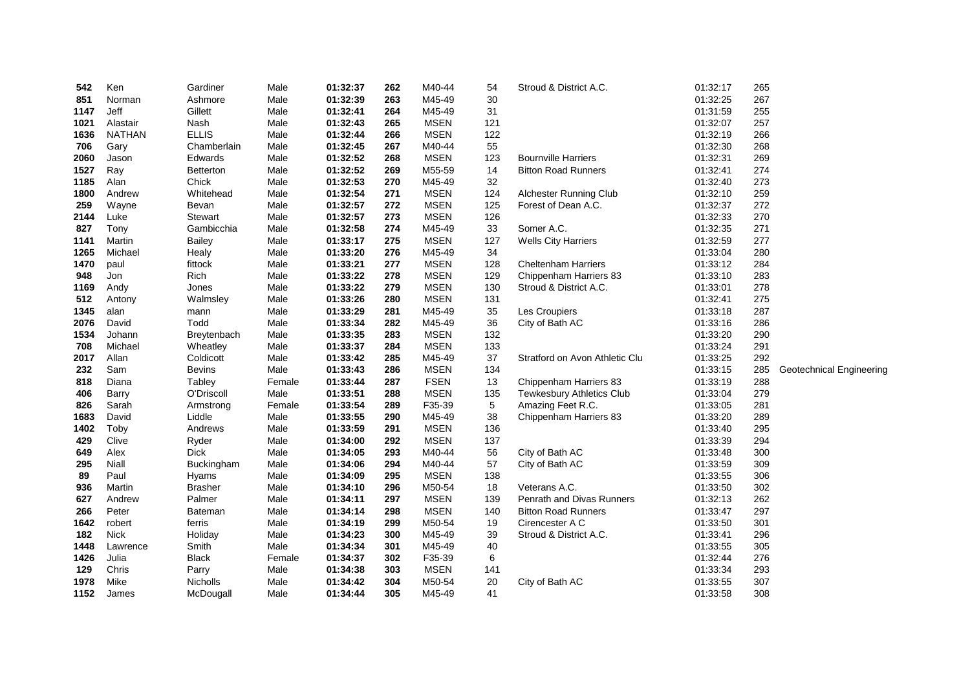| 542  | Ken           | Gardiner        | Male   | 01:32:37 | 262 | M40-44      | 54  | Stroud & District A.C.         | 01:32:17 | 265 |                          |
|------|---------------|-----------------|--------|----------|-----|-------------|-----|--------------------------------|----------|-----|--------------------------|
| 851  | Norman        | Ashmore         | Male   | 01:32:39 | 263 | M45-49      | 30  |                                | 01:32:25 | 267 |                          |
| 1147 | Jeff          | Gillett         | Male   | 01:32:41 | 264 | M45-49      | 31  |                                | 01:31:59 | 255 |                          |
| 1021 | Alastair      | Nash            | Male   | 01:32:43 | 265 | <b>MSEN</b> | 121 |                                | 01:32:07 | 257 |                          |
| 1636 | <b>NATHAN</b> | <b>ELLIS</b>    | Male   | 01:32:44 | 266 | <b>MSEN</b> | 122 |                                | 01:32:19 | 266 |                          |
| 706  | Gary          | Chamberlain     | Male   | 01:32:45 | 267 | M40-44      | 55  |                                | 01:32:30 | 268 |                          |
| 2060 | Jason         | Edwards         | Male   | 01:32:52 | 268 | <b>MSEN</b> | 123 | <b>Bournville Harriers</b>     | 01:32:31 | 269 |                          |
| 1527 | Ray           | Betterton       | Male   | 01:32:52 | 269 | M55-59      | 14  | <b>Bitton Road Runners</b>     | 01:32:41 | 274 |                          |
| 1185 | Alan          | Chick           | Male   | 01:32:53 | 270 | M45-49      | 32  |                                | 01:32:40 | 273 |                          |
| 1800 | Andrew        | Whitehead       | Male   | 01:32:54 | 271 | <b>MSEN</b> | 124 | Alchester Running Club         | 01:32:10 | 259 |                          |
| 259  | Wayne         | Bevan           | Male   | 01:32:57 | 272 | <b>MSEN</b> | 125 | Forest of Dean A.C.            | 01:32:37 | 272 |                          |
| 2144 | Luke          | Stewart         | Male   | 01:32:57 | 273 | <b>MSEN</b> | 126 |                                | 01:32:33 | 270 |                          |
| 827  | Tony          | Gambicchia      | Male   | 01:32:58 | 274 | M45-49      | 33  | Somer A.C.                     | 01:32:35 | 271 |                          |
| 1141 | Martin        | Bailey          | Male   | 01:33:17 | 275 | <b>MSEN</b> | 127 | <b>Wells City Harriers</b>     | 01:32:59 | 277 |                          |
| 1265 | Michael       | Healy           | Male   | 01:33:20 | 276 | M45-49      | 34  |                                | 01:33:04 | 280 |                          |
| 1470 | paul          | fittock         | Male   | 01:33:21 | 277 | <b>MSEN</b> | 128 | <b>Cheltenham Harriers</b>     | 01:33:12 | 284 |                          |
| 948  | Jon           | Rich            | Male   | 01:33:22 | 278 | <b>MSEN</b> | 129 | Chippenham Harriers 83         | 01:33:10 | 283 |                          |
| 1169 | Andy          | Jones           | Male   | 01:33:22 | 279 | <b>MSEN</b> | 130 | Stroud & District A.C.         | 01:33:01 | 278 |                          |
| 512  | Antony        | Walmsley        | Male   | 01:33:26 | 280 | <b>MSEN</b> | 131 |                                | 01:32:41 | 275 |                          |
| 1345 | alan          | mann            | Male   | 01:33:29 | 281 | M45-49      | 35  | Les Croupiers                  | 01:33:18 | 287 |                          |
| 2076 | David         | Todd            | Male   | 01:33:34 | 282 | M45-49      | 36  | City of Bath AC                | 01:33:16 | 286 |                          |
| 1534 | Johann        | Breytenbach     | Male   | 01:33:35 | 283 | <b>MSEN</b> | 132 |                                | 01:33:20 | 290 |                          |
| 708  | Michael       | Wheatley        | Male   | 01:33:37 | 284 | <b>MSEN</b> | 133 |                                | 01:33:24 | 291 |                          |
| 2017 | Allan         | Coldicott       | Male   | 01:33:42 | 285 | M45-49      | 37  | Stratford on Avon Athletic Clu | 01:33:25 | 292 |                          |
| 232  | Sam           | <b>Bevins</b>   | Male   | 01:33:43 | 286 | <b>MSEN</b> | 134 |                                | 01:33:15 | 285 | Geotechnical Engineering |
| 818  | Diana         | Tabley          | Female | 01:33:44 | 287 | <b>FSEN</b> | 13  | Chippenham Harriers 83         | 01:33:19 | 288 |                          |
| 406  | Barry         | O'Driscoll      | Male   | 01:33:51 | 288 | <b>MSEN</b> | 135 | Tewkesbury Athletics Club      | 01:33:04 | 279 |                          |
| 826  | Sarah         | Armstrong       | Female | 01:33:54 | 289 | F35-39      | 5   | Amazing Feet R.C.              | 01:33:05 | 281 |                          |
| 1683 | David         | Liddle          | Male   | 01:33:55 | 290 | M45-49      | 38  | Chippenham Harriers 83         | 01:33:20 | 289 |                          |
| 1402 | Toby          | Andrews         | Male   | 01:33:59 | 291 | <b>MSEN</b> | 136 |                                | 01:33:40 | 295 |                          |
| 429  | Clive         | Ryder           | Male   | 01:34:00 | 292 | <b>MSEN</b> | 137 |                                | 01:33:39 | 294 |                          |
| 649  | Alex          | <b>Dick</b>     | Male   | 01:34:05 | 293 | M40-44      | 56  | City of Bath AC                | 01:33:48 | 300 |                          |
| 295  | Niall         | Buckingham      | Male   | 01:34:06 | 294 | M40-44      | 57  | City of Bath AC                | 01:33:59 | 309 |                          |
| 89   | Paul          | Hyams           | Male   | 01:34:09 | 295 | <b>MSEN</b> | 138 |                                | 01:33:55 | 306 |                          |
| 936  | Martin        | <b>Brasher</b>  | Male   | 01:34:10 | 296 | M50-54      | 18  | Veterans A.C.                  | 01:33:50 | 302 |                          |
| 627  | Andrew        | Palmer          | Male   | 01:34:11 | 297 | <b>MSEN</b> | 139 | Penrath and Divas Runners      | 01:32:13 | 262 |                          |
| 266  | Peter         | Bateman         | Male   | 01:34:14 | 298 | <b>MSEN</b> | 140 | <b>Bitton Road Runners</b>     | 01:33:47 | 297 |                          |
| 1642 | robert        | ferris          | Male   | 01:34:19 | 299 | M50-54      | 19  | Cirencester A C                | 01:33:50 | 301 |                          |
| 182  | <b>Nick</b>   | Holiday         | Male   | 01:34:23 | 300 | M45-49      | 39  | Stroud & District A.C.         | 01:33:41 | 296 |                          |
| 1448 | Lawrence      | Smith           | Male   | 01:34:34 | 301 | M45-49      | 40  |                                | 01:33:55 | 305 |                          |
| 1426 | Julia         | <b>Black</b>    | Female | 01:34:37 | 302 | F35-39      | 6   |                                | 01:32:44 | 276 |                          |
| 129  | Chris         | Parry           | Male   | 01:34:38 | 303 | <b>MSEN</b> | 141 |                                | 01:33:34 | 293 |                          |
| 1978 | Mike          | <b>Nicholls</b> | Male   | 01:34:42 | 304 | M50-54      | 20  | City of Bath AC                | 01:33:55 | 307 |                          |
| 1152 | James         | McDougall       | Male   | 01:34:44 | 305 | M45-49      | 41  |                                | 01:33:58 | 308 |                          |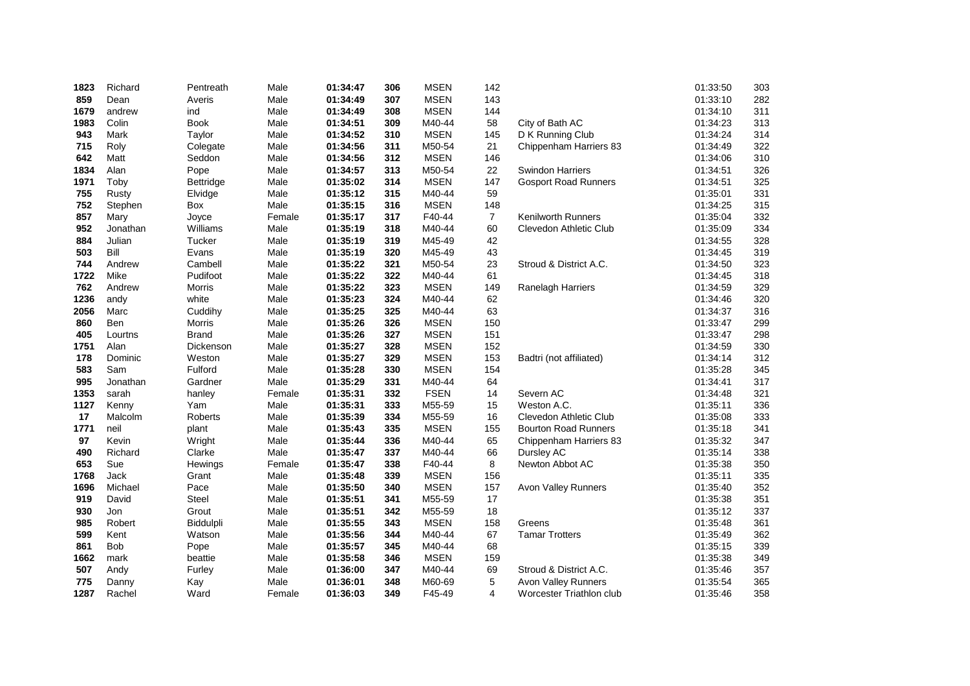| 1823 | Richard    | Pentreath      | Male   | 01:34:47 | 306 | <b>MSEN</b> | 142            |                             | 01:33:50 | 303 |
|------|------------|----------------|--------|----------|-----|-------------|----------------|-----------------------------|----------|-----|
| 859  | Dean       | Averis         | Male   | 01:34:49 | 307 | <b>MSEN</b> | 143            |                             | 01:33:10 | 282 |
| 1679 | andrew     | ind            | Male   | 01:34:49 | 308 | <b>MSEN</b> | 144            |                             | 01:34:10 | 311 |
| 1983 | Colin      | <b>Book</b>    | Male   | 01:34:51 | 309 | M40-44      | 58             | City of Bath AC             | 01:34:23 | 313 |
| 943  | Mark       | Taylor         | Male   | 01:34:52 | 310 | <b>MSEN</b> | 145            | D K Running Club            | 01:34:24 | 314 |
| 715  | Roly       | Colegate       | Male   | 01:34:56 | 311 | M50-54      | 21             | Chippenham Harriers 83      | 01:34:49 | 322 |
| 642  | Matt       | Seddon         | Male   | 01:34:56 | 312 | <b>MSEN</b> | 146            |                             | 01:34:06 | 310 |
| 1834 | Alan       | Pope           | Male   | 01:34:57 | 313 | M50-54      | 22             | <b>Swindon Harriers</b>     | 01:34:51 | 326 |
| 1971 | Toby       | Bettridge      | Male   | 01:35:02 | 314 | <b>MSEN</b> | 147            | <b>Gosport Road Runners</b> | 01:34:51 | 325 |
| 755  | Rusty      | Elvidge        | Male   | 01:35:12 | 315 | M40-44      | 59             |                             | 01:35:01 | 331 |
| 752  | Stephen    | Box            | Male   | 01:35:15 | 316 | <b>MSEN</b> | 148            |                             | 01:34:25 | 315 |
| 857  | Mary       | Joyce          | Female | 01:35:17 | 317 | F40-44      | $\overline{7}$ | <b>Kenilworth Runners</b>   | 01:35:04 | 332 |
| 952  | Jonathan   | Williams       | Male   | 01:35:19 | 318 | M40-44      | 60             | Clevedon Athletic Club      | 01:35:09 | 334 |
| 884  | Julian     | Tucker         | Male   | 01:35:19 | 319 | M45-49      | 42             |                             | 01:34:55 | 328 |
| 503  | Bill       | Evans          | Male   | 01:35:19 | 320 | M45-49      | 43             |                             | 01:34:45 | 319 |
| 744  | Andrew     | Cambell        | Male   | 01:35:22 | 321 | M50-54      | 23             | Stroud & District A.C.      | 01:34:50 | 323 |
| 1722 | Mike       | Pudifoot       | Male   | 01:35:22 | 322 | M40-44      | 61             |                             | 01:34:45 | 318 |
| 762  | Andrew     | Morris         | Male   | 01:35:22 | 323 | <b>MSEN</b> | 149            | Ranelagh Harriers           | 01:34:59 | 329 |
| 1236 | andy       | white          | Male   | 01:35:23 | 324 | M40-44      | 62             |                             | 01:34:46 | 320 |
| 2056 | Marc       | Cuddihy        | Male   | 01:35:25 | 325 | M40-44      | 63             |                             | 01:34:37 | 316 |
| 860  | <b>Ben</b> | Morris         | Male   | 01:35:26 | 326 | <b>MSEN</b> | 150            |                             | 01:33:47 | 299 |
| 405  | Lourtns    | <b>Brand</b>   | Male   | 01:35:26 | 327 | <b>MSEN</b> | 151            |                             | 01:33:47 | 298 |
| 1751 | Alan       | Dickenson      | Male   | 01:35:27 | 328 | <b>MSEN</b> | 152            |                             | 01:34:59 | 330 |
| 178  | Dominic    | Weston         | Male   | 01:35:27 | 329 | <b>MSEN</b> | 153            | Badtri (not affiliated)     | 01:34:14 | 312 |
| 583  | Sam        | Fulford        | Male   | 01:35:28 | 330 | <b>MSEN</b> | 154            |                             | 01:35:28 | 345 |
| 995  | Jonathan   | Gardner        | Male   | 01:35:29 | 331 | M40-44      | 64             |                             | 01:34:41 | 317 |
| 1353 | sarah      | hanley         | Female | 01:35:31 | 332 | <b>FSEN</b> | 14             | Severn AC                   | 01:34:48 | 321 |
| 1127 | Kenny      | Yam            | Male   | 01:35:31 | 333 | M55-59      | 15             | Weston A.C.                 | 01:35:11 | 336 |
| 17   | Malcolm    | <b>Roberts</b> | Male   | 01:35:39 | 334 | M55-59      | 16             | Clevedon Athletic Club      | 01:35:08 | 333 |
| 1771 | neil       | plant          | Male   | 01:35:43 | 335 | <b>MSEN</b> | 155            | <b>Bourton Road Runners</b> | 01:35:18 | 341 |
| 97   | Kevin      | Wright         | Male   | 01:35:44 | 336 | M40-44      | 65             | Chippenham Harriers 83      | 01:35:32 | 347 |
| 490  | Richard    | Clarke         | Male   | 01:35:47 | 337 | M40-44      | 66             | Dursley AC                  | 01:35:14 | 338 |
| 653  | Sue        | Hewings        | Female | 01:35:47 | 338 | F40-44      | 8              | Newton Abbot AC             | 01:35:38 | 350 |
| 1768 | Jack       | Grant          | Male   | 01:35:48 | 339 | <b>MSEN</b> | 156            |                             | 01:35:11 | 335 |
| 1696 | Michael    | Pace           | Male   | 01:35:50 | 340 | <b>MSEN</b> | 157            | Avon Valley Runners         | 01:35:40 | 352 |
| 919  | David      | <b>Steel</b>   | Male   | 01:35:51 | 341 | M55-59      | 17             |                             | 01:35:38 | 351 |
| 930  | Jon        | Grout          | Male   | 01:35:51 | 342 | M55-59      | 18             |                             | 01:35:12 | 337 |
| 985  | Robert     | Biddulpli      | Male   | 01:35:55 | 343 | <b>MSEN</b> | 158            | Greens                      | 01:35:48 | 361 |
| 599  | Kent       | Watson         | Male   | 01:35:56 | 344 | M40-44      | 67             | <b>Tamar Trotters</b>       | 01:35:49 | 362 |
| 861  | <b>Bob</b> | Pope           | Male   | 01:35:57 | 345 | M40-44      | 68             |                             | 01:35:15 | 339 |
| 1662 | mark       | beattie        | Male   | 01:35:58 | 346 | <b>MSEN</b> | 159            |                             | 01:35:38 | 349 |
| 507  | Andy       | Furley         | Male   | 01:36:00 | 347 | M40-44      | 69             | Stroud & District A.C.      | 01:35:46 | 357 |
| 775  | Danny      | Kay            | Male   | 01:36:01 | 348 | M60-69      | 5              | Avon Valley Runners         | 01:35:54 | 365 |
| 1287 | Rachel     | Ward           | Female | 01:36:03 | 349 | F45-49      | 4              | Worcester Triathlon club    | 01:35:46 | 358 |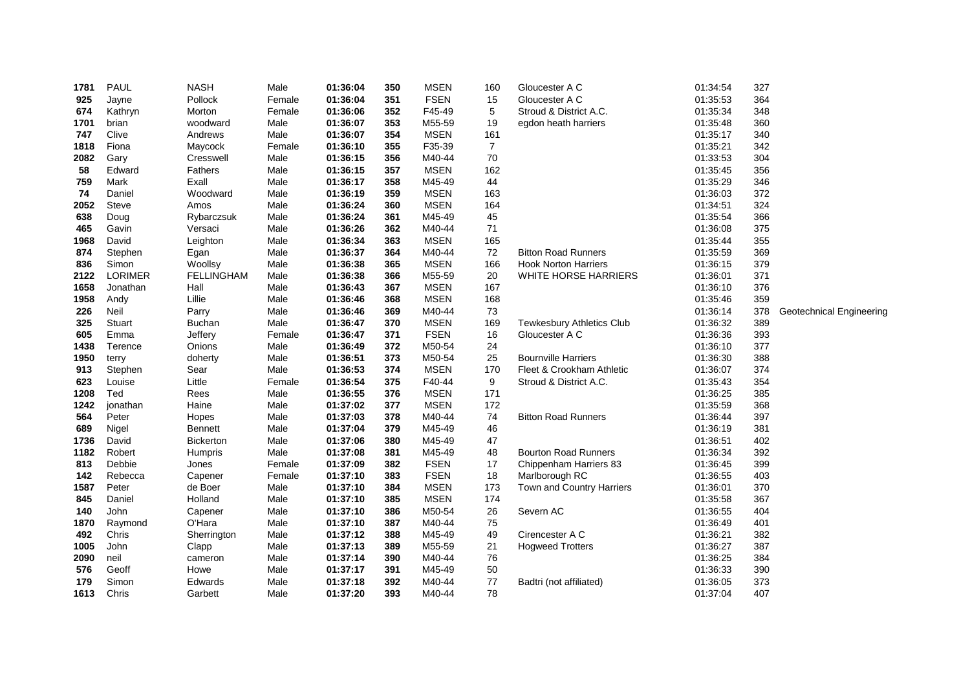| 1781 | <b>PAUL</b>    | <b>NASH</b>       | Male   | 01:36:04 | 350 | <b>MSEN</b> | 160            | Gloucester A C                   | 01:34:54 | 327 |                          |
|------|----------------|-------------------|--------|----------|-----|-------------|----------------|----------------------------------|----------|-----|--------------------------|
| 925  | Jayne          | Pollock           | Female | 01:36:04 | 351 | <b>FSEN</b> | 15             | Gloucester A C                   | 01:35:53 | 364 |                          |
| 674  | Kathryn        | Morton            | Female | 01:36:06 | 352 | F45-49      | $\,$ 5 $\,$    | Stroud & District A.C.           | 01:35:34 | 348 |                          |
| 1701 | brian          | woodward          | Male   | 01:36:07 | 353 | M55-59      | 19             | egdon heath harriers             | 01:35:48 | 360 |                          |
| 747  | Clive          | Andrews           | Male   | 01:36:07 | 354 | <b>MSEN</b> | 161            |                                  | 01:35:17 | 340 |                          |
| 1818 | Fiona          | Maycock           | Female | 01:36:10 | 355 | F35-39      | $\overline{7}$ |                                  | 01:35:21 | 342 |                          |
| 2082 | Gary           | Cresswell         | Male   | 01:36:15 | 356 | M40-44      | 70             |                                  | 01:33:53 | 304 |                          |
| 58   | Edward         | Fathers           | Male   | 01:36:15 | 357 | <b>MSEN</b> | 162            |                                  | 01:35:45 | 356 |                          |
| 759  | Mark           | Exall             | Male   | 01:36:17 | 358 | M45-49      | 44             |                                  | 01:35:29 | 346 |                          |
| 74   | Daniel         | Woodward          | Male   | 01:36:19 | 359 | <b>MSEN</b> | 163            |                                  | 01:36:03 | 372 |                          |
| 2052 | <b>Steve</b>   | Amos              | Male   | 01:36:24 | 360 | <b>MSEN</b> | 164            |                                  | 01:34:51 | 324 |                          |
| 638  | Doug           | Rybarczsuk        | Male   | 01:36:24 | 361 | M45-49      | 45             |                                  | 01:35:54 | 366 |                          |
| 465  | Gavin          | Versaci           | Male   | 01:36:26 | 362 | M40-44      | 71             |                                  | 01:36:08 | 375 |                          |
| 1968 | David          | Leighton          | Male   | 01:36:34 | 363 | <b>MSEN</b> | 165            |                                  | 01:35:44 | 355 |                          |
| 874  | Stephen        | Egan              | Male   | 01:36:37 | 364 | M40-44      | 72             | <b>Bitton Road Runners</b>       | 01:35:59 | 369 |                          |
| 836  | Simon          | Woollsy           | Male   | 01:36:38 | 365 | <b>MSEN</b> | 166            | <b>Hook Norton Harriers</b>      | 01:36:15 | 379 |                          |
| 2122 | <b>LORIMER</b> | <b>FELLINGHAM</b> | Male   | 01:36:38 | 366 | M55-59      | 20             | WHITE HORSE HARRIERS             | 01:36:01 | 371 |                          |
| 1658 | Jonathan       | Hall              | Male   | 01:36:43 | 367 | <b>MSEN</b> | 167            |                                  | 01:36:10 | 376 |                          |
| 1958 | Andy           | Lillie            | Male   | 01:36:46 | 368 | <b>MSEN</b> | 168            |                                  | 01:35:46 | 359 |                          |
| 226  | Neil           | Parry             | Male   | 01:36:46 | 369 | M40-44      | 73             |                                  | 01:36:14 | 378 | Geotechnical Engineering |
| 325  | Stuart         | <b>Buchan</b>     | Male   | 01:36:47 | 370 | <b>MSEN</b> | 169            | <b>Tewkesbury Athletics Club</b> | 01:36:32 | 389 |                          |
| 605  | Emma           | Jeffery           | Female | 01:36:47 | 371 | <b>FSEN</b> | 16             | Gloucester A C                   | 01:36:36 | 393 |                          |
| 1438 | Terence        | Onions            | Male   | 01:36:49 | 372 | M50-54      | 24             |                                  | 01:36:10 | 377 |                          |
| 1950 | terry          | doherty           | Male   | 01:36:51 | 373 | M50-54      | 25             | <b>Bournville Harriers</b>       | 01:36:30 | 388 |                          |
| 913  | Stephen        | Sear              | Male   | 01:36:53 | 374 | <b>MSEN</b> | 170            | Fleet & Crookham Athletic        | 01:36:07 | 374 |                          |
| 623  | Louise         | Little            | Female | 01:36:54 | 375 | F40-44      | 9              | Stroud & District A.C.           | 01:35:43 | 354 |                          |
| 1208 | Ted            | Rees              | Male   | 01:36:55 | 376 | <b>MSEN</b> | 171            |                                  | 01:36:25 | 385 |                          |
| 1242 | jonathan       | Haine             | Male   | 01:37:02 | 377 | <b>MSEN</b> | 172            |                                  | 01:35:59 | 368 |                          |
| 564  | Peter          | Hopes             | Male   | 01:37:03 | 378 | M40-44      | 74             | <b>Bitton Road Runners</b>       | 01:36:44 | 397 |                          |
| 689  | Nigel          | Bennett           | Male   | 01:37:04 | 379 | M45-49      | 46             |                                  | 01:36:19 | 381 |                          |
| 1736 | David          | <b>Bickerton</b>  | Male   | 01:37:06 | 380 | M45-49      | 47             |                                  | 01:36:51 | 402 |                          |
| 1182 | Robert         | Humpris           | Male   | 01:37:08 | 381 | M45-49      | 48             | <b>Bourton Road Runners</b>      | 01:36:34 | 392 |                          |
| 813  | Debbie         | Jones             | Female | 01:37:09 | 382 | <b>FSEN</b> | 17             | Chippenham Harriers 83           | 01:36:45 | 399 |                          |
| 142  | Rebecca        | Capener           | Female | 01:37:10 | 383 | <b>FSEN</b> | 18             | Marlborough RC                   | 01:36:55 | 403 |                          |
| 1587 | Peter          | de Boer           | Male   | 01:37:10 | 384 | <b>MSEN</b> | 173            | Town and Country Harriers        | 01:36:01 | 370 |                          |
| 845  | Daniel         | Holland           | Male   | 01:37:10 | 385 | <b>MSEN</b> | 174            |                                  | 01:35:58 | 367 |                          |
| 140  | John           | Capener           | Male   | 01:37:10 | 386 | M50-54      | 26             | Severn AC                        | 01:36:55 | 404 |                          |
| 1870 | Raymond        | O'Hara            | Male   | 01:37:10 | 387 | M40-44      | 75             |                                  | 01:36:49 | 401 |                          |
| 492  | Chris          | Sherrington       | Male   | 01:37:12 | 388 | M45-49      | 49             | Cirencester A C                  | 01:36:21 | 382 |                          |
| 1005 | John           | Clapp             | Male   | 01:37:13 | 389 | M55-59      | 21             | <b>Hogweed Trotters</b>          | 01:36:27 | 387 |                          |
| 2090 | neil           | cameron           | Male   | 01:37:14 | 390 | M40-44      | 76             |                                  | 01:36:25 | 384 |                          |
| 576  | Geoff          | Howe              | Male   | 01:37:17 | 391 | M45-49      | 50             |                                  | 01:36:33 | 390 |                          |
| 179  | Simon          | Edwards           | Male   | 01:37:18 | 392 | M40-44      | 77             | Badtri (not affiliated)          | 01:36:05 | 373 |                          |
| 1613 | Chris          | Garbett           | Male   | 01:37:20 | 393 | M40-44      | 78             |                                  | 01:37:04 | 407 |                          |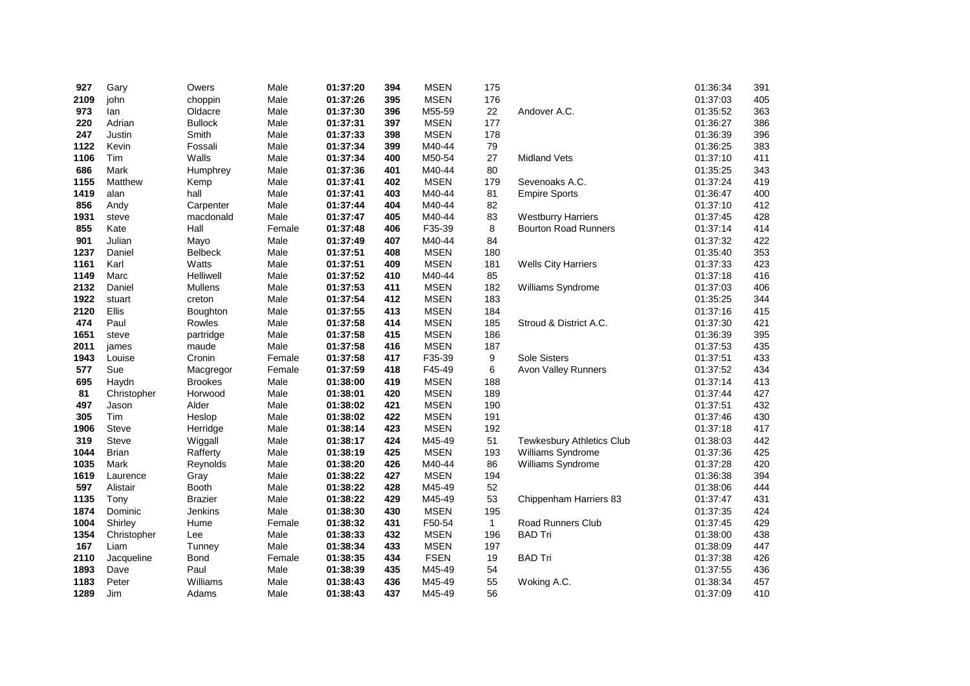| 927  | Gary         | Owers          | Male   | 01:37:20 | 394 | <b>MSEN</b> | 175          |                                  | 01:36:34 | 391 |
|------|--------------|----------------|--------|----------|-----|-------------|--------------|----------------------------------|----------|-----|
| 2109 | john         | choppin        | Male   | 01:37:26 | 395 | <b>MSEN</b> | 176          |                                  | 01:37:03 | 405 |
| 973  | lan          | Oldacre        | Male   | 01:37:30 | 396 | M55-59      | 22           | Andover A.C.                     | 01:35:52 | 363 |
| 220  | Adrian       | <b>Bullock</b> | Male   | 01:37:31 | 397 | <b>MSEN</b> | 177          |                                  | 01:36:27 | 386 |
| 247  | Justin       | Smith          | Male   | 01:37:33 | 398 | <b>MSEN</b> | 178          |                                  | 01:36:39 | 396 |
| 1122 | Kevin        | Fossali        | Male   | 01:37:34 | 399 | M40-44      | 79           |                                  | 01:36:25 | 383 |
| 1106 | Tim          | Walls          | Male   | 01:37:34 | 400 | M50-54      | 27           | Midland Vets                     | 01:37:10 | 411 |
| 686  | Mark         | Humphrey       | Male   | 01:37:36 | 401 | M40-44      | 80           |                                  | 01:35:25 | 343 |
| 1155 | Matthew      | Kemp           | Male   | 01:37:41 | 402 | <b>MSEN</b> | 179          | Sevenoaks A.C.                   | 01:37:24 | 419 |
| 1419 | alan         | hall           | Male   | 01:37:41 | 403 | M40-44      | 81           | <b>Empire Sports</b>             | 01:36:47 | 400 |
| 856  | Andy         | Carpenter      | Male   | 01:37:44 | 404 | M40-44      | 82           |                                  | 01:37:10 | 412 |
| 1931 | steve        | macdonald      | Male   | 01:37:47 | 405 | M40-44      | 83           | <b>Westburry Harriers</b>        | 01:37:45 | 428 |
| 855  | Kate         | Hall           | Female | 01:37:48 | 406 | F35-39      | 8            | <b>Bourton Road Runners</b>      | 01:37:14 | 414 |
| 901  | Julian       | Mayo           | Male   | 01:37:49 | 407 | M40-44      | 84           |                                  | 01:37:32 | 422 |
| 1237 | Daniel       | <b>Belbeck</b> | Male   | 01:37:51 | 408 | <b>MSEN</b> | 180          |                                  | 01:35:40 | 353 |
| 1161 | Karl         | Watts          | Male   | 01:37:51 | 409 | <b>MSEN</b> | 181          | <b>Wells City Harriers</b>       | 01:37:33 | 423 |
| 1149 | Marc         | Helliwell      | Male   | 01:37:52 | 410 | M40-44      | 85           |                                  | 01:37:18 | 416 |
| 2132 | Daniel       | Mullens        | Male   | 01:37:53 | 411 | <b>MSEN</b> | 182          | Williams Syndrome                | 01:37:03 | 406 |
| 1922 | stuart       | creton         | Male   | 01:37:54 | 412 | <b>MSEN</b> | 183          |                                  | 01:35:25 | 344 |
| 2120 | Ellis        | Boughton       | Male   | 01:37:55 | 413 | <b>MSEN</b> | 184          |                                  | 01:37:16 | 415 |
| 474  | Paul         | Rowles         | Male   | 01:37:58 | 414 | <b>MSEN</b> | 185          | Stroud & District A.C.           | 01:37:30 | 421 |
| 1651 | steve        | partridge      | Male   | 01:37:58 | 415 | <b>MSEN</b> | 186          |                                  | 01:36:39 | 395 |
| 2011 | james        | maude          | Male   | 01:37:58 | 416 | <b>MSEN</b> | 187          |                                  | 01:37:53 | 435 |
| 1943 | Louise       | Cronin         | Female | 01:37:58 | 417 | F35-39      | 9            | Sole Sisters                     | 01:37:51 | 433 |
| 577  | Sue          | Macgregor      | Female | 01:37:59 | 418 | F45-49      | 6            | Avon Valley Runners              | 01:37:52 | 434 |
| 695  | Haydn        | <b>Brookes</b> | Male   | 01:38:00 | 419 | <b>MSEN</b> | 188          |                                  | 01:37:14 | 413 |
| 81   | Christopher  | Horwood        | Male   | 01:38:01 | 420 | <b>MSEN</b> | 189          |                                  | 01:37:44 | 427 |
| 497  | Jason        | Alder          | Male   | 01:38:02 | 421 | <b>MSEN</b> | 190          |                                  | 01:37:51 | 432 |
| 305  | Tim          | Heslop         | Male   | 01:38:02 | 422 | <b>MSEN</b> | 191          |                                  | 01:37:46 | 430 |
| 1906 | <b>Steve</b> | Herridge       | Male   | 01:38:14 | 423 | <b>MSEN</b> | 192          |                                  | 01:37:18 | 417 |
| 319  | <b>Steve</b> | Wiggall        | Male   | 01:38:17 | 424 | M45-49      | 51           | <b>Tewkesbury Athletics Club</b> | 01:38:03 | 442 |
| 1044 | <b>Brian</b> | Rafferty       | Male   | 01:38:19 | 425 | <b>MSEN</b> | 193          | Williams Syndrome                | 01:37:36 | 425 |
| 1035 | Mark         | Reynolds       | Male   | 01:38:20 | 426 | M40-44      | 86           | Williams Syndrome                | 01:37:28 | 420 |
| 1619 | Laurence     | Gray           | Male   | 01:38:22 | 427 | <b>MSEN</b> | 194          |                                  | 01:36:38 | 394 |
| 597  | Alistair     | <b>Booth</b>   | Male   | 01:38:22 | 428 | M45-49      | 52           |                                  | 01:38:06 | 444 |
| 1135 | Tony         | <b>Brazier</b> | Male   | 01:38:22 | 429 | M45-49      | 53           | Chippenham Harriers 83           | 01:37:47 | 431 |
| 1874 | Dominic      | Jenkins        | Male   | 01:38:30 | 430 | <b>MSEN</b> | 195          |                                  | 01:37:35 | 424 |
| 1004 | Shirley      | Hume           | Female | 01:38:32 | 431 | F50-54      | $\mathbf{1}$ | Road Runners Club                | 01:37:45 | 429 |
| 1354 | Christopher  | Lee            | Male   | 01:38:33 | 432 | <b>MSEN</b> | 196          | <b>BAD Tri</b>                   | 01:38:00 | 438 |
| 167  | Liam         | Tunney         | Male   | 01:38:34 | 433 | <b>MSEN</b> | 197          |                                  | 01:38:09 | 447 |
| 2110 | Jacqueline   | Bond           | Female | 01:38:35 | 434 | <b>FSEN</b> | 19           | <b>BAD Tri</b>                   | 01:37:38 | 426 |
| 1893 | Dave         | Paul           | Male   | 01:38:39 | 435 | M45-49      | 54           |                                  | 01:37:55 | 436 |
| 1183 | Peter        | Williams       | Male   | 01:38:43 | 436 | M45-49      | 55           | Woking A.C.                      | 01:38:34 | 457 |
| 1289 | Jim          | Adams          | Male   | 01:38:43 | 437 | M45-49      | 56           |                                  | 01:37:09 | 410 |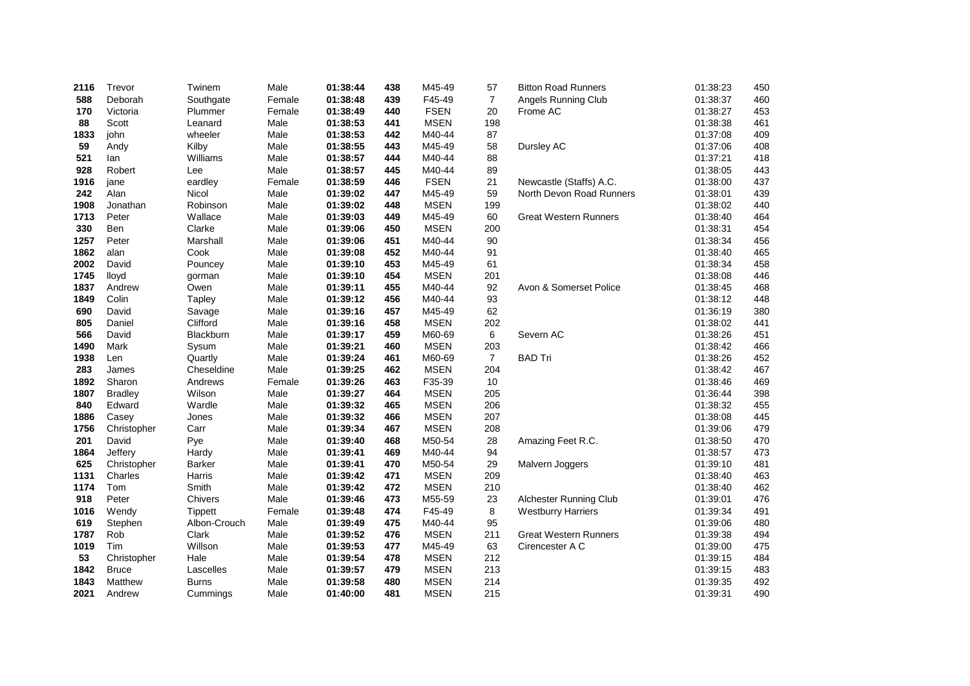| 2116 | Trevor         | Twinem         | Male   | 01:38:44 | 438 | M45-49      | 57             | <b>Bitton Road Runners</b>   | 01:38:23 | 450 |
|------|----------------|----------------|--------|----------|-----|-------------|----------------|------------------------------|----------|-----|
| 588  | Deborah        | Southgate      | Female | 01:38:48 | 439 | F45-49      | $\overline{7}$ | Angels Running Club          | 01:38:37 | 460 |
| 170  | Victoria       | Plummer        | Female | 01:38:49 | 440 | <b>FSEN</b> | 20             | Frome AC                     | 01:38:27 | 453 |
| 88   | Scott          | Leanard        | Male   | 01:38:53 | 441 | <b>MSEN</b> | 198            |                              | 01:38:38 | 461 |
| 1833 | john           | wheeler        | Male   | 01:38:53 | 442 | M40-44      | 87             |                              | 01:37:08 | 409 |
| 59   | Andy           | Kilby          | Male   | 01:38:55 | 443 | M45-49      | 58             | Dursley AC                   | 01:37:06 | 408 |
| 521  | lan            | Williams       | Male   | 01:38:57 | 444 | M40-44      | 88             |                              | 01:37:21 | 418 |
| 928  | Robert         | Lee            | Male   | 01:38:57 | 445 | M40-44      | 89             |                              | 01:38:05 | 443 |
| 1916 | jane           | eardley        | Female | 01:38:59 | 446 | <b>FSEN</b> | 21             | Newcastle (Staffs) A.C.      | 01:38:00 | 437 |
| 242  | Alan           | Nicol          | Male   | 01:39:02 | 447 | M45-49      | 59             | North Devon Road Runners     | 01:38:01 | 439 |
| 1908 | Jonathan       | Robinson       | Male   | 01:39:02 | 448 | <b>MSEN</b> | 199            |                              | 01:38:02 | 440 |
| 1713 | Peter          | Wallace        | Male   | 01:39:03 | 449 | M45-49      | 60             | <b>Great Western Runners</b> | 01:38:40 | 464 |
| 330  | Ben            | Clarke         | Male   | 01:39:06 | 450 | <b>MSEN</b> | 200            |                              | 01:38:31 | 454 |
| 1257 | Peter          | Marshall       | Male   | 01:39:06 | 451 | M40-44      | 90             |                              | 01:38:34 | 456 |
| 1862 | alan           | Cook           | Male   | 01:39:08 | 452 | M40-44      | 91             |                              | 01:38:40 | 465 |
| 2002 | David          | Pouncey        | Male   | 01:39:10 | 453 | M45-49      | 61             |                              | 01:38:34 | 458 |
| 1745 | lloyd          | gorman         | Male   | 01:39:10 | 454 | <b>MSEN</b> | 201            |                              | 01:38:08 | 446 |
| 1837 | Andrew         | Owen           | Male   | 01:39:11 | 455 | M40-44      | 92             | Avon & Somerset Police       | 01:38:45 | 468 |
| 1849 | Colin          | Tapley         | Male   | 01:39:12 | 456 | M40-44      | 93             |                              | 01:38:12 | 448 |
| 690  | David          | Savage         | Male   | 01:39:16 | 457 | M45-49      | 62             |                              | 01:36:19 | 380 |
| 805  | Daniel         | Clifford       | Male   | 01:39:16 | 458 | <b>MSEN</b> | 202            |                              | 01:38:02 | 441 |
| 566  | David          | Blackburn      | Male   | 01:39:17 | 459 | M60-69      | 6              | Severn AC                    | 01:38:26 | 451 |
| 1490 | Mark           | Sysum          | Male   | 01:39:21 | 460 | <b>MSEN</b> | 203            |                              | 01:38:42 | 466 |
| 1938 | Len            | Quartly        | Male   | 01:39:24 | 461 | M60-69      | $\overline{7}$ | <b>BAD Tri</b>               | 01:38:26 | 452 |
| 283  | James          | Cheseldine     | Male   | 01:39:25 | 462 | <b>MSEN</b> | 204            |                              | 01:38:42 | 467 |
| 1892 | Sharon         | Andrews        | Female | 01:39:26 | 463 | F35-39      | 10             |                              | 01:38:46 | 469 |
| 1807 | <b>Bradley</b> | Wilson         | Male   | 01:39:27 | 464 | <b>MSEN</b> | 205            |                              | 01:36:44 | 398 |
| 840  | Edward         | Wardle         | Male   | 01:39:32 | 465 | <b>MSEN</b> | 206            |                              | 01:38:32 | 455 |
| 1886 | Casey          | Jones          | Male   | 01:39:32 | 466 | <b>MSEN</b> | 207            |                              | 01:38:08 | 445 |
| 1756 | Christopher    | Carr           | Male   | 01:39:34 | 467 | <b>MSEN</b> | 208            |                              | 01:39:06 | 479 |
| 201  | David          | Pye            | Male   | 01:39:40 | 468 | M50-54      | 28             | Amazing Feet R.C.            | 01:38:50 | 470 |
| 1864 | Jeffery        | Hardy          | Male   | 01:39:41 | 469 | M40-44      | 94             |                              | 01:38:57 | 473 |
| 625  | Christopher    | <b>Barker</b>  | Male   | 01:39:41 | 470 | M50-54      | 29             | Malvern Joggers              | 01:39:10 | 481 |
| 1131 | Charles        | Harris         | Male   | 01:39:42 | 471 | <b>MSEN</b> | 209            |                              | 01:38:40 | 463 |
| 1174 | Tom            | Smith          | Male   | 01:39:42 | 472 | <b>MSEN</b> | 210            |                              | 01:38:40 | 462 |
| 918  | Peter          | Chivers        | Male   | 01:39:46 | 473 | M55-59      | 23             | Alchester Running Club       | 01:39:01 | 476 |
| 1016 | Wendy          | <b>Tippett</b> | Female | 01:39:48 | 474 | F45-49      | 8              | <b>Westburry Harriers</b>    | 01:39:34 | 491 |
| 619  | Stephen        | Albon-Crouch   | Male   | 01:39:49 | 475 | M40-44      | 95             |                              | 01:39:06 | 480 |
| 1787 | Rob            | Clark          | Male   | 01:39:52 | 476 | <b>MSEN</b> | 211            | <b>Great Western Runners</b> | 01:39:38 | 494 |
| 1019 | Tim            | Willson        | Male   | 01:39:53 | 477 | M45-49      | 63             | Cirencester A C              | 01:39:00 | 475 |
| 53   | Christopher    | Hale           | Male   | 01:39:54 | 478 | <b>MSEN</b> | 212            |                              | 01:39:15 | 484 |
| 1842 | <b>Bruce</b>   | Lascelles      | Male   | 01:39:57 | 479 | <b>MSEN</b> | 213            |                              | 01:39:15 | 483 |
| 1843 | Matthew        | <b>Burns</b>   | Male   | 01:39:58 | 480 | <b>MSEN</b> | 214            |                              | 01:39:35 | 492 |
| 2021 | Andrew         | Cummings       | Male   | 01:40:00 | 481 | <b>MSEN</b> | 215            |                              | 01:39:31 | 490 |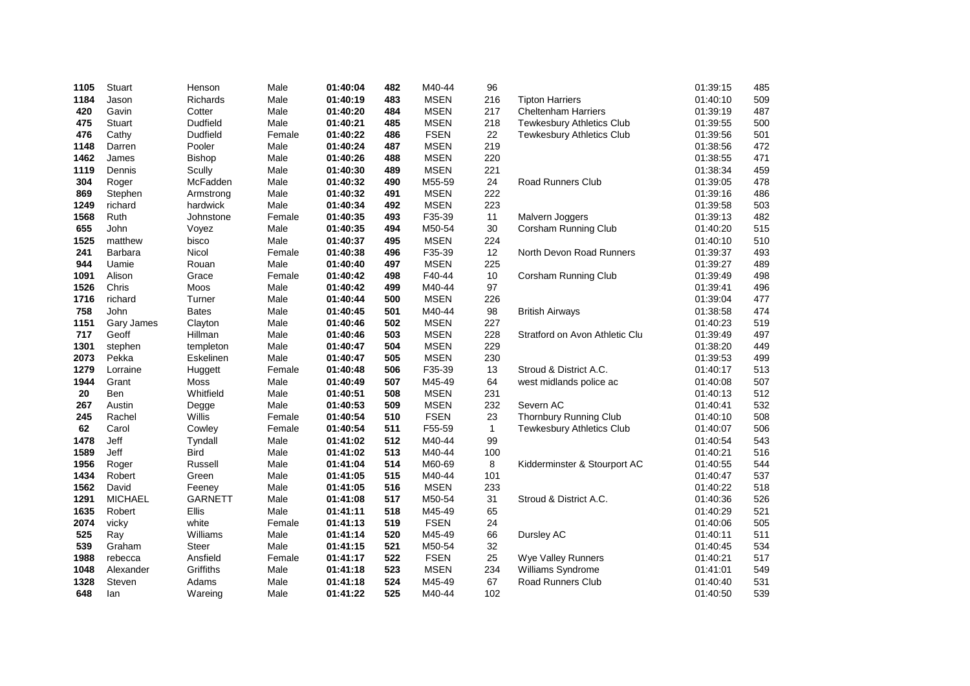| 1105 | Stuart         | Henson          | Male   | 01:40:04 | 482 | M40-44      | 96           |                                  | 01:39:15 | 485 |
|------|----------------|-----------------|--------|----------|-----|-------------|--------------|----------------------------------|----------|-----|
| 1184 | Jason          | Richards        | Male   | 01:40:19 | 483 | <b>MSEN</b> | 216          | <b>Tipton Harriers</b>           | 01:40:10 | 509 |
| 420  | Gavin          | Cotter          | Male   | 01:40:20 | 484 | <b>MSEN</b> | 217          | <b>Cheltenham Harriers</b>       | 01:39:19 | 487 |
| 475  | <b>Stuart</b>  | <b>Dudfield</b> | Male   | 01:40:21 | 485 | <b>MSEN</b> | 218          | <b>Tewkesbury Athletics Club</b> | 01:39:55 | 500 |
| 476  | Cathy          | <b>Dudfield</b> | Female | 01:40:22 | 486 | <b>FSEN</b> | 22           | Tewkesbury Athletics Club        | 01:39:56 | 501 |
| 1148 | Darren         | Pooler          | Male   | 01:40:24 | 487 | <b>MSEN</b> | 219          |                                  | 01:38:56 | 472 |
| 1462 | James          | Bishop          | Male   | 01:40:26 | 488 | <b>MSEN</b> | 220          |                                  | 01:38:55 | 471 |
| 1119 | Dennis         | Scully          | Male   | 01:40:30 | 489 | <b>MSEN</b> | 221          |                                  | 01:38:34 | 459 |
| 304  | Roger          | McFadden        | Male   | 01:40:32 | 490 | M55-59      | 24           | <b>Road Runners Club</b>         | 01:39:05 | 478 |
| 869  | Stephen        | Armstrong       | Male   | 01:40:32 | 491 | <b>MSEN</b> | 222          |                                  | 01:39:16 | 486 |
| 1249 | richard        | hardwick        | Male   | 01:40:34 | 492 | <b>MSEN</b> | 223          |                                  | 01:39:58 | 503 |
| 1568 | Ruth           | Johnstone       | Female | 01:40:35 | 493 | F35-39      | 11           | Malvern Joggers                  | 01:39:13 | 482 |
| 655  | John           | Voyez           | Male   | 01:40:35 | 494 | M50-54      | 30           | Corsham Running Club             | 01:40:20 | 515 |
| 1525 | matthew        | bisco           | Male   | 01:40:37 | 495 | <b>MSEN</b> | 224          |                                  | 01:40:10 | 510 |
| 241  | <b>Barbara</b> | Nicol           | Female | 01:40:38 | 496 | F35-39      | 12           | North Devon Road Runners         | 01:39:37 | 493 |
| 944  | Uamie          | Rouan           | Male   | 01:40:40 | 497 | <b>MSEN</b> | 225          |                                  | 01:39:27 | 489 |
| 1091 | Alison         | Grace           | Female | 01:40:42 | 498 | F40-44      | 10           | Corsham Running Club             | 01:39:49 | 498 |
| 1526 | Chris          | Moos            | Male   | 01:40:42 | 499 | M40-44      | 97           |                                  | 01:39:41 | 496 |
| 1716 | richard        | Turner          | Male   | 01:40:44 | 500 | <b>MSEN</b> | 226          |                                  | 01:39:04 | 477 |
| 758  | John           | <b>Bates</b>    | Male   | 01:40:45 | 501 | M40-44      | 98           | <b>British Airways</b>           | 01:38:58 | 474 |
| 1151 | Gary James     | Clayton         | Male   | 01:40:46 | 502 | <b>MSEN</b> | 227          |                                  | 01:40:23 | 519 |
| 717  | Geoff          | Hillman         | Male   | 01:40:46 | 503 | <b>MSEN</b> | 228          | Stratford on Avon Athletic Clu   | 01:39:49 | 497 |
| 1301 | stephen        | templeton       | Male   | 01:40:47 | 504 | <b>MSEN</b> | 229          |                                  | 01:38:20 | 449 |
| 2073 | Pekka          | Eskelinen       | Male   | 01:40:47 | 505 | <b>MSEN</b> | 230          |                                  | 01:39:53 | 499 |
| 1279 | Lorraine       | Huggett         | Female | 01:40:48 | 506 | F35-39      | 13           | Stroud & District A.C.           | 01:40:17 | 513 |
| 1944 | Grant          | Moss            | Male   | 01:40:49 | 507 | M45-49      | 64           | west midlands police ac          | 01:40:08 | 507 |
| 20   | Ben            | Whitfield       | Male   | 01:40:51 | 508 | <b>MSEN</b> | 231          |                                  | 01:40:13 | 512 |
| 267  | Austin         | Degge           | Male   | 01:40:53 | 509 | <b>MSEN</b> | 232          | Severn AC                        | 01:40:41 | 532 |
| 245  | Rachel         | Willis          | Female | 01:40:54 | 510 | <b>FSEN</b> | 23           | Thornbury Running Club           | 01:40:10 | 508 |
| 62   | Carol          | Cowley          | Female | 01:40:54 | 511 | F55-59      | $\mathbf{1}$ | Tewkesbury Athletics Club        | 01:40:07 | 506 |
| 1478 | Jeff           | Tyndall         | Male   | 01:41:02 | 512 | M40-44      | 99           |                                  | 01:40:54 | 543 |
| 1589 | Jeff           | <b>Bird</b>     | Male   | 01:41:02 | 513 | M40-44      | 100          |                                  | 01:40:21 | 516 |
| 1956 | Roger          | Russell         | Male   | 01:41:04 | 514 | M60-69      | 8            | Kidderminster & Stourport AC     | 01:40:55 | 544 |
| 1434 | Robert         | Green           | Male   | 01:41:05 | 515 | M40-44      | 101          |                                  | 01:40:47 | 537 |
| 1562 | David          | Feeney          | Male   | 01:41:05 | 516 | <b>MSEN</b> | 233          |                                  | 01:40:22 | 518 |
| 1291 | <b>MICHAEL</b> | <b>GARNETT</b>  | Male   | 01:41:08 | 517 | M50-54      | 31           | Stroud & District A.C.           | 01:40:36 | 526 |
| 1635 | Robert         | <b>Ellis</b>    | Male   | 01:41:11 | 518 | M45-49      | 65           |                                  | 01:40:29 | 521 |
| 2074 | vicky          | white           | Female | 01:41:13 | 519 | <b>FSEN</b> | 24           |                                  | 01:40:06 | 505 |
| 525  | Ray            | Williams        | Male   | 01:41:14 | 520 | M45-49      | 66           | Dursley AC                       | 01:40:11 | 511 |
| 539  | Graham         | <b>Steer</b>    | Male   | 01:41:15 | 521 | M50-54      | 32           |                                  | 01:40:45 | 534 |
| 1988 | rebecca        | Ansfield        | Female | 01:41:17 | 522 | <b>FSEN</b> | 25           | Wye Valley Runners               | 01:40:21 | 517 |
| 1048 | Alexander      | Griffiths       | Male   | 01:41:18 | 523 | <b>MSEN</b> | 234          | Williams Syndrome                | 01:41:01 | 549 |
| 1328 | Steven         | Adams           | Male   | 01:41:18 | 524 | M45-49      | 67           | <b>Road Runners Club</b>         | 01:40:40 | 531 |
| 648  | lan            | Wareing         | Male   | 01:41:22 | 525 | M40-44      | 102          |                                  | 01:40:50 | 539 |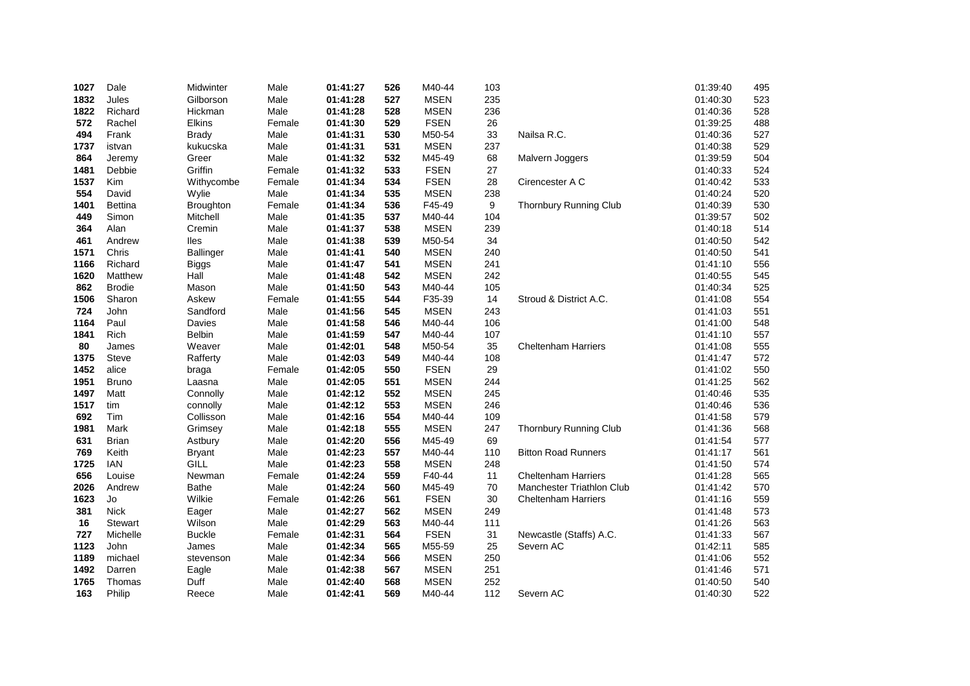| 1027 | Dale          | Midwinter        | Male   | 01:41:27 | 526 | M40-44      | 103 |                               | 01:39:40 | 495 |
|------|---------------|------------------|--------|----------|-----|-------------|-----|-------------------------------|----------|-----|
| 1832 | Jules         | Gilborson        | Male   | 01:41:28 | 527 | <b>MSEN</b> | 235 |                               | 01:40:30 | 523 |
| 1822 | Richard       | Hickman          | Male   | 01:41:28 | 528 | <b>MSEN</b> | 236 |                               | 01:40:36 | 528 |
| 572  | Rachel        | <b>Elkins</b>    | Female | 01:41:30 | 529 | <b>FSEN</b> | 26  |                               | 01:39:25 | 488 |
| 494  | Frank         | <b>Brady</b>     | Male   | 01:41:31 | 530 | M50-54      | 33  | Nailsa R.C.                   | 01:40:36 | 527 |
| 1737 | istvan        | kukucska         | Male   | 01:41:31 | 531 | <b>MSEN</b> | 237 |                               | 01:40:38 | 529 |
| 864  | Jeremy        | Greer            | Male   | 01:41:32 | 532 | M45-49      | 68  | Malvern Joggers               | 01:39:59 | 504 |
| 1481 | Debbie        | Griffin          | Female | 01:41:32 | 533 | <b>FSEN</b> | 27  |                               | 01:40:33 | 524 |
| 1537 | Kim           | Withycombe       | Female | 01:41:34 | 534 | <b>FSEN</b> | 28  | Cirencester A C               | 01:40:42 | 533 |
| 554  | David         | Wylie            | Male   | 01:41:34 | 535 | <b>MSEN</b> | 238 |                               | 01:40:24 | 520 |
| 1401 | Bettina       | <b>Broughton</b> | Female | 01:41:34 | 536 | F45-49      | 9   | <b>Thornbury Running Club</b> | 01:40:39 | 530 |
| 449  | Simon         | Mitchell         | Male   | 01:41:35 | 537 | M40-44      | 104 |                               | 01:39:57 | 502 |
| 364  | Alan          | Cremin           | Male   | 01:41:37 | 538 | <b>MSEN</b> | 239 |                               | 01:40:18 | 514 |
| 461  | Andrew        | lles             | Male   | 01:41:38 | 539 | M50-54      | 34  |                               | 01:40:50 | 542 |
| 1571 | Chris         | Ballinger        | Male   | 01:41:41 | 540 | <b>MSEN</b> | 240 |                               | 01:40:50 | 541 |
| 1166 | Richard       | <b>Biggs</b>     | Male   | 01:41:47 | 541 | <b>MSEN</b> | 241 |                               | 01:41:10 | 556 |
| 1620 | Matthew       | Hall             | Male   | 01:41:48 | 542 | <b>MSEN</b> | 242 |                               | 01:40:55 | 545 |
| 862  | <b>Brodie</b> | Mason            | Male   | 01:41:50 | 543 | M40-44      | 105 |                               | 01:40:34 | 525 |
| 1506 | Sharon        | Askew            | Female | 01:41:55 | 544 | F35-39      | 14  | Stroud & District A.C.        | 01:41:08 | 554 |
| 724  | John          | Sandford         | Male   | 01:41:56 | 545 | <b>MSEN</b> | 243 |                               | 01:41:03 | 551 |
| 1164 | Paul          | Davies           | Male   | 01:41:58 | 546 | M40-44      | 106 |                               | 01:41:00 | 548 |
| 1841 | <b>Rich</b>   | Belbin           | Male   | 01:41:59 | 547 | M40-44      | 107 |                               | 01:41:10 | 557 |
| 80   | James         | Weaver           | Male   | 01:42:01 | 548 | M50-54      | 35  | <b>Cheltenham Harriers</b>    | 01:41:08 | 555 |
| 1375 | <b>Steve</b>  | Rafferty         | Male   | 01:42:03 | 549 | M40-44      | 108 |                               | 01:41:47 | 572 |
| 1452 | alice         | braga            | Female | 01:42:05 | 550 | <b>FSEN</b> | 29  |                               | 01:41:02 | 550 |
| 1951 | <b>Bruno</b>  | Laasna           | Male   | 01:42:05 | 551 | <b>MSEN</b> | 244 |                               | 01:41:25 | 562 |
| 1497 | Matt          | Connolly         | Male   | 01:42:12 | 552 | <b>MSEN</b> | 245 |                               | 01:40:46 | 535 |
| 1517 | tim           | connolly         | Male   | 01:42:12 | 553 | <b>MSEN</b> | 246 |                               | 01:40:46 | 536 |
| 692  | Tim           | Collisson        | Male   | 01:42:16 | 554 | M40-44      | 109 |                               | 01:41:58 | 579 |
| 1981 | Mark          | Grimsey          | Male   | 01:42:18 | 555 | <b>MSEN</b> | 247 | Thornbury Running Club        | 01:41:36 | 568 |
| 631  | Brian         | Astbury          | Male   | 01:42:20 | 556 | M45-49      | 69  |                               | 01:41:54 | 577 |
| 769  | Keith         | <b>Bryant</b>    | Male   | 01:42:23 | 557 | M40-44      | 110 | <b>Bitton Road Runners</b>    | 01:41:17 | 561 |
| 1725 | <b>IAN</b>    | GILL             | Male   | 01:42:23 | 558 | <b>MSEN</b> | 248 |                               | 01:41:50 | 574 |
| 656  | Louise        | Newman           | Female | 01:42:24 | 559 | F40-44      | 11  | <b>Cheltenham Harriers</b>    | 01:41:28 | 565 |
| 2026 | Andrew        | <b>Bathe</b>     | Male   | 01:42:24 | 560 | M45-49      | 70  | Manchester Triathlon Club     | 01:41:42 | 570 |
| 1623 | Jo            | Wilkie           | Female | 01:42:26 | 561 | <b>FSEN</b> | 30  | <b>Cheltenham Harriers</b>    | 01:41:16 | 559 |
| 381  | <b>Nick</b>   | Eager            | Male   | 01:42:27 | 562 | <b>MSEN</b> | 249 |                               | 01:41:48 | 573 |
| 16   | Stewart       | Wilson           | Male   | 01:42:29 | 563 | M40-44      | 111 |                               | 01:41:26 | 563 |
| 727  | Michelle      | <b>Buckle</b>    | Female | 01:42:31 | 564 | <b>FSEN</b> | 31  | Newcastle (Staffs) A.C.       | 01:41:33 | 567 |
| 1123 | John          | James            | Male   | 01:42:34 | 565 | M55-59      | 25  | Severn AC                     | 01:42:11 | 585 |
| 1189 | michael       | stevenson        | Male   | 01:42:34 | 566 | <b>MSEN</b> | 250 |                               | 01:41:06 | 552 |
| 1492 | Darren        | Eagle            | Male   | 01:42:38 | 567 | <b>MSEN</b> | 251 |                               | 01:41:46 | 571 |
| 1765 | Thomas        | Duff             | Male   | 01:42:40 | 568 | <b>MSEN</b> | 252 |                               | 01:40:50 | 540 |
| 163  | Philip        | Reece            | Male   | 01:42:41 | 569 | M40-44      | 112 | Severn AC                     | 01:40:30 | 522 |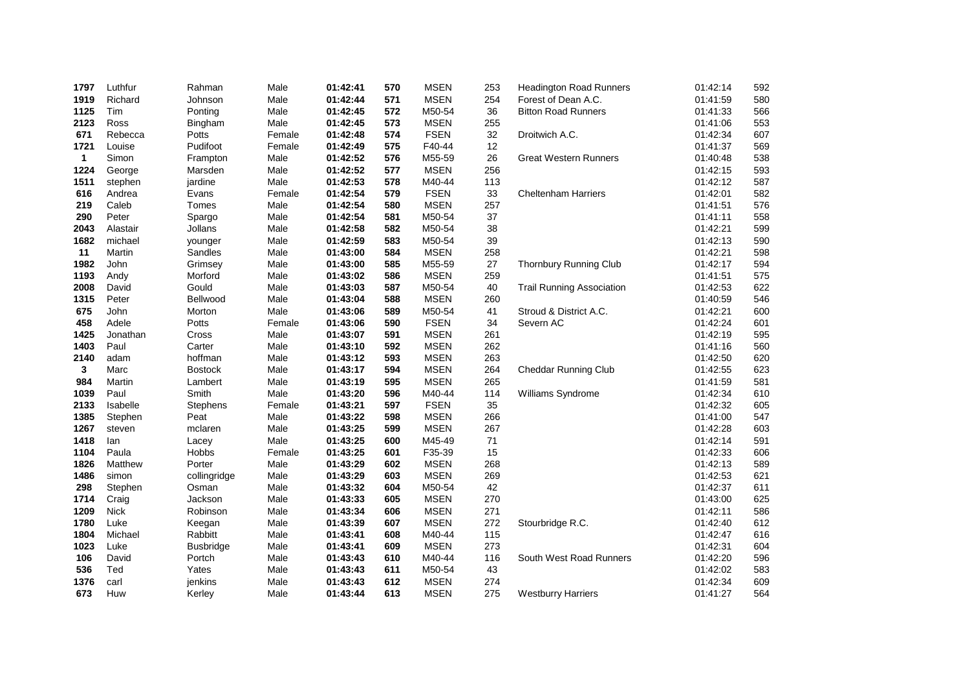| 1797         | Luthfur     | Rahman           | Male   | 01:42:41 | 570 | <b>MSEN</b> | 253 | <b>Headington Road Runners</b>   | 01:42:14 | 592 |
|--------------|-------------|------------------|--------|----------|-----|-------------|-----|----------------------------------|----------|-----|
| 1919         | Richard     | Johnson          | Male   | 01:42:44 | 571 | <b>MSEN</b> | 254 | Forest of Dean A.C.              | 01:41:59 | 580 |
| 1125         | Tim         | Ponting          | Male   | 01:42:45 | 572 | M50-54      | 36  | <b>Bitton Road Runners</b>       | 01:41:33 | 566 |
| 2123         | Ross        | Bingham          | Male   | 01:42:45 | 573 | <b>MSEN</b> | 255 |                                  | 01:41:06 | 553 |
| 671          | Rebecca     | Potts            | Female | 01:42:48 | 574 | <b>FSEN</b> | 32  | Droitwich A.C.                   | 01:42:34 | 607 |
| 1721         | Louise      | Pudifoot         | Female | 01:42:49 | 575 | F40-44      | 12  |                                  | 01:41:37 | 569 |
| $\mathbf{1}$ | Simon       | Frampton         | Male   | 01:42:52 | 576 | M55-59      | 26  | <b>Great Western Runners</b>     | 01:40:48 | 538 |
| 1224         | George      | Marsden          | Male   | 01:42:52 | 577 | <b>MSEN</b> | 256 |                                  | 01:42:15 | 593 |
| 1511         | stephen     | jardine          | Male   | 01:42:53 | 578 | M40-44      | 113 |                                  | 01:42:12 | 587 |
| 616          | Andrea      | Evans            | Female | 01:42:54 | 579 | <b>FSEN</b> | 33  | <b>Cheltenham Harriers</b>       | 01:42:01 | 582 |
| 219          | Caleb       | Tomes            | Male   | 01:42:54 | 580 | <b>MSEN</b> | 257 |                                  | 01:41:51 | 576 |
| 290          | Peter       | Spargo           | Male   | 01:42:54 | 581 | M50-54      | 37  |                                  | 01:41:11 | 558 |
| 2043         | Alastair    | Jollans          | Male   | 01:42:58 | 582 | M50-54      | 38  |                                  | 01:42:21 | 599 |
| 1682         | michael     | younger          | Male   | 01:42:59 | 583 | M50-54      | 39  |                                  | 01:42:13 | 590 |
| 11           | Martin      | Sandles          | Male   | 01:43:00 | 584 | <b>MSEN</b> | 258 |                                  | 01:42:21 | 598 |
| 1982         | John        | Grimsey          | Male   | 01:43:00 | 585 | M55-59      | 27  | Thornbury Running Club           | 01:42:17 | 594 |
| 1193         | Andy        | Morford          | Male   | 01:43:02 | 586 | <b>MSEN</b> | 259 |                                  | 01:41:51 | 575 |
| 2008         | David       | Gould            | Male   | 01:43:03 | 587 | M50-54      | 40  | <b>Trail Running Association</b> | 01:42:53 | 622 |
| 1315         | Peter       | Bellwood         | Male   | 01:43:04 | 588 | <b>MSEN</b> | 260 |                                  | 01:40:59 | 546 |
| 675          | John        | Morton           | Male   | 01:43:06 | 589 | M50-54      | 41  | Stroud & District A.C.           | 01:42:21 | 600 |
| 458          | Adele       | Potts            | Female | 01:43:06 | 590 | <b>FSEN</b> | 34  | Severn AC                        | 01:42:24 | 601 |
| 1425         | Jonathan    | Cross            | Male   | 01:43:07 | 591 | <b>MSEN</b> | 261 |                                  | 01:42:19 | 595 |
| 1403         | Paul        | Carter           | Male   | 01:43:10 | 592 | <b>MSEN</b> | 262 |                                  | 01:41:16 | 560 |
| 2140         | adam        | hoffman          | Male   | 01:43:12 | 593 | <b>MSEN</b> | 263 |                                  | 01:42:50 | 620 |
| 3            | Marc        | <b>Bostock</b>   | Male   | 01:43:17 | 594 | <b>MSEN</b> | 264 | Cheddar Running Club             | 01:42:55 | 623 |
| 984          | Martin      | Lambert          | Male   | 01:43:19 | 595 | <b>MSEN</b> | 265 |                                  | 01:41:59 | 581 |
| 1039         | Paul        | Smith            | Male   | 01:43:20 | 596 | M40-44      | 114 | Williams Syndrome                | 01:42:34 | 610 |
| 2133         | Isabelle    | <b>Stephens</b>  | Female | 01:43:21 | 597 | <b>FSEN</b> | 35  |                                  | 01:42:32 | 605 |
| 1385         | Stephen     | Peat             | Male   | 01:43:22 | 598 | <b>MSEN</b> | 266 |                                  | 01:41:00 | 547 |
| 1267         | steven      | mclaren          | Male   | 01:43:25 | 599 | <b>MSEN</b> | 267 |                                  | 01:42:28 | 603 |
| 1418         | lan         | Lacey            | Male   | 01:43:25 | 600 | M45-49      | 71  |                                  | 01:42:14 | 591 |
| 1104         | Paula       | <b>Hobbs</b>     | Female | 01:43:25 | 601 | F35-39      | 15  |                                  | 01:42:33 | 606 |
| 1826         | Matthew     | Porter           | Male   | 01:43:29 | 602 | <b>MSEN</b> | 268 |                                  | 01:42:13 | 589 |
| 1486         | simon       | collingridge     | Male   | 01:43:29 | 603 | <b>MSEN</b> | 269 |                                  | 01:42:53 | 621 |
| 298          | Stephen     | Osman            | Male   | 01:43:32 | 604 | M50-54      | 42  |                                  | 01:42:37 | 611 |
| 1714         | Craig       | Jackson          | Male   | 01:43:33 | 605 | <b>MSEN</b> | 270 |                                  | 01:43:00 | 625 |
| 1209         | <b>Nick</b> | Robinson         | Male   | 01:43:34 | 606 | <b>MSEN</b> | 271 |                                  | 01:42:11 | 586 |
| 1780         | Luke        | Keegan           | Male   | 01:43:39 | 607 | <b>MSEN</b> | 272 | Stourbridge R.C.                 | 01:42:40 | 612 |
| 1804         | Michael     | Rabbitt          | Male   | 01:43:41 | 608 | M40-44      | 115 |                                  | 01:42:47 | 616 |
| 1023         | Luke        | <b>Busbridge</b> | Male   | 01:43:41 | 609 | <b>MSEN</b> | 273 |                                  | 01:42:31 | 604 |
| 106          | David       | Portch           | Male   | 01:43:43 | 610 | M40-44      | 116 | South West Road Runners          | 01:42:20 | 596 |
| 536          | Ted         | Yates            | Male   | 01:43:43 | 611 | M50-54      | 43  |                                  | 01:42:02 | 583 |
| 1376         | carl        | jenkins          | Male   | 01:43:43 | 612 | <b>MSEN</b> | 274 |                                  | 01:42:34 | 609 |
| 673          | Huw         | Kerley           | Male   | 01:43:44 | 613 | <b>MSEN</b> | 275 | <b>Westburry Harriers</b>        | 01:41:27 | 564 |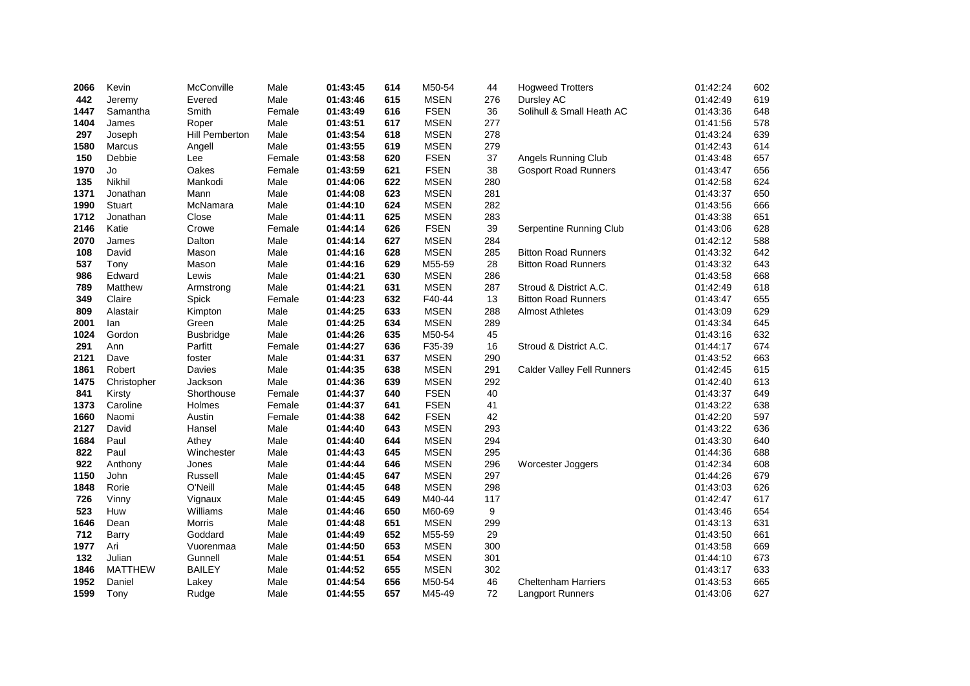| 2066 | Kevin          | McConville            | Male   | 01:43:45 | 614 | M50-54      | 44  | <b>Hogweed Trotters</b>           | 01:42:24 | 602 |
|------|----------------|-----------------------|--------|----------|-----|-------------|-----|-----------------------------------|----------|-----|
| 442  | Jeremy         | Evered                | Male   | 01:43:46 | 615 | <b>MSEN</b> | 276 | Dursley AC                        | 01:42:49 | 619 |
| 1447 | Samantha       | Smith                 | Female | 01:43:49 | 616 | <b>FSEN</b> | 36  | Solihull & Small Heath AC         | 01:43:36 | 648 |
| 1404 | James          | Roper                 | Male   | 01:43:51 | 617 | <b>MSEN</b> | 277 |                                   | 01:41:56 | 578 |
| 297  | Joseph         | <b>Hill Pemberton</b> | Male   | 01:43:54 | 618 | <b>MSEN</b> | 278 |                                   | 01:43:24 | 639 |
| 1580 | <b>Marcus</b>  | Angell                | Male   | 01:43:55 | 619 | <b>MSEN</b> | 279 |                                   | 01:42:43 | 614 |
| 150  | Debbie         | Lee                   | Female | 01:43:58 | 620 | <b>FSEN</b> | 37  | Angels Running Club               | 01:43:48 | 657 |
| 1970 | Jo             | Oakes                 | Female | 01:43:59 | 621 | <b>FSEN</b> | 38  | <b>Gosport Road Runners</b>       | 01:43:47 | 656 |
| 135  | Nikhil         | Mankodi               | Male   | 01:44:06 | 622 | <b>MSEN</b> | 280 |                                   | 01:42:58 | 624 |
| 1371 | Jonathan       | Mann                  | Male   | 01:44:08 | 623 | <b>MSEN</b> | 281 |                                   | 01:43:37 | 650 |
| 1990 | Stuart         | McNamara              | Male   | 01:44:10 | 624 | <b>MSEN</b> | 282 |                                   | 01:43:56 | 666 |
| 1712 | Jonathan       | Close                 | Male   | 01:44:11 | 625 | <b>MSEN</b> | 283 |                                   | 01:43:38 | 651 |
| 2146 | Katie          | Crowe                 | Female | 01:44:14 | 626 | <b>FSEN</b> | 39  | Serpentine Running Club           | 01:43:06 | 628 |
| 2070 | James          | Dalton                | Male   | 01:44:14 | 627 | <b>MSEN</b> | 284 |                                   | 01:42:12 | 588 |
| 108  | David          | Mason                 | Male   | 01:44:16 | 628 | <b>MSEN</b> | 285 | <b>Bitton Road Runners</b>        | 01:43:32 | 642 |
| 537  | Tony           | Mason                 | Male   | 01:44:16 | 629 | M55-59      | 28  | <b>Bitton Road Runners</b>        | 01:43:32 | 643 |
| 986  | Edward         | Lewis                 | Male   | 01:44:21 | 630 | <b>MSEN</b> | 286 |                                   | 01:43:58 | 668 |
| 789  | Matthew        | Armstrong             | Male   | 01:44:21 | 631 | <b>MSEN</b> | 287 | Stroud & District A.C.            | 01:42:49 | 618 |
| 349  | Claire         | Spick                 | Female | 01:44:23 | 632 | F40-44      | 13  | <b>Bitton Road Runners</b>        | 01:43:47 | 655 |
| 809  | Alastair       | Kimpton               | Male   | 01:44:25 | 633 | <b>MSEN</b> | 288 | <b>Almost Athletes</b>            | 01:43:09 | 629 |
| 2001 | lan            | Green                 | Male   | 01:44:25 | 634 | <b>MSEN</b> | 289 |                                   | 01:43:34 | 645 |
| 1024 | Gordon         | <b>Busbridge</b>      | Male   | 01:44:26 | 635 | M50-54      | 45  |                                   | 01:43:16 | 632 |
| 291  | Ann            | Parfitt               | Female | 01:44:27 | 636 | F35-39      | 16  | Stroud & District A.C.            | 01:44:17 | 674 |
| 2121 | Dave           | foster                | Male   | 01:44:31 | 637 | <b>MSEN</b> | 290 |                                   | 01:43:52 | 663 |
| 1861 | Robert         | Davies                | Male   | 01:44:35 | 638 | <b>MSEN</b> | 291 | <b>Calder Valley Fell Runners</b> | 01:42:45 | 615 |
| 1475 | Christopher    | Jackson               | Male   | 01:44:36 | 639 | <b>MSEN</b> | 292 |                                   | 01:42:40 | 613 |
| 841  | Kirsty         | Shorthouse            | Female | 01:44:37 | 640 | <b>FSEN</b> | 40  |                                   | 01:43:37 | 649 |
| 1373 | Caroline       | Holmes                | Female | 01:44:37 | 641 | <b>FSEN</b> | 41  |                                   | 01:43:22 | 638 |
| 1660 | Naomi          | Austin                | Female | 01:44:38 | 642 | <b>FSEN</b> | 42  |                                   | 01:42:20 | 597 |
| 2127 | David          | Hansel                | Male   | 01:44:40 | 643 | <b>MSEN</b> | 293 |                                   | 01:43:22 | 636 |
| 1684 | Paul           | Athey                 | Male   | 01:44:40 | 644 | <b>MSEN</b> | 294 |                                   | 01:43:30 | 640 |
| 822  | Paul           | Winchester            | Male   | 01:44:43 | 645 | <b>MSEN</b> | 295 |                                   | 01:44:36 | 688 |
| 922  | Anthony        | Jones                 | Male   | 01:44:44 | 646 | <b>MSEN</b> | 296 | Worcester Joggers                 | 01:42:34 | 608 |
| 1150 | John           | Russell               | Male   | 01:44:45 | 647 | <b>MSEN</b> | 297 |                                   | 01:44:26 | 679 |
| 1848 | Rorie          | O'Neill               | Male   | 01:44:45 | 648 | <b>MSEN</b> | 298 |                                   | 01:43:03 | 626 |
| 726  | Vinny          | Vignaux               | Male   | 01:44:45 | 649 | M40-44      | 117 |                                   | 01:42:47 | 617 |
| 523  | Huw            | Williams              | Male   | 01:44:46 | 650 | M60-69      | 9   |                                   | 01:43:46 | 654 |
| 1646 | Dean           | <b>Morris</b>         | Male   | 01:44:48 | 651 | <b>MSEN</b> | 299 |                                   | 01:43:13 | 631 |
| 712  | Barry          | Goddard               | Male   | 01:44:49 | 652 | M55-59      | 29  |                                   | 01:43:50 | 661 |
| 1977 | Ari            | Vuorenmaa             | Male   | 01:44:50 | 653 | <b>MSEN</b> | 300 |                                   | 01:43:58 | 669 |
| 132  | Julian         | Gunnell               | Male   | 01:44:51 | 654 | <b>MSEN</b> | 301 |                                   | 01:44:10 | 673 |
| 1846 | <b>MATTHEW</b> | <b>BAILEY</b>         | Male   | 01:44:52 | 655 | <b>MSEN</b> | 302 |                                   | 01:43:17 | 633 |
| 1952 | Daniel         | Lakey                 | Male   | 01:44:54 | 656 | M50-54      | 46  | <b>Cheltenham Harriers</b>        | 01:43:53 | 665 |
| 1599 | Tony           | Rudge                 | Male   | 01:44:55 | 657 | M45-49      | 72  | Langport Runners                  | 01:43:06 | 627 |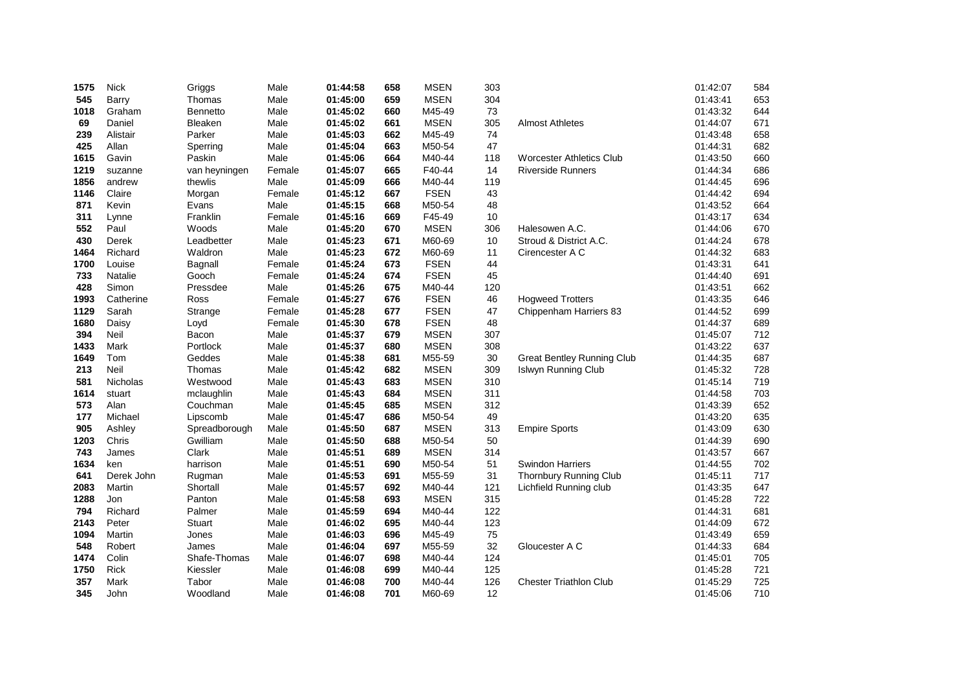| 1575 | <b>Nick</b> | Griggs        | Male   | 01:44:58 | 658 | <b>MSEN</b> | 303 |                                   | 01:42:07 | 584 |
|------|-------------|---------------|--------|----------|-----|-------------|-----|-----------------------------------|----------|-----|
| 545  | Barry       | Thomas        | Male   | 01:45:00 | 659 | <b>MSEN</b> | 304 |                                   | 01:43:41 | 653 |
| 1018 | Graham      | Bennetto      | Male   | 01:45:02 | 660 | M45-49      | 73  |                                   | 01:43:32 | 644 |
| 69   | Daniel      | Bleaken       | Male   | 01:45:02 | 661 | <b>MSEN</b> | 305 | <b>Almost Athletes</b>            | 01:44:07 | 671 |
| 239  | Alistair    | Parker        | Male   | 01:45:03 | 662 | M45-49      | 74  |                                   | 01:43:48 | 658 |
| 425  | Allan       | Sperring      | Male   | 01:45:04 | 663 | M50-54      | 47  |                                   | 01:44:31 | 682 |
| 1615 | Gavin       | Paskin        | Male   | 01:45:06 | 664 | M40-44      | 118 | <b>Worcester Athletics Club</b>   | 01:43:50 | 660 |
| 1219 | suzanne     | van heyningen | Female | 01:45:07 | 665 | F40-44      | 14  | <b>Riverside Runners</b>          | 01:44:34 | 686 |
| 1856 | andrew      | thewlis       | Male   | 01:45:09 | 666 | M40-44      | 119 |                                   | 01:44:45 | 696 |
| 1146 | Claire      | Morgan        | Female | 01:45:12 | 667 | <b>FSEN</b> | 43  |                                   | 01:44:42 | 694 |
| 871  | Kevin       | Evans         | Male   | 01:45:15 | 668 | M50-54      | 48  |                                   | 01:43:52 | 664 |
| 311  | Lynne       | Franklin      | Female | 01:45:16 | 669 | F45-49      | 10  |                                   | 01:43:17 | 634 |
| 552  | Paul        | Woods         | Male   | 01:45:20 | 670 | <b>MSEN</b> | 306 | Halesowen A.C.                    | 01:44:06 | 670 |
| 430  | Derek       | Leadbetter    | Male   | 01:45:23 | 671 | M60-69      | 10  | Stroud & District A.C.            | 01:44:24 | 678 |
| 1464 | Richard     | Waldron       | Male   | 01:45:23 | 672 | M60-69      | 11  | Cirencester A C                   | 01:44:32 | 683 |
| 1700 | Louise      | Bagnall       | Female | 01:45:24 | 673 | <b>FSEN</b> | 44  |                                   | 01:43:31 | 641 |
| 733  | Natalie     | Gooch         | Female | 01:45:24 | 674 | <b>FSEN</b> | 45  |                                   | 01:44:40 | 691 |
| 428  | Simon       | Pressdee      | Male   | 01:45:26 | 675 | M40-44      | 120 |                                   | 01:43:51 | 662 |
| 1993 | Catherine   | Ross          | Female | 01:45:27 | 676 | <b>FSEN</b> | 46  | <b>Hogweed Trotters</b>           | 01:43:35 | 646 |
| 1129 | Sarah       | Strange       | Female | 01:45:28 | 677 | <b>FSEN</b> | 47  | Chippenham Harriers 83            | 01:44:52 | 699 |
| 1680 | Daisy       | Loyd          | Female | 01:45:30 | 678 | <b>FSEN</b> | 48  |                                   | 01:44:37 | 689 |
| 394  | Neil        | Bacon         | Male   | 01:45:37 | 679 | <b>MSEN</b> | 307 |                                   | 01:45:07 | 712 |
| 1433 | Mark        | Portlock      | Male   | 01:45:37 | 680 | <b>MSEN</b> | 308 |                                   | 01:43:22 | 637 |
| 1649 | Tom         | Geddes        | Male   | 01:45:38 | 681 | M55-59      | 30  | <b>Great Bentley Running Club</b> | 01:44:35 | 687 |
| 213  | Neil        | Thomas        | Male   | 01:45:42 | 682 | <b>MSEN</b> | 309 | Islwyn Running Club               | 01:45:32 | 728 |
| 581  | Nicholas    | Westwood      | Male   | 01:45:43 | 683 | <b>MSEN</b> | 310 |                                   | 01:45:14 | 719 |
| 1614 | stuart      | mclaughlin    | Male   | 01:45:43 | 684 | <b>MSEN</b> | 311 |                                   | 01:44:58 | 703 |
| 573  | Alan        | Couchman      | Male   | 01:45:45 | 685 | <b>MSEN</b> | 312 |                                   | 01:43:39 | 652 |
| 177  | Michael     | Lipscomb      | Male   | 01:45:47 | 686 | M50-54      | 49  |                                   | 01:43:20 | 635 |
| 905  | Ashley      | Spreadborough | Male   | 01:45:50 | 687 | <b>MSEN</b> | 313 | <b>Empire Sports</b>              | 01:43:09 | 630 |
| 1203 | Chris       | Gwilliam      | Male   | 01:45:50 | 688 | M50-54      | 50  |                                   | 01:44:39 | 690 |
| 743  | James       | Clark         | Male   | 01:45:51 | 689 | <b>MSEN</b> | 314 |                                   | 01:43:57 | 667 |
| 1634 | ken         | harrison      | Male   | 01:45:51 | 690 | M50-54      | 51  | <b>Swindon Harriers</b>           | 01:44:55 | 702 |
| 641  | Derek John  | Rugman        | Male   | 01:45:53 | 691 | M55-59      | 31  | Thornbury Running Club            | 01:45:11 | 717 |
| 2083 | Martin      | Shortall      | Male   | 01:45:57 | 692 | M40-44      | 121 | Lichfield Running club            | 01:43:35 | 647 |
| 1288 | Jon         | Panton        | Male   | 01:45:58 | 693 | <b>MSEN</b> | 315 |                                   | 01:45:28 | 722 |
| 794  | Richard     | Palmer        | Male   | 01:45:59 | 694 | M40-44      | 122 |                                   | 01:44:31 | 681 |
| 2143 | Peter       | Stuart        | Male   | 01:46:02 | 695 | M40-44      | 123 |                                   | 01:44:09 | 672 |
| 1094 | Martin      | Jones         | Male   | 01:46:03 | 696 | M45-49      | 75  |                                   | 01:43:49 | 659 |
| 548  | Robert      | James         | Male   | 01:46:04 | 697 | M55-59      | 32  | Gloucester A C                    | 01:44:33 | 684 |
| 1474 | Colin       | Shafe-Thomas  | Male   | 01:46:07 | 698 | M40-44      | 124 |                                   | 01:45:01 | 705 |
| 1750 | Rick        | Kiessler      | Male   | 01:46:08 | 699 | M40-44      | 125 |                                   | 01:45:28 | 721 |
| 357  | Mark        | Tabor         | Male   | 01:46:08 | 700 | M40-44      | 126 | <b>Chester Triathlon Club</b>     | 01:45:29 | 725 |
| 345  | John        | Woodland      | Male   | 01:46:08 | 701 | M60-69      | 12  |                                   | 01:45:06 | 710 |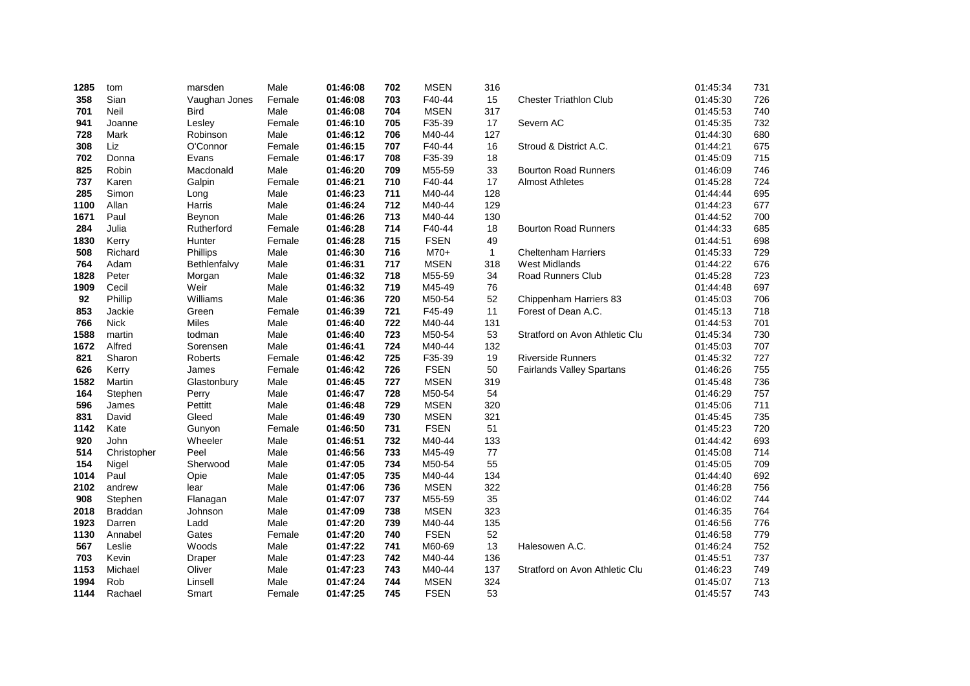| 1285 | tom            | marsden        | Male   | 01:46:08 | 702 | <b>MSEN</b> | 316          |                                  | 01:45:34 | 731 |
|------|----------------|----------------|--------|----------|-----|-------------|--------------|----------------------------------|----------|-----|
| 358  | Sian           | Vaughan Jones  | Female | 01:46:08 | 703 | F40-44      | 15           | <b>Chester Triathlon Club</b>    | 01:45:30 | 726 |
| 701  | Neil           | <b>Bird</b>    | Male   | 01:46:08 | 704 | <b>MSEN</b> | 317          |                                  | 01:45:53 | 740 |
| 941  | Joanne         | Lesley         | Female | 01:46:10 | 705 | F35-39      | 17           | Severn AC                        | 01:45:35 | 732 |
| 728  | Mark           | Robinson       | Male   | 01:46:12 | 706 | M40-44      | 127          |                                  | 01:44:30 | 680 |
| 308  | Liz            | O'Connor       | Female | 01:46:15 | 707 | F40-44      | 16           | Stroud & District A.C.           | 01:44:21 | 675 |
| 702  | Donna          | Evans          | Female | 01:46:17 | 708 | F35-39      | 18           |                                  | 01:45:09 | 715 |
| 825  | Robin          | Macdonald      | Male   | 01:46:20 | 709 | M55-59      | 33           | <b>Bourton Road Runners</b>      | 01:46:09 | 746 |
| 737  | Karen          | Galpin         | Female | 01:46:21 | 710 | F40-44      | 17           | <b>Almost Athletes</b>           | 01:45:28 | 724 |
| 285  | Simon          | Long           | Male   | 01:46:23 | 711 | M40-44      | 128          |                                  | 01:44:44 | 695 |
| 1100 | Allan          | Harris         | Male   | 01:46:24 | 712 | M40-44      | 129          |                                  | 01:44:23 | 677 |
| 1671 | Paul           | Beynon         | Male   | 01:46:26 | 713 | M40-44      | 130          |                                  | 01:44:52 | 700 |
| 284  | Julia          | Rutherford     | Female | 01:46:28 | 714 | F40-44      | 18           | <b>Bourton Road Runners</b>      | 01:44:33 | 685 |
| 1830 | Kerry          | Hunter         | Female | 01:46:28 | 715 | <b>FSEN</b> | 49           |                                  | 01:44:51 | 698 |
| 508  | Richard        | Phillips       | Male   | 01:46:30 | 716 | $M70+$      | $\mathbf{1}$ | <b>Cheltenham Harriers</b>       | 01:45:33 | 729 |
| 764  | Adam           | Bethlenfalvy   | Male   | 01:46:31 | 717 | <b>MSEN</b> | 318          | <b>West Midlands</b>             | 01:44:22 | 676 |
| 1828 | Peter          | Morgan         | Male   | 01:46:32 | 718 | M55-59      | 34           | <b>Road Runners Club</b>         | 01:45:28 | 723 |
| 1909 | Cecil          | Weir           | Male   | 01:46:32 | 719 | M45-49      | 76           |                                  | 01:44:48 | 697 |
| 92   | Phillip        | Williams       | Male   | 01:46:36 | 720 | M50-54      | 52           | Chippenham Harriers 83           | 01:45:03 | 706 |
| 853  | Jackie         | Green          | Female | 01:46:39 | 721 | F45-49      | 11           | Forest of Dean A.C.              | 01:45:13 | 718 |
| 766  | <b>Nick</b>    | Miles          | Male   | 01:46:40 | 722 | M40-44      | 131          |                                  | 01:44:53 | 701 |
| 1588 | martin         | todman         | Male   | 01:46:40 | 723 | M50-54      | 53           | Stratford on Avon Athletic Clu   | 01:45:34 | 730 |
| 1672 | Alfred         | Sorensen       | Male   | 01:46:41 | 724 | M40-44      | 132          |                                  | 01:45:03 | 707 |
| 821  | Sharon         | <b>Roberts</b> | Female | 01:46:42 | 725 | F35-39      | 19           | <b>Riverside Runners</b>         | 01:45:32 | 727 |
| 626  | Kerry          | James          | Female | 01:46:42 | 726 | <b>FSEN</b> | 50           | <b>Fairlands Valley Spartans</b> | 01:46:26 | 755 |
| 1582 | Martin         | Glastonbury    | Male   | 01:46:45 | 727 | <b>MSEN</b> | 319          |                                  | 01:45:48 | 736 |
| 164  | Stephen        | Perry          | Male   | 01:46:47 | 728 | M50-54      | 54           |                                  | 01:46:29 | 757 |
| 596  | James          | Pettitt        | Male   | 01:46:48 | 729 | <b>MSEN</b> | 320          |                                  | 01:45:06 | 711 |
| 831  | David          | Gleed          | Male   | 01:46:49 | 730 | <b>MSEN</b> | 321          |                                  | 01:45:45 | 735 |
| 1142 | Kate           | Gunyon         | Female | 01:46:50 | 731 | <b>FSEN</b> | 51           |                                  | 01:45:23 | 720 |
| 920  | John           | Wheeler        | Male   | 01:46:51 | 732 | M40-44      | 133          |                                  | 01:44:42 | 693 |
| 514  | Christopher    | Peel           | Male   | 01:46:56 | 733 | M45-49      | 77           |                                  | 01:45:08 | 714 |
| 154  | Nigel          | Sherwood       | Male   | 01:47:05 | 734 | M50-54      | 55           |                                  | 01:45:05 | 709 |
| 1014 | Paul           | Opie           | Male   | 01:47:05 | 735 | M40-44      | 134          |                                  | 01:44:40 | 692 |
| 2102 | andrew         | lear           | Male   | 01:47:06 | 736 | <b>MSEN</b> | 322          |                                  | 01:46:28 | 756 |
| 908  | Stephen        | Flanagan       | Male   | 01:47:07 | 737 | M55-59      | 35           |                                  | 01:46:02 | 744 |
| 2018 | <b>Braddan</b> | Johnson        | Male   | 01:47:09 | 738 | <b>MSEN</b> | 323          |                                  | 01:46:35 | 764 |
| 1923 | Darren         | Ladd           | Male   | 01:47:20 | 739 | M40-44      | 135          |                                  | 01:46:56 | 776 |
| 1130 | Annabel        | Gates          | Female | 01:47:20 | 740 | <b>FSEN</b> | 52           |                                  | 01:46:58 | 779 |
| 567  | Leslie         | Woods          | Male   | 01:47:22 | 741 | M60-69      | 13           | Halesowen A.C.                   | 01:46:24 | 752 |
| 703  | Kevin          | Draper         | Male   | 01:47:23 | 742 | M40-44      | 136          |                                  | 01:45:51 | 737 |
| 1153 | Michael        | Oliver         | Male   | 01:47:23 | 743 | M40-44      | 137          | Stratford on Avon Athletic Clu   | 01:46:23 | 749 |
| 1994 | Rob            | Linsell        | Male   | 01:47:24 | 744 | <b>MSEN</b> | 324          |                                  | 01:45:07 | 713 |
| 1144 | Rachael        | Smart          | Female | 01:47:25 | 745 | <b>FSEN</b> | 53           |                                  | 01:45:57 | 743 |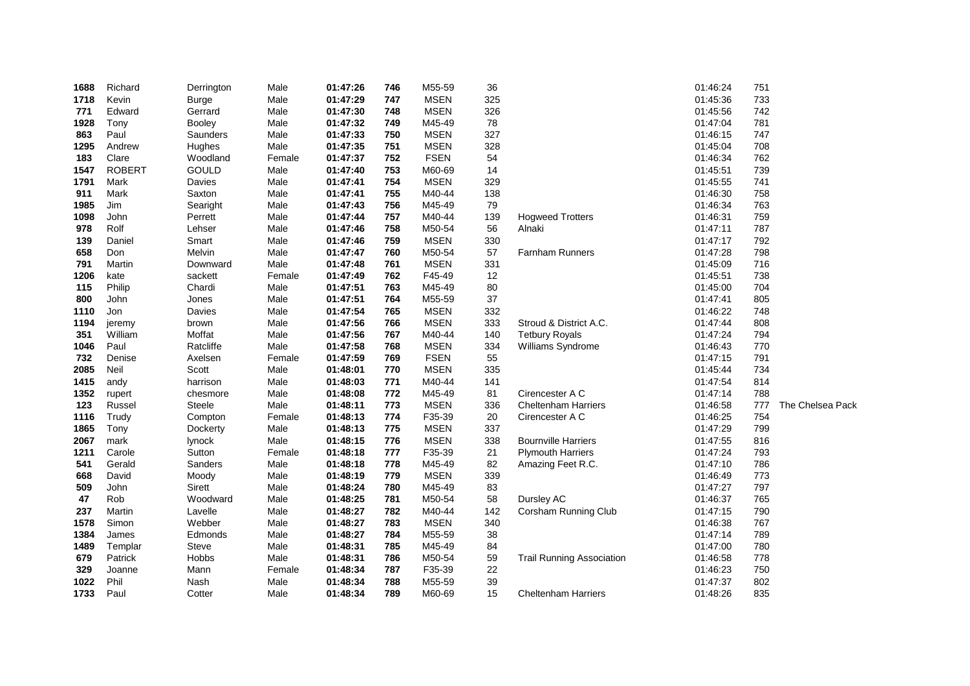| 1688 | Richard       | Derrington   | Male   | 01:47:26 | 746 | M55-59      | 36  |                                  | 01:46:24 | 751 |                  |
|------|---------------|--------------|--------|----------|-----|-------------|-----|----------------------------------|----------|-----|------------------|
| 1718 | Kevin         | <b>Burge</b> | Male   | 01:47:29 | 747 | <b>MSEN</b> | 325 |                                  | 01:45:36 | 733 |                  |
| 771  | Edward        | Gerrard      | Male   | 01:47:30 | 748 | <b>MSEN</b> | 326 |                                  | 01:45:56 | 742 |                  |
| 1928 | Tony          | Booley       | Male   | 01:47:32 | 749 | M45-49      | 78  |                                  | 01:47:04 | 781 |                  |
| 863  | Paul          | Saunders     | Male   | 01:47:33 | 750 | <b>MSEN</b> | 327 |                                  | 01:46:15 | 747 |                  |
| 1295 | Andrew        | Hughes       | Male   | 01:47:35 | 751 | <b>MSEN</b> | 328 |                                  | 01:45:04 | 708 |                  |
| 183  | Clare         | Woodland     | Female | 01:47:37 | 752 | <b>FSEN</b> | 54  |                                  | 01:46:34 | 762 |                  |
| 1547 | <b>ROBERT</b> | <b>GOULD</b> | Male   | 01:47:40 | 753 | M60-69      | 14  |                                  | 01:45:51 | 739 |                  |
| 1791 | Mark          | Davies       | Male   | 01:47:41 | 754 | <b>MSEN</b> | 329 |                                  | 01:45:55 | 741 |                  |
| 911  | Mark          | Saxton       | Male   | 01:47:41 | 755 | M40-44      | 138 |                                  | 01:46:30 | 758 |                  |
| 1985 | Jim           | Searight     | Male   | 01:47:43 | 756 | M45-49      | 79  |                                  | 01:46:34 | 763 |                  |
| 1098 | John          | Perrett      | Male   | 01:47:44 | 757 | M40-44      | 139 | <b>Hogweed Trotters</b>          | 01:46:31 | 759 |                  |
| 978  | Rolf          | Lehser       | Male   | 01:47:46 | 758 | M50-54      | 56  | Alnaki                           | 01:47:11 | 787 |                  |
| 139  | Daniel        | Smart        | Male   | 01:47:46 | 759 | <b>MSEN</b> | 330 |                                  | 01:47:17 | 792 |                  |
| 658  | Don           | Melvin       | Male   | 01:47:47 | 760 | M50-54      | 57  | Farnham Runners                  | 01:47:28 | 798 |                  |
| 791  | Martin        | Downward     | Male   | 01:47:48 | 761 | <b>MSEN</b> | 331 |                                  | 01:45:09 | 716 |                  |
| 1206 | kate          | sackett      | Female | 01:47:49 | 762 | F45-49      | 12  |                                  | 01:45:51 | 738 |                  |
| 115  | Philip        | Chardi       | Male   | 01:47:51 | 763 | M45-49      | 80  |                                  | 01:45:00 | 704 |                  |
| 800  | John          | Jones        | Male   | 01:47:51 | 764 | M55-59      | 37  |                                  | 01:47:41 | 805 |                  |
| 1110 | Jon           | Davies       | Male   | 01:47:54 | 765 | <b>MSEN</b> | 332 |                                  | 01:46:22 | 748 |                  |
| 1194 | jeremy        | brown        | Male   | 01:47:56 | 766 | <b>MSEN</b> | 333 | Stroud & District A.C.           | 01:47:44 | 808 |                  |
| 351  | William       | Moffat       | Male   | 01:47:56 | 767 | M40-44      | 140 | <b>Tetbury Royals</b>            | 01:47:24 | 794 |                  |
| 1046 | Paul          | Ratcliffe    | Male   | 01:47:58 | 768 | <b>MSEN</b> | 334 | Williams Syndrome                | 01:46:43 | 770 |                  |
| 732  | Denise        | Axelsen      | Female | 01:47:59 | 769 | <b>FSEN</b> | 55  |                                  | 01:47:15 | 791 |                  |
| 2085 | Neil          | Scott        | Male   | 01:48:01 | 770 | <b>MSEN</b> | 335 |                                  | 01:45:44 | 734 |                  |
| 1415 | andy          | harrison     | Male   | 01:48:03 | 771 | M40-44      | 141 |                                  | 01:47:54 | 814 |                  |
| 1352 | rupert        | chesmore     | Male   | 01:48:08 | 772 | M45-49      | 81  | Cirencester A C                  | 01:47:14 | 788 |                  |
| 123  | Russel        | Steele       | Male   | 01:48:11 | 773 | <b>MSEN</b> | 336 | <b>Cheltenham Harriers</b>       | 01:46:58 | 777 | The Chelsea Pack |
| 1116 | Trudy         | Compton      | Female | 01:48:13 | 774 | F35-39      | 20  | Cirencester A C                  | 01:46:25 | 754 |                  |
| 1865 | Tony          | Dockerty     | Male   | 01:48:13 | 775 | <b>MSEN</b> | 337 |                                  | 01:47:29 | 799 |                  |
| 2067 | mark          | lynock       | Male   | 01:48:15 | 776 | <b>MSEN</b> | 338 | <b>Bournville Harriers</b>       | 01:47:55 | 816 |                  |
| 1211 | Carole        | Sutton       | Female | 01:48:18 | 777 | F35-39      | 21  | <b>Plymouth Harriers</b>         | 01:47:24 | 793 |                  |
| 541  | Gerald        | Sanders      | Male   | 01:48:18 | 778 | M45-49      | 82  | Amazing Feet R.C.                | 01:47:10 | 786 |                  |
| 668  | David         | Moody        | Male   | 01:48:19 | 779 | <b>MSEN</b> | 339 |                                  | 01:46:49 | 773 |                  |
| 509  | John          | Sirett       | Male   | 01:48:24 | 780 | M45-49      | 83  |                                  | 01:47:27 | 797 |                  |
| 47   | Rob           | Woodward     | Male   | 01:48:25 | 781 | M50-54      | 58  | Dursley AC                       | 01:46:37 | 765 |                  |
| 237  | Martin        | Lavelle      | Male   | 01:48:27 | 782 | M40-44      | 142 | Corsham Running Club             | 01:47:15 | 790 |                  |
| 1578 | Simon         | Webber       | Male   | 01:48:27 | 783 | <b>MSEN</b> | 340 |                                  | 01:46:38 | 767 |                  |
| 1384 | James         | Edmonds      | Male   | 01:48:27 | 784 | M55-59      | 38  |                                  | 01:47:14 | 789 |                  |
| 1489 | Templar       | Steve        | Male   | 01:48:31 | 785 | M45-49      | 84  |                                  | 01:47:00 | 780 |                  |
| 679  | Patrick       | Hobbs        | Male   | 01:48:31 | 786 | M50-54      | 59  | <b>Trail Running Association</b> | 01:46:58 | 778 |                  |
| 329  | Joanne        | Mann         | Female | 01:48:34 | 787 | F35-39      | 22  |                                  | 01:46:23 | 750 |                  |
| 1022 | Phil          | Nash         | Male   | 01:48:34 | 788 | M55-59      | 39  |                                  | 01:47:37 | 802 |                  |
| 1733 | Paul          | Cotter       | Male   | 01:48:34 | 789 | M60-69      | 15  | <b>Cheltenham Harriers</b>       | 01:48:26 | 835 |                  |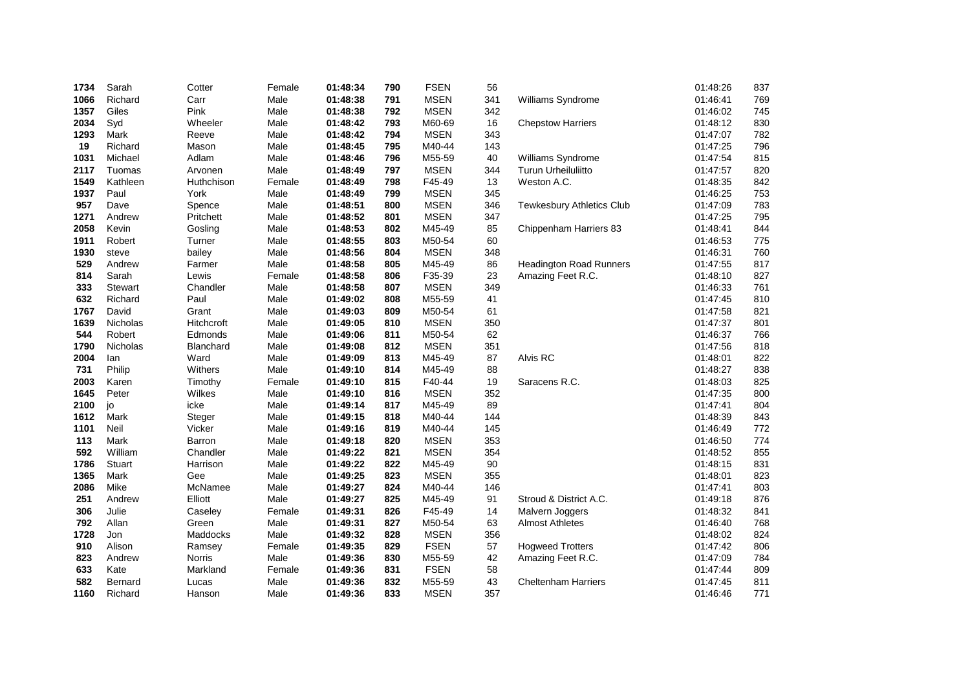| 1734 | Sarah           | Cotter     | Female | 01:48:34 | 790 | <b>FSEN</b> | 56  |                                  | 01:48:26 | 837 |
|------|-----------------|------------|--------|----------|-----|-------------|-----|----------------------------------|----------|-----|
| 1066 | Richard         | Carr       | Male   | 01:48:38 | 791 | <b>MSEN</b> | 341 | Williams Syndrome                | 01:46:41 | 769 |
| 1357 | Giles           | Pink       | Male   | 01:48:38 | 792 | <b>MSEN</b> | 342 |                                  | 01:46:02 | 745 |
| 2034 | Syd             | Wheeler    | Male   | 01:48:42 | 793 | M60-69      | 16  | <b>Chepstow Harriers</b>         | 01:48:12 | 830 |
| 1293 | Mark            | Reeve      | Male   | 01:48:42 | 794 | <b>MSEN</b> | 343 |                                  | 01:47:07 | 782 |
| 19   | Richard         | Mason      | Male   | 01:48:45 | 795 | M40-44      | 143 |                                  | 01:47:25 | 796 |
| 1031 | Michael         | Adlam      | Male   | 01:48:46 | 796 | M55-59      | 40  | Williams Syndrome                | 01:47:54 | 815 |
| 2117 | Tuomas          | Arvonen    | Male   | 01:48:49 | 797 | <b>MSEN</b> | 344 | Turun Urheiluliitto              | 01:47:57 | 820 |
| 1549 | Kathleen        | Huthchison | Female | 01:48:49 | 798 | F45-49      | 13  | Weston A.C.                      | 01:48:35 | 842 |
| 1937 | Paul            | York       | Male   | 01:48:49 | 799 | <b>MSEN</b> | 345 |                                  | 01:46:25 | 753 |
| 957  | Dave            | Spence     | Male   | 01:48:51 | 800 | <b>MSEN</b> | 346 | <b>Tewkesbury Athletics Club</b> | 01:47:09 | 783 |
| 1271 | Andrew          | Pritchett  | Male   | 01:48:52 | 801 | <b>MSEN</b> | 347 |                                  | 01:47:25 | 795 |
| 2058 | Kevin           | Gosling    | Male   | 01:48:53 | 802 | M45-49      | 85  | Chippenham Harriers 83           | 01:48:41 | 844 |
| 1911 | Robert          | Turner     | Male   | 01:48:55 | 803 | M50-54      | 60  |                                  | 01:46:53 | 775 |
| 1930 | steve           | bailey     | Male   | 01:48:56 | 804 | <b>MSEN</b> | 348 |                                  | 01:46:31 | 760 |
| 529  | Andrew          | Farmer     | Male   | 01:48:58 | 805 | M45-49      | 86  | <b>Headington Road Runners</b>   | 01:47:55 | 817 |
| 814  | Sarah           | Lewis      | Female | 01:48:58 | 806 | F35-39      | 23  | Amazing Feet R.C.                | 01:48:10 | 827 |
| 333  | Stewart         | Chandler   | Male   | 01:48:58 | 807 | <b>MSEN</b> | 349 |                                  | 01:46:33 | 761 |
| 632  | Richard         | Paul       | Male   | 01:49:02 | 808 | M55-59      | 41  |                                  | 01:47:45 | 810 |
| 1767 | David           | Grant      | Male   | 01:49:03 | 809 | M50-54      | 61  |                                  | 01:47:58 | 821 |
| 1639 | <b>Nicholas</b> | Hitchcroft | Male   | 01:49:05 | 810 | <b>MSEN</b> | 350 |                                  | 01:47:37 | 801 |
| 544  | Robert          | Edmonds    | Male   | 01:49:06 | 811 | M50-54      | 62  |                                  | 01:46:37 | 766 |
| 1790 | Nicholas        | Blanchard  | Male   | 01:49:08 | 812 | <b>MSEN</b> | 351 |                                  | 01:47:56 | 818 |
| 2004 | lan             | Ward       | Male   | 01:49:09 | 813 | M45-49      | 87  | Alvis RC                         | 01:48:01 | 822 |
| 731  | Philip          | Withers    | Male   | 01:49:10 | 814 | M45-49      | 88  |                                  | 01:48:27 | 838 |
| 2003 | Karen           | Timothy    | Female | 01:49:10 | 815 | F40-44      | 19  | Saracens R.C.                    | 01:48:03 | 825 |
| 1645 | Peter           | Wilkes     | Male   | 01:49:10 | 816 | <b>MSEN</b> | 352 |                                  | 01:47:35 | 800 |
| 2100 | jo              | icke       | Male   | 01:49:14 | 817 | M45-49      | 89  |                                  | 01:47:41 | 804 |
| 1612 | Mark            | Steger     | Male   | 01:49:15 | 818 | M40-44      | 144 |                                  | 01:48:39 | 843 |
| 1101 | Neil            | Vicker     | Male   | 01:49:16 | 819 | M40-44      | 145 |                                  | 01:46:49 | 772 |
| 113  | Mark            | Barron     | Male   | 01:49:18 | 820 | <b>MSEN</b> | 353 |                                  | 01:46:50 | 774 |
| 592  | William         | Chandler   | Male   | 01:49:22 | 821 | <b>MSEN</b> | 354 |                                  | 01:48:52 | 855 |
| 1786 | Stuart          | Harrison   | Male   | 01:49:22 | 822 | M45-49      | 90  |                                  | 01:48:15 | 831 |
| 1365 | Mark            | Gee        | Male   | 01:49:25 | 823 | <b>MSEN</b> | 355 |                                  | 01:48:01 | 823 |
| 2086 | Mike            | McNamee    | Male   | 01:49:27 | 824 | M40-44      | 146 |                                  | 01:47:41 | 803 |
| 251  | Andrew          | Elliott    | Male   | 01:49:27 | 825 | M45-49      | 91  | Stroud & District A.C.           | 01:49:18 | 876 |
| 306  | Julie           | Caseley    | Female | 01:49:31 | 826 | F45-49      | 14  | Malvern Joggers                  | 01:48:32 | 841 |
| 792  | Allan           | Green      | Male   | 01:49:31 | 827 | M50-54      | 63  | <b>Almost Athletes</b>           | 01:46:40 | 768 |
| 1728 | Jon             | Maddocks   | Male   | 01:49:32 | 828 | <b>MSEN</b> | 356 |                                  | 01:48:02 | 824 |
| 910  | Alison          | Ramsey     | Female | 01:49:35 | 829 | <b>FSEN</b> | 57  | <b>Hogweed Trotters</b>          | 01:47:42 | 806 |
| 823  | Andrew          | Norris     | Male   | 01:49:36 | 830 | M55-59      | 42  | Amazing Feet R.C.                | 01:47:09 | 784 |
| 633  | Kate            | Markland   | Female | 01:49:36 | 831 | <b>FSEN</b> | 58  |                                  | 01:47:44 | 809 |
| 582  | Bernard         | Lucas      | Male   | 01:49:36 | 832 | M55-59      | 43  | <b>Cheltenham Harriers</b>       | 01:47:45 | 811 |
| 1160 | Richard         | Hanson     | Male   | 01:49:36 | 833 | <b>MSEN</b> | 357 |                                  | 01:46:46 | 771 |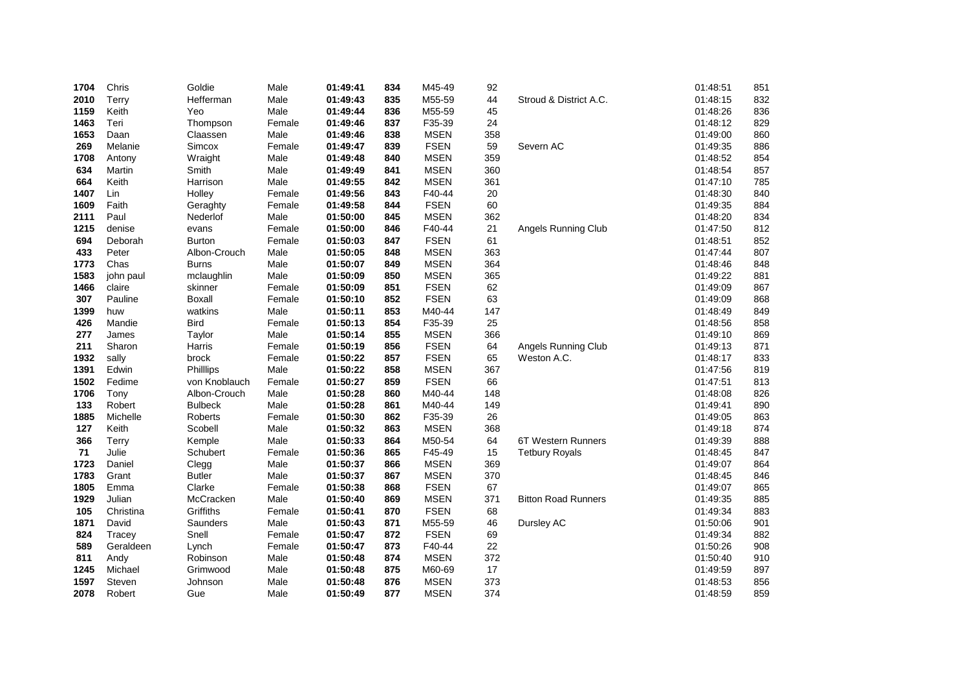| 1704 | Chris     | Goldie         | Male   | 01:49:41 | 834 | M45-49      | 92  |                            | 01:48:51 | 851 |
|------|-----------|----------------|--------|----------|-----|-------------|-----|----------------------------|----------|-----|
| 2010 | Terry     | Hefferman      | Male   | 01:49:43 | 835 | M55-59      | 44  | Stroud & District A.C.     | 01:48:15 | 832 |
| 1159 | Keith     | Yeo            | Male   | 01:49:44 | 836 | M55-59      | 45  |                            | 01:48:26 | 836 |
| 1463 | Teri      | Thompson       | Female | 01:49:46 | 837 | F35-39      | 24  |                            | 01:48:12 | 829 |
| 1653 | Daan      | Claassen       | Male   | 01:49:46 | 838 | <b>MSEN</b> | 358 |                            | 01:49:00 | 860 |
| 269  | Melanie   | Simcox         | Female | 01:49:47 | 839 | <b>FSEN</b> | 59  | Severn AC                  | 01:49:35 | 886 |
| 1708 | Antony    | Wraight        | Male   | 01:49:48 | 840 | <b>MSEN</b> | 359 |                            | 01:48:52 | 854 |
| 634  | Martin    | Smith          | Male   | 01:49:49 | 841 | <b>MSEN</b> | 360 |                            | 01:48:54 | 857 |
| 664  | Keith     | Harrison       | Male   | 01:49:55 | 842 | <b>MSEN</b> | 361 |                            | 01:47:10 | 785 |
| 1407 | Lin       | Holley         | Female | 01:49:56 | 843 | F40-44      | 20  |                            | 01:48:30 | 840 |
| 1609 | Faith     | Geraghty       | Female | 01:49:58 | 844 | <b>FSEN</b> | 60  |                            | 01:49:35 | 884 |
| 2111 | Paul      | Nederlof       | Male   | 01:50:00 | 845 | <b>MSEN</b> | 362 |                            | 01:48:20 | 834 |
| 1215 | denise    | evans          | Female | 01:50:00 | 846 | F40-44      | 21  | <b>Angels Running Club</b> | 01:47:50 | 812 |
| 694  | Deborah   | <b>Burton</b>  | Female | 01:50:03 | 847 | <b>FSEN</b> | 61  |                            | 01:48:51 | 852 |
| 433  | Peter     | Albon-Crouch   | Male   | 01:50:05 | 848 | <b>MSEN</b> | 363 |                            | 01:47:44 | 807 |
| 1773 | Chas      | <b>Burns</b>   | Male   | 01:50:07 | 849 | <b>MSEN</b> | 364 |                            | 01:48:46 | 848 |
| 1583 | john paul | mclaughlin     | Male   | 01:50:09 | 850 | <b>MSEN</b> | 365 |                            | 01:49:22 | 881 |
| 1466 | claire    | skinner        | Female | 01:50:09 | 851 | <b>FSEN</b> | 62  |                            | 01:49:09 | 867 |
| 307  | Pauline   | <b>Boxall</b>  | Female | 01:50:10 | 852 | <b>FSEN</b> | 63  |                            | 01:49:09 | 868 |
| 1399 | huw       | watkins        | Male   | 01:50:11 | 853 | M40-44      | 147 |                            | 01:48:49 | 849 |
| 426  | Mandie    | <b>Bird</b>    | Female | 01:50:13 | 854 | F35-39      | 25  |                            | 01:48:56 | 858 |
| 277  | James     | Taylor         | Male   | 01:50:14 | 855 | <b>MSEN</b> | 366 |                            | 01:49:10 | 869 |
| 211  | Sharon    | Harris         | Female | 01:50:19 | 856 | <b>FSEN</b> | 64  | Angels Running Club        | 01:49:13 | 871 |
| 1932 | sally     | brock          | Female | 01:50:22 | 857 | <b>FSEN</b> | 65  | Weston A.C.                | 01:48:17 | 833 |
| 1391 | Edwin     | Phillips       | Male   | 01:50:22 | 858 | <b>MSEN</b> | 367 |                            | 01:47:56 | 819 |
| 1502 | Fedime    | von Knoblauch  | Female | 01:50:27 | 859 | <b>FSEN</b> | 66  |                            | 01:47:51 | 813 |
| 1706 | Tony      | Albon-Crouch   | Male   | 01:50:28 | 860 | M40-44      | 148 |                            | 01:48:08 | 826 |
| 133  | Robert    | <b>Bulbeck</b> | Male   | 01:50:28 | 861 | M40-44      | 149 |                            | 01:49:41 | 890 |
| 1885 | Michelle  | Roberts        | Female | 01:50:30 | 862 | F35-39      | 26  |                            | 01:49:05 | 863 |
| 127  | Keith     | Scobell        | Male   | 01:50:32 | 863 | <b>MSEN</b> | 368 |                            | 01:49:18 | 874 |
| 366  | Terry     | Kemple         | Male   | 01:50:33 | 864 | M50-54      | 64  | 6T Western Runners         | 01:49:39 | 888 |
| 71   | Julie     | Schubert       | Female | 01:50:36 | 865 | F45-49      | 15  | <b>Tetbury Royals</b>      | 01:48:45 | 847 |
| 1723 | Daniel    | Clegg          | Male   | 01:50:37 | 866 | <b>MSEN</b> | 369 |                            | 01:49:07 | 864 |
| 1783 | Grant     | <b>Butler</b>  | Male   | 01:50:37 | 867 | <b>MSEN</b> | 370 |                            | 01:48:45 | 846 |
| 1805 | Emma      | Clarke         | Female | 01:50:38 | 868 | <b>FSEN</b> | 67  |                            | 01:49:07 | 865 |
| 1929 | Julian    | McCracken      | Male   | 01:50:40 | 869 | <b>MSEN</b> | 371 | <b>Bitton Road Runners</b> | 01:49:35 | 885 |
| 105  | Christina | Griffiths      | Female | 01:50:41 | 870 | <b>FSEN</b> | 68  |                            | 01:49:34 | 883 |
| 1871 | David     | Saunders       | Male   | 01:50:43 | 871 | M55-59      | 46  | Dursley AC                 | 01:50:06 | 901 |
| 824  | Tracey    | Snell          | Female | 01:50:47 | 872 | <b>FSEN</b> | 69  |                            | 01:49:34 | 882 |
| 589  | Geraldeen | Lynch          | Female | 01:50:47 | 873 | F40-44      | 22  |                            | 01:50:26 | 908 |
| 811  | Andy      | Robinson       | Male   | 01:50:48 | 874 | <b>MSEN</b> | 372 |                            | 01:50:40 | 910 |
| 1245 | Michael   | Grimwood       | Male   | 01:50:48 | 875 | M60-69      | 17  |                            | 01:49:59 | 897 |
| 1597 | Steven    | Johnson        | Male   | 01:50:48 | 876 | <b>MSEN</b> | 373 |                            | 01:48:53 | 856 |
| 2078 | Robert    | Gue            | Male   | 01:50:49 | 877 | <b>MSEN</b> | 374 |                            | 01:48:59 | 859 |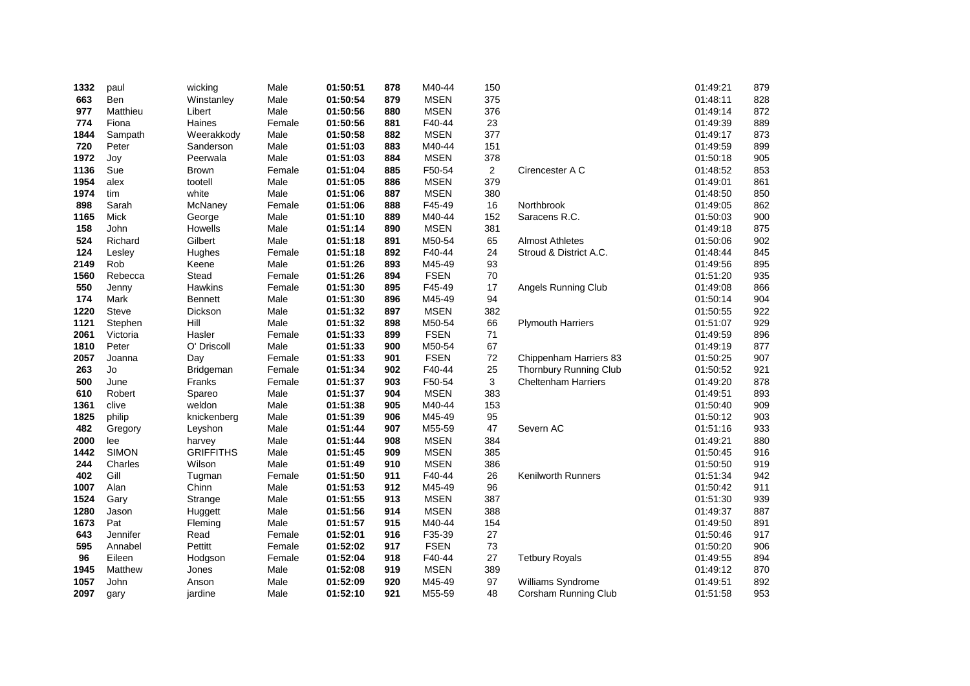| 1332         | paul              | wicking            | Male             | 01:50:51             | 878        | M40-44                | 150            |                            | 01:49:21             | 879        |
|--------------|-------------------|--------------------|------------------|----------------------|------------|-----------------------|----------------|----------------------------|----------------------|------------|
| 663          | Ben               | Winstanley         | Male             | 01:50:54             | 879        | <b>MSEN</b>           | 375            |                            | 01:48:11             | 828        |
| 977          | Matthieu          | Libert             | Male             | 01:50:56             | 880        | <b>MSEN</b>           | 376            |                            | 01:49:14             | 872        |
| 774          | Fiona             | Haines             | Female           | 01:50:56             | 881        | F40-44                | 23             |                            | 01:49:39             | 889        |
| 1844         | Sampath           | Weerakkody         | Male             | 01:50:58             | 882        | <b>MSEN</b>           | 377            |                            | 01:49:17             | 873        |
| 720          | Peter             | Sanderson          | Male             | 01:51:03             | 883        | M40-44                | 151            |                            | 01:49:59             | 899        |
| 1972         | Joy               | Peerwala           | Male             | 01:51:03             | 884        | <b>MSEN</b>           | 378            |                            | 01:50:18             | 905        |
| 1136         | Sue               | <b>Brown</b>       | Female           | 01:51:04             | 885        | F50-54                | $\overline{2}$ | Cirencester A C            | 01:48:52             | 853        |
| 1954         | alex              | tootell            | Male             | 01:51:05             | 886        | <b>MSEN</b>           | 379            |                            | 01:49:01             | 861        |
| 1974         | tim               | white              | Male             | 01:51:06             | 887        | <b>MSEN</b>           | 380            |                            | 01:48:50             | 850        |
| 898          | Sarah             | McNaney            | Female           | 01:51:06             | 888        | F45-49                | 16             | Northbrook                 | 01:49:05             | 862        |
| 1165         | Mick              | George             | Male             | 01:51:10             | 889        | M40-44                | 152            | Saracens R.C.              | 01:50:03             | 900        |
| 158          | John              | Howells            | Male             | 01:51:14             | 890        | <b>MSEN</b>           | 381            |                            | 01:49:18             | 875        |
| 524          | Richard           | Gilbert            | Male             | 01:51:18             | 891        | M50-54                | 65             | <b>Almost Athletes</b>     | 01:50:06             | 902        |
| 124          | Lesley            | Hughes             | Female           | 01:51:18             | 892        | F40-44                | 24             | Stroud & District A.C.     | 01:48:44             | 845        |
| 2149         | Rob               | Keene              | Male             | 01:51:26             | 893        | M45-49                | 93             |                            | 01:49:56             | 895        |
| 1560         | Rebecca           | Stead              | Female           | 01:51:26             | 894        | <b>FSEN</b>           | 70             |                            | 01:51:20             | 935        |
| 550          | Jenny             | Hawkins            | Female           | 01:51:30             | 895        | F45-49                | 17             | Angels Running Club        | 01:49:08             | 866        |
| 174          | Mark              | <b>Bennett</b>     | Male             | 01:51:30             | 896        | M45-49                | 94             |                            | 01:50:14             | 904        |
| 1220         | Steve             | Dickson            | Male             | 01:51:32             | 897        | <b>MSEN</b>           | 382            |                            | 01:50:55             | 922        |
| 1121         | Stephen           | Hill               | Male             | 01:51:32             | 898        | M50-54                | 66             | <b>Plymouth Harriers</b>   | 01:51:07             | 929        |
| 2061         | Victoria          | Hasler             | Female           | 01:51:33             | 899        | <b>FSEN</b>           | 71             |                            | 01:49:59             | 896        |
| 1810         | Peter             | O' Driscoll        | Male             | 01:51:33             | 900        | M50-54                | 67             |                            | 01:49:19             | 877        |
| 2057         | Joanna            | Day                | Female           | 01:51:33             | 901        | <b>FSEN</b>           | $72\,$         | Chippenham Harriers 83     | 01:50:25             | 907        |
| 263          | Jo                | Bridgeman          | Female           | 01:51:34             | 902        | F40-44                | 25             | Thornbury Running Club     | 01:50:52             | 921        |
| 500          | June              | Franks             | Female           | 01:51:37             | 903        | F50-54                | 3              | <b>Cheltenham Harriers</b> | 01:49:20             | 878        |
| 610          | Robert            | Spareo             | Male             | 01:51:37             | 904        | <b>MSEN</b>           | 383            |                            | 01:49:51             | 893        |
| 1361         | clive             | weldon             | Male             | 01:51:38             | 905        | M40-44                | 153            |                            | 01:50:40             | 909        |
| 1825         | philip            | knickenberg        | Male             | 01:51:39             | 906        | M45-49                | 95             |                            | 01:50:12             | 903        |
| 482          | Gregory           | Leyshon            | Male             | 01:51:44             | 907        | M55-59                | 47             | Severn AC                  | 01:51:16             | 933        |
| 2000         | lee               | harvey             | Male             | 01:51:44             | 908        | <b>MSEN</b>           | 384            |                            | 01:49:21             | 880        |
| 1442         | <b>SIMON</b>      | <b>GRIFFITHS</b>   | Male             | 01:51:45             | 909        | <b>MSEN</b>           | 385            |                            | 01:50:45             | 916        |
| 244          | Charles<br>Gill   | Wilson             | Male             | 01:51:49             | 910        | <b>MSEN</b>           | 386            |                            | 01:50:50             | 919        |
| 402          |                   | Tugman             | Female           | 01:51:50             | 911        | F40-44                | 26             | <b>Kenilworth Runners</b>  | 01:51:34             | 942        |
| 1007<br>1524 | Alan              | Chinn              | Male<br>Male     | 01:51:53             | 912<br>913 | M45-49<br><b>MSEN</b> | 96<br>387      |                            | 01:50:42<br>01:51:30 | 911<br>939 |
| 1280         | Gary<br>Jason     | Strange            | Male             | 01:51:55<br>01:51:56 | 914        | <b>MSEN</b>           | 388            |                            | 01:49:37             | 887        |
| 1673         | Pat               | Huggett<br>Fleming | Male             | 01:51:57             | 915        | M40-44                | 154            |                            | 01:49:50             | 891        |
|              |                   |                    |                  |                      |            |                       |                |                            |                      | 917        |
| 643<br>595   | Jennifer          | Read               | Female           | 01:52:01             | 916<br>917 | F35-39<br><b>FSEN</b> | 27             |                            | 01:50:46<br>01:50:20 |            |
| 96           | Annabel<br>Eileen | Pettitt            | Female<br>Female | 01:52:02<br>01:52:04 | 918        | F40-44                | 73<br>27       | <b>Tetbury Royals</b>      | 01:49:55             | 906<br>894 |
| 1945         | Matthew           | Hodgson<br>Jones   | Male             | 01:52:08             | 919        | <b>MSEN</b>           | 389            |                            | 01:49:12             | 870        |
| 1057         | John              |                    | Male             | 01:52:09             | 920        | M45-49                | 97             |                            | 01:49:51             | 892        |
|              |                   | Anson              |                  |                      | 921        |                       | 48             | Williams Syndrome          |                      | 953        |
| 2097         | gary              | jardine            | Male             | 01:52:10             |            | M55-59                |                | Corsham Running Club       | 01:51:58             |            |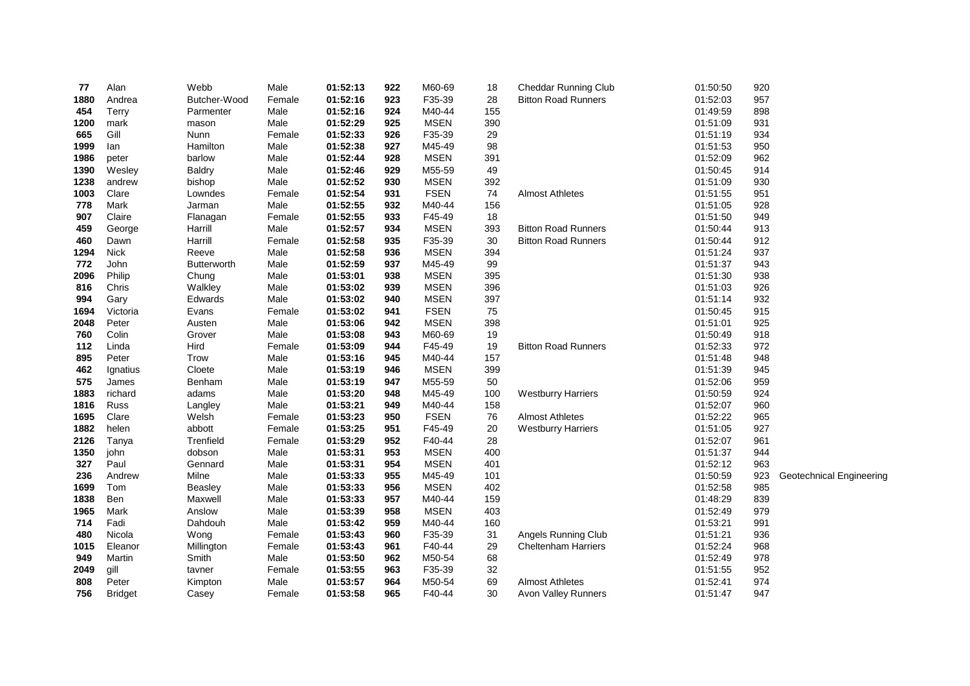| 77   | Alan           | Webb               | Male   | 01:52:13 | 922 | M60-69      | 18     | Cheddar Running Club       | 01:50:50 | 920 |                          |
|------|----------------|--------------------|--------|----------|-----|-------------|--------|----------------------------|----------|-----|--------------------------|
| 1880 | Andrea         | Butcher-Wood       | Female | 01:52:16 | 923 | F35-39      | 28     | <b>Bitton Road Runners</b> | 01:52:03 | 957 |                          |
| 454  | Terry          | Parmenter          | Male   | 01:52:16 | 924 | M40-44      | 155    |                            | 01:49:59 | 898 |                          |
| 1200 | mark           | mason              | Male   | 01:52:29 | 925 | <b>MSEN</b> | 390    |                            | 01:51:09 | 931 |                          |
| 665  | Gill           | Nunn               | Female | 01:52:33 | 926 | F35-39      | 29     |                            | 01:51:19 | 934 |                          |
| 1999 | lan            | Hamilton           | Male   | 01:52:38 | 927 | M45-49      | 98     |                            | 01:51:53 | 950 |                          |
| 1986 | peter          | barlow             | Male   | 01:52:44 | 928 | <b>MSEN</b> | 391    |                            | 01:52:09 | 962 |                          |
| 1390 | Wesley         | <b>Baldry</b>      | Male   | 01:52:46 | 929 | M55-59      | 49     |                            | 01:50:45 | 914 |                          |
| 1238 | andrew         | bishop             | Male   | 01:52:52 | 930 | <b>MSEN</b> | 392    |                            | 01:51:09 | 930 |                          |
| 1003 | Clare          | Lowndes            | Female | 01:52:54 | 931 | <b>FSEN</b> | 74     | <b>Almost Athletes</b>     | 01:51:55 | 951 |                          |
| 778  | Mark           | Jarman             | Male   | 01:52:55 | 932 | M40-44      | 156    |                            | 01:51:05 | 928 |                          |
| 907  | Claire         | Flanagan           | Female | 01:52:55 | 933 | F45-49      | 18     |                            | 01:51:50 | 949 |                          |
| 459  | George         | Harrill            | Male   | 01:52:57 | 934 | <b>MSEN</b> | 393    | <b>Bitton Road Runners</b> | 01:50:44 | 913 |                          |
| 460  | Dawn           | Harrill            | Female | 01:52:58 | 935 | F35-39      | 30     | <b>Bitton Road Runners</b> | 01:50:44 | 912 |                          |
| 1294 | <b>Nick</b>    | Reeve              | Male   | 01:52:58 | 936 | <b>MSEN</b> | 394    |                            | 01:51:24 | 937 |                          |
| 772  | John           | <b>Butterworth</b> | Male   | 01:52:59 | 937 | M45-49      | 99     |                            | 01:51:37 | 943 |                          |
| 2096 | Philip         | Chung              | Male   | 01:53:01 | 938 | <b>MSEN</b> | 395    |                            | 01:51:30 | 938 |                          |
| 816  | Chris          | Walkley            | Male   | 01:53:02 | 939 | <b>MSEN</b> | 396    |                            | 01:51:03 | 926 |                          |
| 994  | Gary           | Edwards            | Male   | 01:53:02 | 940 | <b>MSEN</b> | 397    |                            | 01:51:14 | 932 |                          |
| 1694 | Victoria       | Evans              | Female | 01:53:02 | 941 | <b>FSEN</b> | 75     |                            | 01:50:45 | 915 |                          |
| 2048 | Peter          | Austen             | Male   | 01:53:06 | 942 | <b>MSEN</b> | 398    |                            | 01:51:01 | 925 |                          |
| 760  | Colin          | Grover             | Male   | 01:53:08 | 943 | M60-69      | 19     |                            | 01:50:49 | 918 |                          |
| 112  | Linda          | Hird               | Female | 01:53:09 | 944 | F45-49      | 19     | <b>Bitton Road Runners</b> | 01:52:33 | 972 |                          |
| 895  | Peter          | Trow               | Male   | 01:53:16 | 945 | M40-44      | 157    |                            | 01:51:48 | 948 |                          |
| 462  | Ignatius       | Cloete             | Male   | 01:53:19 | 946 | <b>MSEN</b> | 399    |                            | 01:51:39 | 945 |                          |
| 575  | James          | Benham             | Male   | 01:53:19 | 947 | M55-59      | 50     |                            | 01:52:06 | 959 |                          |
| 1883 | richard        | adams              | Male   | 01:53:20 | 948 | M45-49      | 100    | <b>Westburry Harriers</b>  | 01:50:59 | 924 |                          |
| 1816 | Russ           | Langley            | Male   | 01:53:21 | 949 | M40-44      | 158    |                            | 01:52:07 | 960 |                          |
| 1695 | Clare          | Welsh              | Female | 01:53:23 | 950 | <b>FSEN</b> | 76     | <b>Almost Athletes</b>     | 01:52:22 | 965 |                          |
| 1882 | helen          | abbott             | Female | 01:53:25 | 951 | F45-49      | $20\,$ | <b>Westburry Harriers</b>  | 01:51:05 | 927 |                          |
| 2126 | Tanya          | Trenfield          | Female | 01:53:29 | 952 | F40-44      | 28     |                            | 01:52:07 | 961 |                          |
| 1350 | john           | dobson             | Male   | 01:53:31 | 953 | <b>MSEN</b> | 400    |                            | 01:51:37 | 944 |                          |
| 327  | Paul           | Gennard            | Male   | 01:53:31 | 954 | <b>MSEN</b> | 401    |                            | 01:52:12 | 963 |                          |
| 236  | Andrew         | Milne              | Male   | 01:53:33 | 955 | M45-49      | 101    |                            | 01:50:59 | 923 | Geotechnical Engineering |
| 1699 | Tom            | Beasley            | Male   | 01:53:33 | 956 | <b>MSEN</b> | 402    |                            | 01:52:58 | 985 |                          |
| 1838 | Ben            | Maxwell            | Male   | 01:53:33 | 957 | M40-44      | 159    |                            | 01:48:29 | 839 |                          |
| 1965 | Mark           | Anslow             | Male   | 01:53:39 | 958 | <b>MSEN</b> | 403    |                            | 01:52:49 | 979 |                          |
| 714  | Fadi           | Dahdouh            | Male   | 01:53:42 | 959 | M40-44      | 160    |                            | 01:53:21 | 991 |                          |
| 480  | Nicola         | Wong               | Female | 01:53:43 | 960 | F35-39      | 31     | Angels Running Club        | 01:51:21 | 936 |                          |
| 1015 | Eleanor        | Millington         | Female | 01:53:43 | 961 | F40-44      | 29     | <b>Cheltenham Harriers</b> | 01:52:24 | 968 |                          |
| 949  | Martin         | Smith              | Male   | 01:53:50 | 962 | M50-54      | 68     |                            | 01:52:49 | 978 |                          |
| 2049 | gill           | tavner             | Female | 01:53:55 | 963 | F35-39      | 32     |                            | 01:51:55 | 952 |                          |
| 808  | Peter          | Kimpton            | Male   | 01:53:57 | 964 | M50-54      | 69     | <b>Almost Athletes</b>     | 01:52:41 | 974 |                          |
| 756  | <b>Bridget</b> | Casey              | Female | 01:53:58 | 965 | F40-44      | 30     | <b>Avon Valley Runners</b> | 01:51:47 | 947 |                          |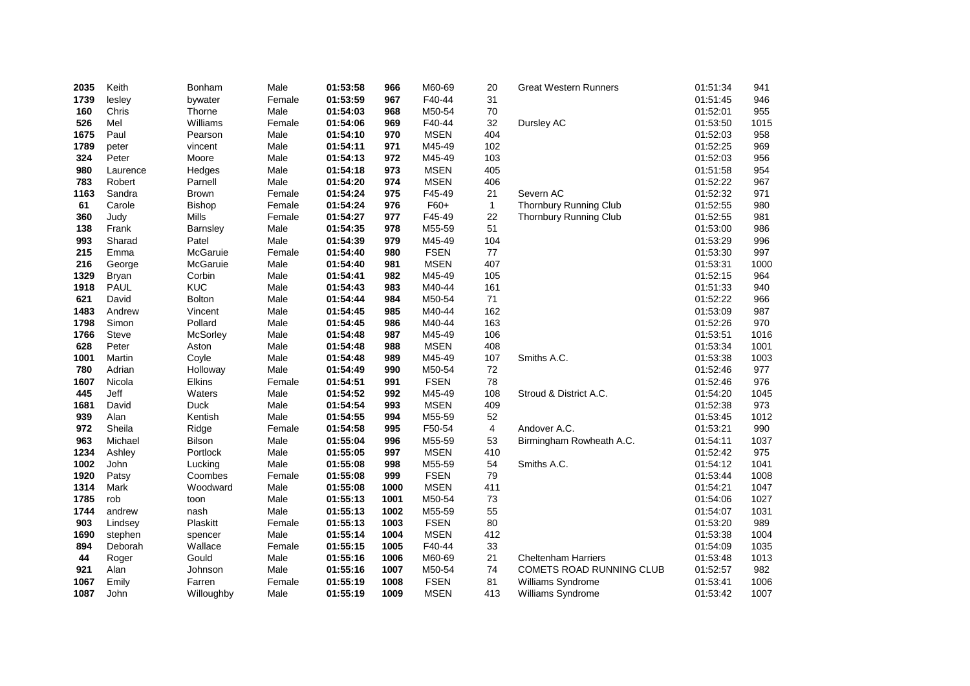| 2035 | Keith        | Bonham        | Male   | 01:53:58 | 966  | M60-69      | 20             | <b>Great Western Runners</b>  | 01:51:34 | 941  |
|------|--------------|---------------|--------|----------|------|-------------|----------------|-------------------------------|----------|------|
| 1739 | lesley       | bywater       | Female | 01:53:59 | 967  | F40-44      | 31             |                               | 01:51:45 | 946  |
| 160  | Chris        | Thorne        | Male   | 01:54:03 | 968  | M50-54      | 70             |                               | 01:52:01 | 955  |
| 526  | Mel          | Williams      | Female | 01:54:06 | 969  | F40-44      | 32             | Dursley AC                    | 01:53:50 | 1015 |
| 1675 | Paul         | Pearson       | Male   | 01:54:10 | 970  | <b>MSEN</b> | 404            |                               | 01:52:03 | 958  |
| 1789 | peter        | vincent       | Male   | 01:54:11 | 971  | M45-49      | 102            |                               | 01:52:25 | 969  |
| 324  | Peter        | Moore         | Male   | 01:54:13 | 972  | M45-49      | 103            |                               | 01:52:03 | 956  |
| 980  | Laurence     | Hedges        | Male   | 01:54:18 | 973  | <b>MSEN</b> | 405            |                               | 01:51:58 | 954  |
| 783  | Robert       | Parnell       | Male   | 01:54:20 | 974  | <b>MSEN</b> | 406            |                               | 01:52:22 | 967  |
| 1163 | Sandra       | Brown         | Female | 01:54:24 | 975  | F45-49      | 21             | Severn AC                     | 01:52:32 | 971  |
| 61   | Carole       | <b>Bishop</b> | Female | 01:54:24 | 976  | F60+        | $\mathbf{1}$   | <b>Thornbury Running Club</b> | 01:52:55 | 980  |
| 360  | Judy         | Mills         | Female | 01:54:27 | 977  | F45-49      | 22             | Thornbury Running Club        | 01:52:55 | 981  |
| 138  | Frank        | Barnsley      | Male   | 01:54:35 | 978  | M55-59      | 51             |                               | 01:53:00 | 986  |
| 993  | Sharad       | Patel         | Male   | 01:54:39 | 979  | M45-49      | 104            |                               | 01:53:29 | 996  |
| 215  | Emma         | McGaruie      | Female | 01:54:40 | 980  | <b>FSEN</b> | 77             |                               | 01:53:30 | 997  |
| 216  | George       | McGaruie      | Male   | 01:54:40 | 981  | MSEN        | 407            |                               | 01:53:31 | 1000 |
| 1329 | Bryan        | Corbin        | Male   | 01:54:41 | 982  | M45-49      | 105            |                               | 01:52:15 | 964  |
| 1918 | <b>PAUL</b>  | <b>KUC</b>    | Male   | 01:54:43 | 983  | M40-44      | 161            |                               | 01:51:33 | 940  |
| 621  | David        | <b>Bolton</b> | Male   | 01:54:44 | 984  | M50-54      | 71             |                               | 01:52:22 | 966  |
| 1483 | Andrew       | Vincent       | Male   | 01:54:45 | 985  | M40-44      | 162            |                               | 01:53:09 | 987  |
| 1798 | Simon        | Pollard       | Male   | 01:54:45 | 986  | M40-44      | 163            |                               | 01:52:26 | 970  |
| 1766 | <b>Steve</b> | McSorley      | Male   | 01:54:48 | 987  | M45-49      | 106            |                               | 01:53:51 | 1016 |
| 628  | Peter        | Aston         | Male   | 01:54:48 | 988  | <b>MSEN</b> | 408            |                               | 01:53:34 | 1001 |
| 1001 | Martin       | Coyle         | Male   | 01:54:48 | 989  | M45-49      | 107            | Smiths A.C.                   | 01:53:38 | 1003 |
| 780  | Adrian       | Holloway      | Male   | 01:54:49 | 990  | M50-54      | 72             |                               | 01:52:46 | 977  |
| 1607 | Nicola       | <b>Elkins</b> | Female | 01:54:51 | 991  | <b>FSEN</b> | 78             |                               | 01:52:46 | 976  |
| 445  | Jeff         | Waters        | Male   | 01:54:52 | 992  | M45-49      | 108            | Stroud & District A.C.        | 01:54:20 | 1045 |
| 1681 | David        | <b>Duck</b>   | Male   | 01:54:54 | 993  | <b>MSEN</b> | 409            |                               | 01:52:38 | 973  |
| 939  | Alan         | Kentish       | Male   | 01:54:55 | 994  | M55-59      | 52             |                               | 01:53:45 | 1012 |
| 972  | Sheila       | Ridge         | Female | 01:54:58 | 995  | F50-54      | $\overline{4}$ | Andover A.C.                  | 01:53:21 | 990  |
| 963  | Michael      | Bilson        | Male   | 01:55:04 | 996  | M55-59      | 53             | Birmingham Rowheath A.C.      | 01:54:11 | 1037 |
| 1234 | Ashley       | Portlock      | Male   | 01:55:05 | 997  | <b>MSEN</b> | 410            |                               | 01:52:42 | 975  |
| 1002 | John         | Lucking       | Male   | 01:55:08 | 998  | M55-59      | 54             | Smiths A.C.                   | 01:54:12 | 1041 |
| 1920 | Patsy        | Coombes       | Female | 01:55:08 | 999  | <b>FSEN</b> | 79             |                               | 01:53:44 | 1008 |
| 1314 | Mark         | Woodward      | Male   | 01:55:08 | 1000 | <b>MSEN</b> | 411            |                               | 01:54:21 | 1047 |
| 1785 | rob          | toon          | Male   | 01:55:13 | 1001 | M50-54      | 73             |                               | 01:54:06 | 1027 |
| 1744 | andrew       | nash          | Male   | 01:55:13 | 1002 | M55-59      | 55             |                               | 01:54:07 | 1031 |
| 903  | Lindsey      | Plaskitt      | Female | 01:55:13 | 1003 | <b>FSEN</b> | 80             |                               | 01:53:20 | 989  |
| 1690 | stephen      | spencer       | Male   | 01:55:14 | 1004 | <b>MSEN</b> | 412            |                               | 01:53:38 | 1004 |
| 894  | Deborah      | Wallace       | Female | 01:55:15 | 1005 | F40-44      | 33             |                               | 01:54:09 | 1035 |
| 44   | Roger        | Gould         | Male   | 01:55:16 | 1006 | M60-69      | 21             | <b>Cheltenham Harriers</b>    | 01:53:48 | 1013 |
| 921  | Alan         | Johnson       | Male   | 01:55:16 | 1007 | M50-54      | 74             | COMETS ROAD RUNNING CLUB      | 01:52:57 | 982  |
| 1067 | Emily        | Farren        | Female | 01:55:19 | 1008 | <b>FSEN</b> | 81             | Williams Syndrome             | 01:53:41 | 1006 |
| 1087 | John         | Willoughby    | Male   | 01:55:19 | 1009 | <b>MSEN</b> | 413            | Williams Syndrome             | 01:53:42 | 1007 |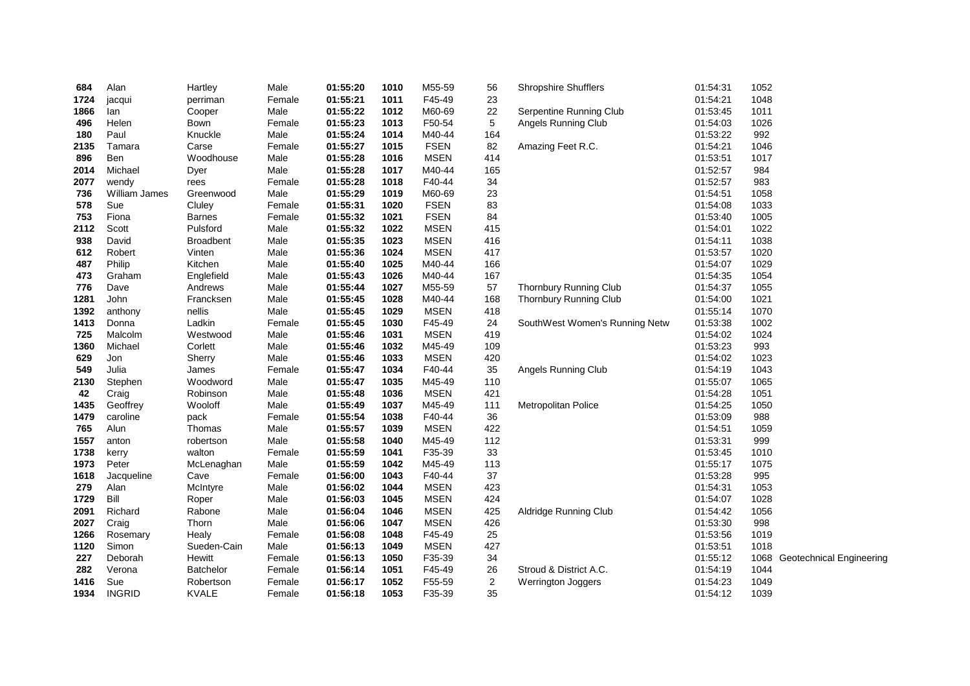| 684  | Alan                 | Hartley          | Male   | 01:55:20 | 1010 | M55-59      | 56               | Shropshire Shufflers           | 01:54:31 | 1052 |                               |
|------|----------------------|------------------|--------|----------|------|-------------|------------------|--------------------------------|----------|------|-------------------------------|
| 1724 | jacqui               | perriman         | Female | 01:55:21 | 1011 | F45-49      | 23               |                                | 01:54:21 | 1048 |                               |
| 1866 | lan                  | Cooper           | Male   | 01:55:22 | 1012 | M60-69      | 22               | Serpentine Running Club        | 01:53:45 | 1011 |                               |
| 496  | Helen                | Bown             | Female | 01:55:23 | 1013 | F50-54      | 5                | Angels Running Club            | 01:54:03 | 1026 |                               |
| 180  | Paul                 | Knuckle          | Male   | 01:55:24 | 1014 | M40-44      | 164              |                                | 01:53:22 | 992  |                               |
| 2135 | Tamara               | Carse            | Female | 01:55:27 | 1015 | <b>FSEN</b> | 82               | Amazing Feet R.C.              | 01:54:21 | 1046 |                               |
| 896  | Ben                  | Woodhouse        | Male   | 01:55:28 | 1016 | <b>MSEN</b> | 414              |                                | 01:53:51 | 1017 |                               |
| 2014 | Michael              | Dyer             | Male   | 01:55:28 | 1017 | M40-44      | 165              |                                | 01:52:57 | 984  |                               |
| 2077 | wendy                | rees             | Female | 01:55:28 | 1018 | F40-44      | 34               |                                | 01:52:57 | 983  |                               |
| 736  | <b>William James</b> | Greenwood        | Male   | 01:55:29 | 1019 | M60-69      | 23               |                                | 01:54:51 | 1058 |                               |
| 578  | Sue                  | Cluley           | Female | 01:55:31 | 1020 | <b>FSEN</b> | 83               |                                | 01:54:08 | 1033 |                               |
| 753  | Fiona                | <b>Barnes</b>    | Female | 01:55:32 | 1021 | <b>FSEN</b> | 84               |                                | 01:53:40 | 1005 |                               |
| 2112 | Scott                | Pulsford         | Male   | 01:55:32 | 1022 | <b>MSEN</b> | 415              |                                | 01:54:01 | 1022 |                               |
| 938  | David                | <b>Broadbent</b> | Male   | 01:55:35 | 1023 | <b>MSEN</b> | 416              |                                | 01:54:11 | 1038 |                               |
| 612  | Robert               | Vinten           | Male   | 01:55:36 | 1024 | <b>MSEN</b> | 417              |                                | 01:53:57 | 1020 |                               |
| 487  | Philip               | Kitchen          | Male   | 01:55:40 | 1025 | M40-44      | 166              |                                | 01:54:07 | 1029 |                               |
| 473  | Graham               | Englefield       | Male   | 01:55:43 | 1026 | M40-44      | 167              |                                | 01:54:35 | 1054 |                               |
| 776  | Dave                 | Andrews          | Male   | 01:55:44 | 1027 | M55-59      | 57               | Thornbury Running Club         | 01:54:37 | 1055 |                               |
| 1281 | John                 | Francksen        | Male   | 01:55:45 | 1028 | M40-44      | 168              | Thornbury Running Club         | 01:54:00 | 1021 |                               |
| 1392 | anthony              | nellis           | Male   | 01:55:45 | 1029 | <b>MSEN</b> | 418              |                                | 01:55:14 | 1070 |                               |
| 1413 | Donna                | Ladkin           | Female | 01:55:45 | 1030 | F45-49      | 24               | SouthWest Women's Running Netw | 01:53:38 | 1002 |                               |
| 725  | Malcolm              | Westwood         | Male   | 01:55:46 | 1031 | <b>MSEN</b> | 419              |                                | 01:54:02 | 1024 |                               |
| 1360 | Michael              | Corlett          | Male   | 01:55:46 | 1032 | M45-49      | 109              |                                | 01:53:23 | 993  |                               |
| 629  | Jon                  | Sherry           | Male   | 01:55:46 | 1033 | <b>MSEN</b> | 420              |                                | 01:54:02 | 1023 |                               |
| 549  | Julia                | James            | Female | 01:55:47 | 1034 | F40-44      | 35               | Angels Running Club            | 01:54:19 | 1043 |                               |
| 2130 | Stephen              | Woodword         | Male   | 01:55:47 | 1035 | M45-49      | 110              |                                | 01:55:07 | 1065 |                               |
| 42   | Craig                | Robinson         | Male   | 01:55:48 | 1036 | <b>MSEN</b> | 421              |                                | 01:54:28 | 1051 |                               |
| 1435 | Geoffrey             | Wooloff          | Male   | 01:55:49 | 1037 | M45-49      | 111              | Metropolitan Police            | 01:54:25 | 1050 |                               |
| 1479 | caroline             | pack             | Female | 01:55:54 | 1038 | F40-44      | 36               |                                | 01:53:09 | 988  |                               |
| 765  | Alun                 | Thomas           | Male   | 01:55:57 | 1039 | <b>MSEN</b> | 422              |                                | 01:54:51 | 1059 |                               |
| 1557 | anton                | robertson        | Male   | 01:55:58 | 1040 | M45-49      | 112              |                                | 01:53:31 | 999  |                               |
| 1738 | kerry                | walton           | Female | 01:55:59 | 1041 | F35-39      | 33               |                                | 01:53:45 | 1010 |                               |
| 1973 | Peter                | McLenaghan       | Male   | 01:55:59 | 1042 | M45-49      | 113              |                                | 01:55:17 | 1075 |                               |
| 1618 | Jacqueline           | Cave             | Female | 01:56:00 | 1043 | F40-44      | 37               |                                | 01:53:28 | 995  |                               |
| 279  | Alan                 | McIntyre         | Male   | 01:56:02 | 1044 | <b>MSEN</b> | 423              |                                | 01:54:31 | 1053 |                               |
| 1729 | Bill                 | Roper            | Male   | 01:56:03 | 1045 | <b>MSEN</b> | 424              |                                | 01:54:07 | 1028 |                               |
| 2091 | Richard              | Rabone           | Male   | 01:56:04 | 1046 | <b>MSEN</b> | 425              | Aldridge Running Club          | 01:54:42 | 1056 |                               |
| 2027 | Craig                | Thorn            | Male   | 01:56:06 | 1047 | <b>MSEN</b> | 426              |                                | 01:53:30 | 998  |                               |
| 1266 | Rosemary             | Healy            | Female | 01:56:08 | 1048 | F45-49      | 25               |                                | 01:53:56 | 1019 |                               |
| 1120 | Simon                | Sueden-Cain      | Male   | 01:56:13 | 1049 | <b>MSEN</b> | 427              |                                | 01:53:51 | 1018 |                               |
| 227  | Deborah              | Hewitt           | Female | 01:56:13 | 1050 | F35-39      | 34               |                                | 01:55:12 |      | 1068 Geotechnical Engineering |
| 282  | Verona               | <b>Batchelor</b> | Female | 01:56:14 | 1051 | F45-49      | 26               | Stroud & District A.C.         | 01:54:19 | 1044 |                               |
| 1416 | Sue                  | Robertson        | Female | 01:56:17 | 1052 | F55-59      | $\boldsymbol{2}$ | <b>Werrington Joggers</b>      | 01:54:23 | 1049 |                               |
| 1934 | <b>INGRID</b>        | <b>KVALE</b>     | Female | 01:56:18 | 1053 | F35-39      | 35               |                                | 01:54:12 | 1039 |                               |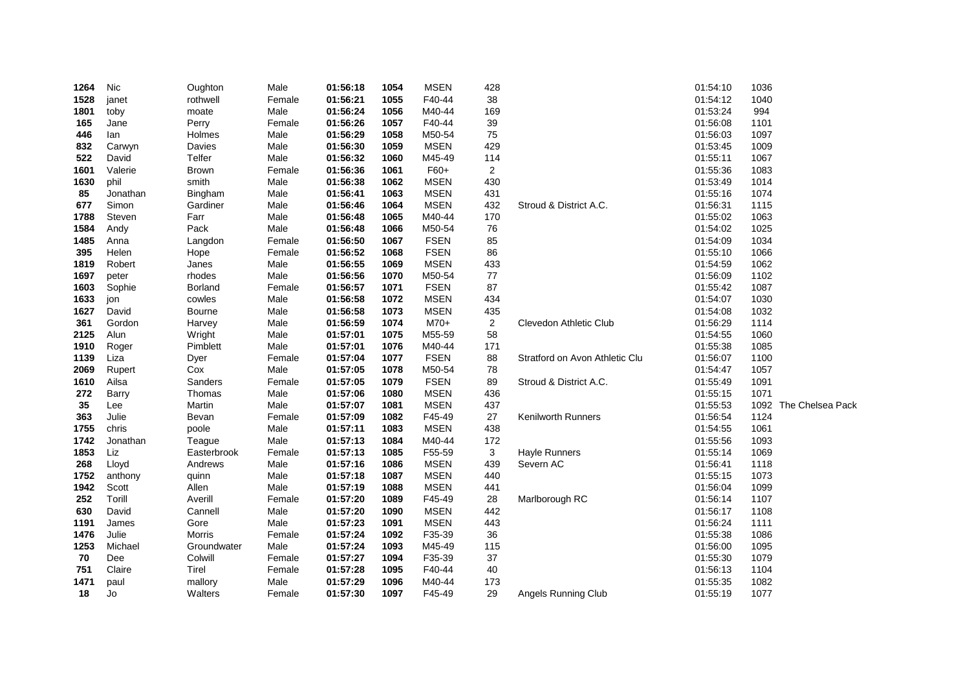| 1264 | Nic      | Oughton      | Male   | 01:56:18 | 1054 | <b>MSEN</b> | 428            |                                | 01:54:10 | 1036 |                  |
|------|----------|--------------|--------|----------|------|-------------|----------------|--------------------------------|----------|------|------------------|
| 1528 | janet    | rothwell     | Female | 01:56:21 | 1055 | F40-44      | 38             |                                | 01:54:12 | 1040 |                  |
| 1801 | toby     | moate        | Male   | 01:56:24 | 1056 | M40-44      | 169            |                                | 01:53:24 | 994  |                  |
| 165  | Jane     | Perry        | Female | 01:56:26 | 1057 | F40-44      | 39             |                                | 01:56:08 | 1101 |                  |
| 446  | lan      | Holmes       | Male   | 01:56:29 | 1058 | M50-54      | 75             |                                | 01:56:03 | 1097 |                  |
| 832  | Carwyn   | Davies       | Male   | 01:56:30 | 1059 | <b>MSEN</b> | 429            |                                | 01:53:45 | 1009 |                  |
| 522  | David    | Telfer       | Male   | 01:56:32 | 1060 | M45-49      | 114            |                                | 01:55:11 | 1067 |                  |
| 1601 | Valerie  | <b>Brown</b> | Female | 01:56:36 | 1061 | F60+        | $\overline{c}$ |                                | 01:55:36 | 1083 |                  |
| 1630 | phil     | smith        | Male   | 01:56:38 | 1062 | <b>MSEN</b> | 430            |                                | 01:53:49 | 1014 |                  |
| 85   | Jonathan | Bingham      | Male   | 01:56:41 | 1063 | <b>MSEN</b> | 431            |                                | 01:55:16 | 1074 |                  |
| 677  | Simon    | Gardiner     | Male   | 01:56:46 | 1064 | <b>MSEN</b> | 432            | Stroud & District A.C.         | 01:56:31 | 1115 |                  |
| 1788 | Steven   | Farr         | Male   | 01:56:48 | 1065 | M40-44      | 170            |                                | 01:55:02 | 1063 |                  |
| 1584 | Andy     | Pack         | Male   | 01:56:48 | 1066 | M50-54      | 76             |                                | 01:54:02 | 1025 |                  |
| 1485 | Anna     | Langdon      | Female | 01:56:50 | 1067 | <b>FSEN</b> | 85             |                                | 01:54:09 | 1034 |                  |
| 395  | Helen    | Hope         | Female | 01:56:52 | 1068 | <b>FSEN</b> | 86             |                                | 01:55:10 | 1066 |                  |
| 1819 | Robert   | Janes        | Male   | 01:56:55 | 1069 | <b>MSEN</b> | 433            |                                | 01:54:59 | 1062 |                  |
| 1697 | peter    | rhodes       | Male   | 01:56:56 | 1070 | M50-54      | 77             |                                | 01:56:09 | 1102 |                  |
| 1603 | Sophie   | Borland      | Female | 01:56:57 | 1071 | <b>FSEN</b> | 87             |                                | 01:55:42 | 1087 |                  |
| 1633 | jon      | cowles       | Male   | 01:56:58 | 1072 | <b>MSEN</b> | 434            |                                | 01:54:07 | 1030 |                  |
| 1627 | David    | Bourne       | Male   | 01:56:58 | 1073 | <b>MSEN</b> | 435            |                                | 01:54:08 | 1032 |                  |
| 361  | Gordon   | Harvey       | Male   | 01:56:59 | 1074 | $M70+$      | $\overline{c}$ | Clevedon Athletic Club         | 01:56:29 | 1114 |                  |
| 2125 | Alun     | Wright       | Male   | 01:57:01 | 1075 | M55-59      | 58             |                                | 01:54:55 | 1060 |                  |
| 1910 | Roger    | Pimblett     | Male   | 01:57:01 | 1076 | M40-44      | 171            |                                | 01:55:38 | 1085 |                  |
| 1139 | Liza     | Dyer         | Female | 01:57:04 | 1077 | <b>FSEN</b> | 88             | Stratford on Avon Athletic Clu | 01:56:07 | 1100 |                  |
| 2069 | Rupert   | Cox          | Male   | 01:57:05 | 1078 | M50-54      | 78             |                                | 01:54:47 | 1057 |                  |
| 1610 | Ailsa    | Sanders      | Female | 01:57:05 | 1079 | <b>FSEN</b> | 89             | Stroud & District A.C.         | 01:55:49 | 1091 |                  |
| 272  | Barry    | Thomas       | Male   | 01:57:06 | 1080 | <b>MSEN</b> | 436            |                                | 01:55:15 | 1071 |                  |
| 35   | Lee      | Martin       | Male   | 01:57:07 | 1081 | <b>MSEN</b> | 437            |                                | 01:55:53 | 1092 | The Chelsea Pack |
| 363  | Julie    | Bevan        | Female | 01:57:09 | 1082 | F45-49      | 27             | <b>Kenilworth Runners</b>      | 01:56:54 | 1124 |                  |
| 1755 | chris    | poole        | Male   | 01:57:11 | 1083 | <b>MSEN</b> | 438            |                                | 01:54:55 | 1061 |                  |
| 1742 | Jonathan | Teague       | Male   | 01:57:13 | 1084 | M40-44      | 172            |                                | 01:55:56 | 1093 |                  |
| 1853 | Liz      | Easterbrook  | Female | 01:57:13 | 1085 | F55-59      | 3              | <b>Hayle Runners</b>           | 01:55:14 | 1069 |                  |
| 268  | Lloyd    | Andrews      | Male   | 01:57:16 | 1086 | <b>MSEN</b> | 439            | Severn AC                      | 01:56:41 | 1118 |                  |
| 1752 | anthony  | quinn        | Male   | 01:57:18 | 1087 | <b>MSEN</b> | 440            |                                | 01:55:15 | 1073 |                  |
| 1942 | Scott    | Allen        | Male   | 01:57:19 | 1088 | <b>MSEN</b> | 441            |                                | 01:56:04 | 1099 |                  |
| 252  | Torill   | Averill      | Female | 01:57:20 | 1089 | F45-49      | 28             | Marlborough RC                 | 01:56:14 | 1107 |                  |
| 630  | David    | Cannell      | Male   | 01:57:20 | 1090 | <b>MSEN</b> | 442            |                                | 01:56:17 | 1108 |                  |
| 1191 | James    | Gore         | Male   | 01:57:23 | 1091 | <b>MSEN</b> | 443            |                                | 01:56:24 | 1111 |                  |
| 1476 | Julie    | Morris       | Female | 01:57:24 | 1092 | F35-39      | 36             |                                | 01:55:38 | 1086 |                  |
| 1253 | Michael  | Groundwater  | Male   | 01:57:24 | 1093 | M45-49      | 115            |                                | 01:56:00 | 1095 |                  |
| 70   | Dee      | Colwill      | Female | 01:57:27 | 1094 | F35-39      | 37             |                                | 01:55:30 | 1079 |                  |
| 751  | Claire   | Tirel        | Female | 01:57:28 | 1095 | F40-44      | 40             |                                | 01:56:13 | 1104 |                  |
| 1471 | paul     | mallory      | Male   | 01:57:29 | 1096 | M40-44      | 173            |                                | 01:55:35 | 1082 |                  |
| 18   | Jo       | Walters      | Female | 01:57:30 | 1097 | F45-49      | 29             | <b>Angels Running Club</b>     | 01:55:19 | 1077 |                  |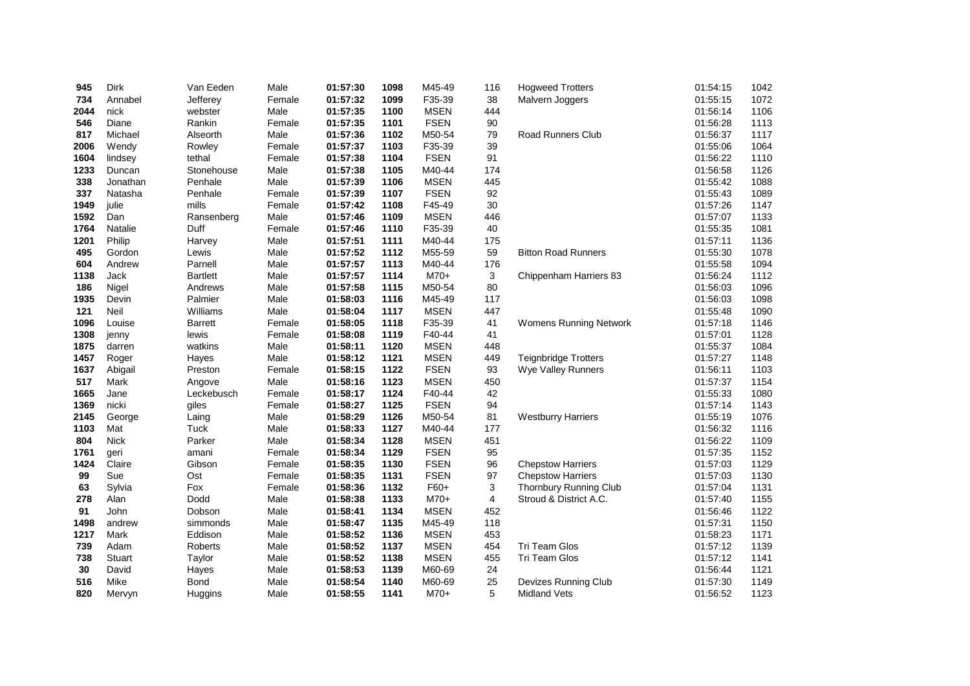| 945  | <b>Dirk</b> | Van Eeden       | Male   | 01:57:30 | 1098 | M45-49      | 116 | <b>Hogweed Trotters</b>     | 01:54:15 | 1042 |
|------|-------------|-----------------|--------|----------|------|-------------|-----|-----------------------------|----------|------|
| 734  | Annabel     | Jefferey        | Female | 01:57:32 | 1099 | F35-39      | 38  | Malvern Joggers             | 01:55:15 | 1072 |
| 2044 | nick        | webster         | Male   | 01:57:35 | 1100 | <b>MSEN</b> | 444 |                             | 01:56:14 | 1106 |
| 546  | Diane       | Rankin          | Female | 01:57:35 | 1101 | <b>FSEN</b> | 90  |                             | 01:56:28 | 1113 |
| 817  | Michael     | Alseorth        | Male   | 01:57:36 | 1102 | M50-54      | 79  | <b>Road Runners Club</b>    | 01:56:37 | 1117 |
| 2006 | Wendy       | Rowley          | Female | 01:57:37 | 1103 | F35-39      | 39  |                             | 01:55:06 | 1064 |
| 1604 | lindsey     | tethal          | Female | 01:57:38 | 1104 | <b>FSEN</b> | 91  |                             | 01:56:22 | 1110 |
| 1233 | Duncan      | Stonehouse      | Male   | 01:57:38 | 1105 | M40-44      | 174 |                             | 01:56:58 | 1126 |
| 338  | Jonathan    | Penhale         | Male   | 01:57:39 | 1106 | <b>MSEN</b> | 445 |                             | 01:55:42 | 1088 |
| 337  | Natasha     | Penhale         | Female | 01:57:39 | 1107 | <b>FSEN</b> | 92  |                             | 01:55:43 | 1089 |
| 1949 | julie       | mills           | Female | 01:57:42 | 1108 | F45-49      | 30  |                             | 01:57:26 | 1147 |
| 1592 | Dan         | Ransenberg      | Male   | 01:57:46 | 1109 | <b>MSEN</b> | 446 |                             | 01:57:07 | 1133 |
| 1764 | Natalie     | Duff            | Female | 01:57:46 | 1110 | F35-39      | 40  |                             | 01:55:35 | 1081 |
| 1201 | Philip      | Harvey          | Male   | 01:57:51 | 1111 | M40-44      | 175 |                             | 01:57:11 | 1136 |
| 495  | Gordon      | Lewis           | Male   | 01:57:52 | 1112 | M55-59      | 59  | <b>Bitton Road Runners</b>  | 01:55:30 | 1078 |
| 604  | Andrew      | Parnell         | Male   | 01:57:57 | 1113 | M40-44      | 176 |                             | 01:55:58 | 1094 |
| 1138 | Jack        | <b>Bartlett</b> | Male   | 01:57:57 | 1114 | $M70+$      | 3   | Chippenham Harriers 83      | 01:56:24 | 1112 |
| 186  | Nigel       | Andrews         | Male   | 01:57:58 | 1115 | M50-54      | 80  |                             | 01:56:03 | 1096 |
| 1935 | Devin       | Palmier         | Male   | 01:58:03 | 1116 | M45-49      | 117 |                             | 01:56:03 | 1098 |
| 121  | Neil        | Williams        | Male   | 01:58:04 | 1117 | <b>MSEN</b> | 447 |                             | 01:55:48 | 1090 |
| 1096 | Louise      | <b>Barrett</b>  | Female | 01:58:05 | 1118 | F35-39      | 41  | Womens Running Network      | 01:57:18 | 1146 |
| 1308 | jenny       | lewis           | Female | 01:58:08 | 1119 | F40-44      | 41  |                             | 01:57:01 | 1128 |
| 1875 | darren      | watkins         | Male   | 01:58:11 | 1120 | <b>MSEN</b> | 448 |                             | 01:55:37 | 1084 |
| 1457 | Roger       | Hayes           | Male   | 01:58:12 | 1121 | <b>MSEN</b> | 449 | <b>Teignbridge Trotters</b> | 01:57:27 | 1148 |
| 1637 | Abigail     | Preston         | Female | 01:58:15 | 1122 | <b>FSEN</b> | 93  | Wye Valley Runners          | 01:56:11 | 1103 |
| 517  | Mark        | Angove          | Male   | 01:58:16 | 1123 | <b>MSEN</b> | 450 |                             | 01:57:37 | 1154 |
| 1665 | Jane        | Leckebusch      | Female | 01:58:17 | 1124 | F40-44      | 42  |                             | 01:55:33 | 1080 |
| 1369 | nicki       | giles           | Female | 01:58:27 | 1125 | <b>FSEN</b> | 94  |                             | 01:57:14 | 1143 |
| 2145 | George      | Laing           | Male   | 01:58:29 | 1126 | M50-54      | 81  | <b>Westburry Harriers</b>   | 01:55:19 | 1076 |
| 1103 | Mat         | Tuck            | Male   | 01:58:33 | 1127 | M40-44      | 177 |                             | 01:56:32 | 1116 |
| 804  | <b>Nick</b> | Parker          | Male   | 01:58:34 | 1128 | <b>MSEN</b> | 451 |                             | 01:56:22 | 1109 |
| 1761 | geri        | amani           | Female | 01:58:34 | 1129 | <b>FSEN</b> | 95  |                             | 01:57:35 | 1152 |
| 1424 | Claire      | Gibson          | Female | 01:58:35 | 1130 | <b>FSEN</b> | 96  | <b>Chepstow Harriers</b>    | 01:57:03 | 1129 |
| 99   | Sue         | Ost             | Female | 01:58:35 | 1131 | <b>FSEN</b> | 97  | <b>Chepstow Harriers</b>    | 01:57:03 | 1130 |
| 63   | Sylvia      | Fox             | Female | 01:58:36 | 1132 | F60+        | 3   | Thornbury Running Club      | 01:57:04 | 1131 |
| 278  | Alan        | Dodd            | Male   | 01:58:38 | 1133 | $M70+$      | 4   | Stroud & District A.C.      | 01:57:40 | 1155 |
| 91   | John        | Dobson          | Male   | 01:58:41 | 1134 | <b>MSEN</b> | 452 |                             | 01:56:46 | 1122 |
| 1498 | andrew      | simmonds        | Male   | 01:58:47 | 1135 | M45-49      | 118 |                             | 01:57:31 | 1150 |
| 1217 | Mark        | Eddison         | Male   | 01:58:52 | 1136 | <b>MSEN</b> | 453 |                             | 01:58:23 | 1171 |
| 739  | Adam        | Roberts         | Male   | 01:58:52 | 1137 | <b>MSEN</b> | 454 | <b>Tri Team Glos</b>        | 01:57:12 | 1139 |
| 738  | Stuart      | Taylor          | Male   | 01:58:52 | 1138 | <b>MSEN</b> | 455 | <b>Tri Team Glos</b>        | 01:57:12 | 1141 |
| 30   | David       | Hayes           | Male   | 01:58:53 | 1139 | M60-69      | 24  |                             | 01:56:44 | 1121 |
| 516  | Mike        | <b>Bond</b>     | Male   | 01:58:54 | 1140 | M60-69      | 25  | Devizes Running Club        | 01:57:30 | 1149 |
| 820  | Mervyn      | Huggins         | Male   | 01:58:55 | 1141 | $M70+$      | 5   | <b>Midland Vets</b>         | 01:56:52 | 1123 |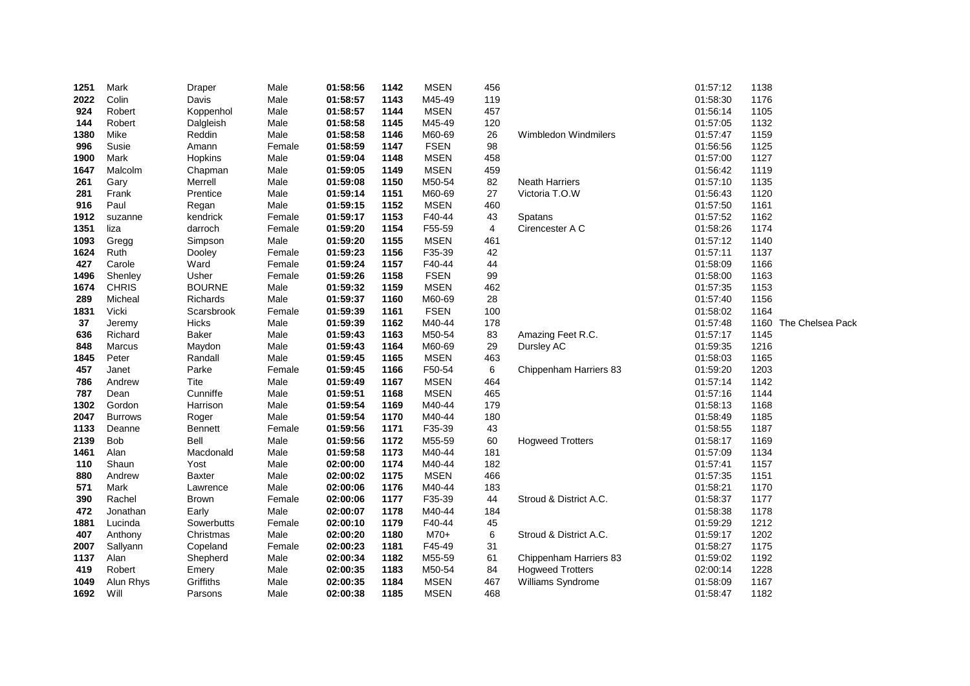| 1251 | Mark           | Draper         | Male   | 01:58:56 | 1142 | <b>MSEN</b> | 456 |                          | 01:57:12 | 1138 |                  |
|------|----------------|----------------|--------|----------|------|-------------|-----|--------------------------|----------|------|------------------|
| 2022 | Colin          | Davis          | Male   | 01:58:57 | 1143 | M45-49      | 119 |                          | 01:58:30 | 1176 |                  |
| 924  | Robert         | Koppenhol      | Male   | 01:58:57 | 1144 | <b>MSEN</b> | 457 |                          | 01:56:14 | 1105 |                  |
| 144  | Robert         | Dalgleish      | Male   | 01:58:58 | 1145 | M45-49      | 120 |                          | 01:57:05 | 1132 |                  |
| 1380 | Mike           | Reddin         | Male   | 01:58:58 | 1146 | M60-69      | 26  | Wimbledon Windmilers     | 01:57:47 | 1159 |                  |
| 996  | Susie          | Amann          | Female | 01:58:59 | 1147 | <b>FSEN</b> | 98  |                          | 01:56:56 | 1125 |                  |
| 1900 | Mark           | Hopkins        | Male   | 01:59:04 | 1148 | <b>MSEN</b> | 458 |                          | 01:57:00 | 1127 |                  |
| 1647 | Malcolm        | Chapman        | Male   | 01:59:05 | 1149 | <b>MSEN</b> | 459 |                          | 01:56:42 | 1119 |                  |
| 261  | Gary           | Merrell        | Male   | 01:59:08 | 1150 | M50-54      | 82  | <b>Neath Harriers</b>    | 01:57:10 | 1135 |                  |
| 281  | Frank          | Prentice       | Male   | 01:59:14 | 1151 | M60-69      | 27  | Victoria T.O.W           | 01:56:43 | 1120 |                  |
| 916  | Paul           | Regan          | Male   | 01:59:15 | 1152 | <b>MSEN</b> | 460 |                          | 01:57:50 | 1161 |                  |
| 1912 | suzanne        | kendrick       | Female | 01:59:17 | 1153 | F40-44      | 43  | Spatans                  | 01:57:52 | 1162 |                  |
| 1351 | liza           | darroch        | Female | 01:59:20 | 1154 | F55-59      | 4   | Cirencester A C          | 01:58:26 | 1174 |                  |
| 1093 | Gregg          | Simpson        | Male   | 01:59:20 | 1155 | <b>MSEN</b> | 461 |                          | 01:57:12 | 1140 |                  |
| 1624 | Ruth           | Dooley         | Female | 01:59:23 | 1156 | F35-39      | 42  |                          | 01:57:11 | 1137 |                  |
| 427  | Carole         | Ward           | Female | 01:59:24 | 1157 | F40-44      | 44  |                          | 01:58:09 | 1166 |                  |
| 1496 | Shenley        | Usher          | Female | 01:59:26 | 1158 | <b>FSEN</b> | 99  |                          | 01:58:00 | 1163 |                  |
| 1674 | <b>CHRIS</b>   | <b>BOURNE</b>  | Male   | 01:59:32 | 1159 | <b>MSEN</b> | 462 |                          | 01:57:35 | 1153 |                  |
| 289  | Micheal        | Richards       | Male   | 01:59:37 | 1160 | M60-69      | 28  |                          | 01:57:40 | 1156 |                  |
| 1831 | Vicki          | Scarsbrook     | Female | 01:59:39 | 1161 | <b>FSEN</b> | 100 |                          | 01:58:02 | 1164 |                  |
| 37   | Jeremy         | Hicks          | Male   | 01:59:39 | 1162 | M40-44      | 178 |                          | 01:57:48 | 1160 | The Chelsea Pack |
| 636  | Richard        | <b>Baker</b>   | Male   | 01:59:43 | 1163 | M50-54      | 83  | Amazing Feet R.C.        | 01:57:17 | 1145 |                  |
| 848  | Marcus         | Maydon         | Male   | 01:59:43 | 1164 | M60-69      | 29  | Dursley AC               | 01:59:35 | 1216 |                  |
| 1845 | Peter          | Randall        | Male   | 01:59:45 | 1165 | <b>MSEN</b> | 463 |                          | 01:58:03 | 1165 |                  |
| 457  | Janet          | Parke          | Female | 01:59:45 | 1166 | F50-54      | 6   | Chippenham Harriers 83   | 01:59:20 | 1203 |                  |
| 786  | Andrew         | Tite           | Male   | 01:59:49 | 1167 | <b>MSEN</b> | 464 |                          | 01:57:14 | 1142 |                  |
| 787  | Dean           | Cunniffe       | Male   | 01:59:51 | 1168 | <b>MSEN</b> | 465 |                          | 01:57:16 | 1144 |                  |
| 1302 | Gordon         | Harrison       | Male   | 01:59:54 | 1169 | M40-44      | 179 |                          | 01:58:13 | 1168 |                  |
| 2047 | <b>Burrows</b> | Roger          | Male   | 01:59:54 | 1170 | M40-44      | 180 |                          | 01:58:49 | 1185 |                  |
| 1133 | Deanne         | <b>Bennett</b> | Female | 01:59:56 | 1171 | F35-39      | 43  |                          | 01:58:55 | 1187 |                  |
| 2139 | Bob            | Bell           | Male   | 01:59:56 | 1172 | M55-59      | 60  | <b>Hogweed Trotters</b>  | 01:58:17 | 1169 |                  |
| 1461 | Alan           | Macdonald      | Male   | 01:59:58 | 1173 | M40-44      | 181 |                          | 01:57:09 | 1134 |                  |
| 110  | Shaun          | Yost           | Male   | 02:00:00 | 1174 | M40-44      | 182 |                          | 01:57:41 | 1157 |                  |
| 880  | Andrew         | <b>Baxter</b>  | Male   | 02:00:02 | 1175 | <b>MSEN</b> | 466 |                          | 01:57:35 | 1151 |                  |
| 571  | Mark           | Lawrence       | Male   | 02:00:06 | 1176 | M40-44      | 183 |                          | 01:58:21 | 1170 |                  |
| 390  | Rachel         | <b>Brown</b>   | Female | 02:00:06 | 1177 | F35-39      | 44  | Stroud & District A.C.   | 01:58:37 | 1177 |                  |
| 472  | Jonathan       | Early          | Male   | 02:00:07 | 1178 | M40-44      | 184 |                          | 01:58:38 | 1178 |                  |
| 1881 | Lucinda        | Sowerbutts     | Female | 02:00:10 | 1179 | F40-44      | 45  |                          | 01:59:29 | 1212 |                  |
| 407  | Anthony        | Christmas      | Male   | 02:00:20 | 1180 | M70+        | 6   | Stroud & District A.C.   | 01:59:17 | 1202 |                  |
| 2007 | Sallyann       | Copeland       | Female | 02:00:23 | 1181 | F45-49      | 31  |                          | 01:58:27 | 1175 |                  |
| 1137 | Alan           | Shepherd       | Male   | 02:00:34 | 1182 | M55-59      | 61  | Chippenham Harriers 83   | 01:59:02 | 1192 |                  |
| 419  | Robert         | Emery          | Male   | 02:00:35 | 1183 | M50-54      | 84  | <b>Hogweed Trotters</b>  | 02:00:14 | 1228 |                  |
| 1049 | Alun Rhys      | Griffiths      | Male   | 02:00:35 | 1184 | <b>MSEN</b> | 467 | <b>Williams Syndrome</b> | 01:58:09 | 1167 |                  |
| 1692 | Will           | Parsons        | Male   | 02:00:38 | 1185 | <b>MSEN</b> | 468 |                          | 01:58:47 | 1182 |                  |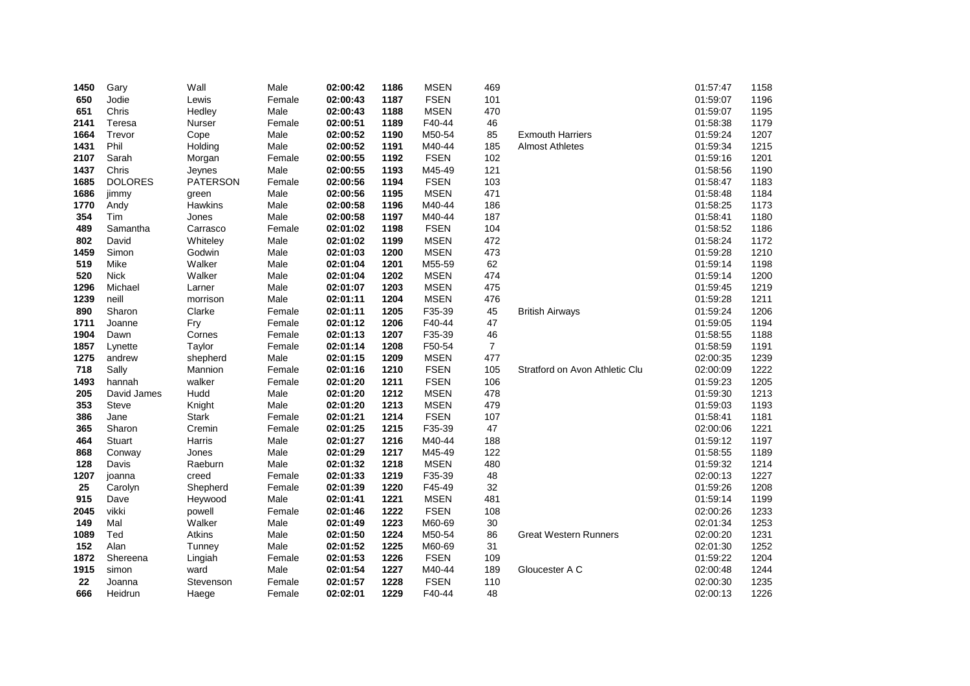| 1450 | Gary           | Wall            | Male   | 02:00:42 | 1186 | <b>MSEN</b> | 469            |                                | 01:57:47 | 1158 |
|------|----------------|-----------------|--------|----------|------|-------------|----------------|--------------------------------|----------|------|
| 650  | Jodie          | Lewis           | Female | 02:00:43 | 1187 | <b>FSEN</b> | 101            |                                | 01:59:07 | 1196 |
| 651  | Chris          | Hedley          | Male   | 02:00:43 | 1188 | <b>MSEN</b> | 470            |                                | 01:59:07 | 1195 |
| 2141 | Teresa         | Nurser          | Female | 02:00:51 | 1189 | F40-44      | 46             |                                | 01:58:38 | 1179 |
| 1664 | Trevor         | Cope            | Male   | 02:00:52 | 1190 | M50-54      | 85             | <b>Exmouth Harriers</b>        | 01:59:24 | 1207 |
| 1431 | Phil           | Holding         | Male   | 02:00:52 | 1191 | M40-44      | 185            | <b>Almost Athletes</b>         | 01:59:34 | 1215 |
| 2107 | Sarah          | Morgan          | Female | 02:00:55 | 1192 | <b>FSEN</b> | 102            |                                | 01:59:16 | 1201 |
| 1437 | Chris          | Jeynes          | Male   | 02:00:55 | 1193 | M45-49      | 121            |                                | 01:58:56 | 1190 |
| 1685 | <b>DOLORES</b> | <b>PATERSON</b> | Female | 02:00:56 | 1194 | <b>FSEN</b> | 103            |                                | 01:58:47 | 1183 |
| 1686 | jimmy          | green           | Male   | 02:00:56 | 1195 | <b>MSEN</b> | 471            |                                | 01:58:48 | 1184 |
| 1770 | Andy           | <b>Hawkins</b>  | Male   | 02:00:58 | 1196 | M40-44      | 186            |                                | 01:58:25 | 1173 |
| 354  | Tim            | Jones           | Male   | 02:00:58 | 1197 | M40-44      | 187            |                                | 01:58:41 | 1180 |
| 489  | Samantha       | Carrasco        | Female | 02:01:02 | 1198 | <b>FSEN</b> | 104            |                                | 01:58:52 | 1186 |
| 802  | David          | Whiteley        | Male   | 02:01:02 | 1199 | <b>MSEN</b> | 472            |                                | 01:58:24 | 1172 |
| 1459 | Simon          | Godwin          | Male   | 02:01:03 | 1200 | <b>MSEN</b> | 473            |                                | 01:59:28 | 1210 |
| 519  | Mike           | Walker          | Male   | 02:01:04 | 1201 | M55-59      | 62             |                                | 01:59:14 | 1198 |
| 520  | <b>Nick</b>    | Walker          | Male   | 02:01:04 | 1202 | <b>MSEN</b> | 474            |                                | 01:59:14 | 1200 |
| 1296 | Michael        | Larner          | Male   | 02:01:07 | 1203 | <b>MSEN</b> | 475            |                                | 01:59:45 | 1219 |
| 1239 | neill          | morrison        | Male   | 02:01:11 | 1204 | <b>MSEN</b> | 476            |                                | 01:59:28 | 1211 |
| 890  | Sharon         | Clarke          | Female | 02:01:11 | 1205 | F35-39      | 45             | <b>British Airways</b>         | 01:59:24 | 1206 |
| 1711 | Joanne         | Fry             | Female | 02:01:12 | 1206 | F40-44      | 47             |                                | 01:59:05 | 1194 |
| 1904 | Dawn           | Cornes          | Female | 02:01:13 | 1207 | F35-39      | 46             |                                | 01:58:55 | 1188 |
| 1857 | Lynette        | Taylor          | Female | 02:01:14 | 1208 | F50-54      | $\overline{7}$ |                                | 01:58:59 | 1191 |
| 1275 | andrew         | shepherd        | Male   | 02:01:15 | 1209 | <b>MSEN</b> | 477            |                                | 02:00:35 | 1239 |
| 718  | Sally          | Mannion         | Female | 02:01:16 | 1210 | <b>FSEN</b> | 105            | Stratford on Avon Athletic Clu | 02:00:09 | 1222 |
| 1493 | hannah         | walker          | Female | 02:01:20 | 1211 | <b>FSEN</b> | 106            |                                | 01:59:23 | 1205 |
| 205  | David James    | Hudd            | Male   | 02:01:20 | 1212 | <b>MSEN</b> | 478            |                                | 01:59:30 | 1213 |
| 353  | Steve          | Knight          | Male   | 02:01:20 | 1213 | <b>MSEN</b> | 479            |                                | 01:59:03 | 1193 |
| 386  | Jane           | <b>Stark</b>    | Female | 02:01:21 | 1214 | <b>FSEN</b> | 107            |                                | 01:58:41 | 1181 |
| 365  | Sharon         | Cremin          | Female | 02:01:25 | 1215 | F35-39      | 47             |                                | 02:00:06 | 1221 |
| 464  | Stuart         | Harris          | Male   | 02:01:27 | 1216 | M40-44      | 188            |                                | 01:59:12 | 1197 |
| 868  | Conway         | Jones           | Male   | 02:01:29 | 1217 | M45-49      | 122            |                                | 01:58:55 | 1189 |
| 128  | Davis          | Raeburn         | Male   | 02:01:32 | 1218 | <b>MSEN</b> | 480            |                                | 01:59:32 | 1214 |
| 1207 | joanna         | creed           | Female | 02:01:33 | 1219 | F35-39      | 48             |                                | 02:00:13 | 1227 |
| 25   | Carolyn        | Shepherd        | Female | 02:01:39 | 1220 | F45-49      | 32             |                                | 01:59:26 | 1208 |
| 915  | Dave           | Heywood         | Male   | 02:01:41 | 1221 | <b>MSEN</b> | 481            |                                | 01:59:14 | 1199 |
| 2045 | vikki          | powell          | Female | 02:01:46 | 1222 | <b>FSEN</b> | 108            |                                | 02:00:26 | 1233 |
| 149  | Mal            | Walker          | Male   | 02:01:49 | 1223 | M60-69      | 30             |                                | 02:01:34 | 1253 |
| 1089 | Ted            | Atkins          | Male   | 02:01:50 | 1224 | M50-54      | 86             | <b>Great Western Runners</b>   | 02:00:20 | 1231 |
| 152  | Alan           | Tunney          | Male   | 02:01:52 | 1225 | M60-69      | 31             |                                | 02:01:30 | 1252 |
| 1872 | Shereena       | Lingiah         | Female | 02:01:53 | 1226 | <b>FSEN</b> | 109            |                                | 01:59:22 | 1204 |
| 1915 | simon          | ward            | Male   | 02:01:54 | 1227 | M40-44      | 189            | Gloucester A C                 | 02:00:48 | 1244 |
| 22   | Joanna         | Stevenson       | Female | 02:01:57 | 1228 | <b>FSEN</b> | 110            |                                | 02:00:30 | 1235 |
| 666  | Heidrun        | Haege           | Female | 02:02:01 | 1229 | F40-44      | 48             |                                | 02:00:13 | 1226 |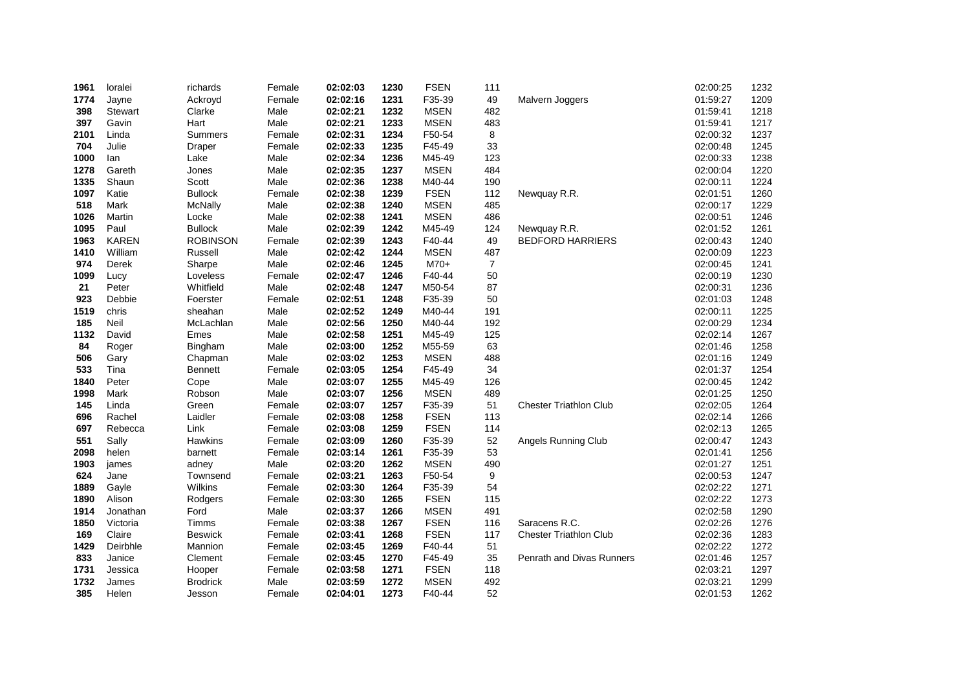| 1961 | loralei        | richards        | Female | 02:02:03 | 1230 | <b>FSEN</b> | 111 |                               | 02:00:25 | 1232 |
|------|----------------|-----------------|--------|----------|------|-------------|-----|-------------------------------|----------|------|
| 1774 | Jayne          | Ackroyd         | Female | 02:02:16 | 1231 | F35-39      | 49  | Malvern Joggers               | 01:59:27 | 1209 |
| 398  | <b>Stewart</b> | Clarke          | Male   | 02:02:21 | 1232 | <b>MSEN</b> | 482 |                               | 01:59:41 | 1218 |
| 397  | Gavin          | Hart            | Male   | 02:02:21 | 1233 | <b>MSEN</b> | 483 |                               | 01:59:41 | 1217 |
| 2101 | Linda          | Summers         | Female | 02:02:31 | 1234 | F50-54      | 8   |                               | 02:00:32 | 1237 |
| 704  | Julie          | Draper          | Female | 02:02:33 | 1235 | F45-49      | 33  |                               | 02:00:48 | 1245 |
| 1000 | lan            | Lake            | Male   | 02:02:34 | 1236 | M45-49      | 123 |                               | 02:00:33 | 1238 |
| 1278 | Gareth         | Jones           | Male   | 02:02:35 | 1237 | <b>MSEN</b> | 484 |                               | 02:00:04 | 1220 |
| 1335 | Shaun          | Scott           | Male   | 02:02:36 | 1238 | M40-44      | 190 |                               | 02:00:11 | 1224 |
| 1097 | Katie          | <b>Bullock</b>  | Female | 02:02:38 | 1239 | <b>FSEN</b> | 112 | Newquay R.R.                  | 02:01:51 | 1260 |
| 518  | Mark           | <b>McNally</b>  | Male   | 02:02:38 | 1240 | <b>MSEN</b> | 485 |                               | 02:00:17 | 1229 |
| 1026 | Martin         | Locke           | Male   | 02:02:38 | 1241 | <b>MSEN</b> | 486 |                               | 02:00:51 | 1246 |
| 1095 | Paul           | <b>Bullock</b>  | Male   | 02:02:39 | 1242 | M45-49      | 124 | Newquay R.R.                  | 02:01:52 | 1261 |
| 1963 | <b>KAREN</b>   | <b>ROBINSON</b> | Female | 02:02:39 | 1243 | F40-44      | 49  | <b>BEDFORD HARRIERS</b>       | 02:00:43 | 1240 |
| 1410 | William        | Russell         | Male   | 02:02:42 | 1244 | <b>MSEN</b> | 487 |                               | 02:00:09 | 1223 |
| 974  | Derek          | Sharpe          | Male   | 02:02:46 | 1245 | $M70+$      | 7   |                               | 02:00:45 | 1241 |
| 1099 | Lucy           | Loveless        | Female | 02:02:47 | 1246 | F40-44      | 50  |                               | 02:00:19 | 1230 |
| 21   | Peter          | Whitfield       | Male   | 02:02:48 | 1247 | M50-54      | 87  |                               | 02:00:31 | 1236 |
| 923  | Debbie         | Foerster        | Female | 02:02:51 | 1248 | F35-39      | 50  |                               | 02:01:03 | 1248 |
| 1519 | chris          | sheahan         | Male   | 02:02:52 | 1249 | M40-44      | 191 |                               | 02:00:11 | 1225 |
| 185  | Neil           | McLachlan       | Male   | 02:02:56 | 1250 | M40-44      | 192 |                               | 02:00:29 | 1234 |
| 1132 | David          | Emes            | Male   | 02:02:58 | 1251 | M45-49      | 125 |                               | 02:02:14 | 1267 |
| 84   | Roger          | Bingham         | Male   | 02:03:00 | 1252 | M55-59      | 63  |                               | 02:01:46 | 1258 |
| 506  | Gary           | Chapman         | Male   | 02:03:02 | 1253 | <b>MSEN</b> | 488 |                               | 02:01:16 | 1249 |
| 533  | Tina           | <b>Bennett</b>  | Female | 02:03:05 | 1254 | F45-49      | 34  |                               | 02:01:37 | 1254 |
| 1840 | Peter          | Cope            | Male   | 02:03:07 | 1255 | M45-49      | 126 |                               | 02:00:45 | 1242 |
| 1998 | Mark           | Robson          | Male   | 02:03:07 | 1256 | <b>MSEN</b> | 489 |                               | 02:01:25 | 1250 |
| 145  | Linda          | Green           | Female | 02:03:07 | 1257 | F35-39      | 51  | <b>Chester Triathlon Club</b> | 02:02:05 | 1264 |
| 696  | Rachel         | Laidler         | Female | 02:03:08 | 1258 | <b>FSEN</b> | 113 |                               | 02:02:14 | 1266 |
| 697  | Rebecca        | Link            | Female | 02:03:08 | 1259 | <b>FSEN</b> | 114 |                               | 02:02:13 | 1265 |
| 551  | Sally          | Hawkins         | Female | 02:03:09 | 1260 | F35-39      | 52  | Angels Running Club           | 02:00:47 | 1243 |
| 2098 | helen          | barnett         | Female | 02:03:14 | 1261 | F35-39      | 53  |                               | 02:01:41 | 1256 |
| 1903 | james          | adney           | Male   | 02:03:20 | 1262 | <b>MSEN</b> | 490 |                               | 02:01:27 | 1251 |
| 624  | Jane           | Townsend        | Female | 02:03:21 | 1263 | F50-54      | 9   |                               | 02:00:53 | 1247 |
| 1889 | Gayle          | Wilkins         | Female | 02:03:30 | 1264 | F35-39      | 54  |                               | 02:02:22 | 1271 |
| 1890 | Alison         | Rodgers         | Female | 02:03:30 | 1265 | <b>FSEN</b> | 115 |                               | 02:02:22 | 1273 |
| 1914 | Jonathan       | Ford            | Male   | 02:03:37 | 1266 | <b>MSEN</b> | 491 |                               | 02:02:58 | 1290 |
| 1850 | Victoria       | Timms           | Female | 02:03:38 | 1267 | <b>FSEN</b> | 116 | Saracens R.C.                 | 02:02:26 | 1276 |
| 169  | Claire         | Beswick         | Female | 02:03:41 | 1268 | <b>FSEN</b> | 117 | <b>Chester Triathlon Club</b> | 02:02:36 | 1283 |
| 1429 | Deirbhle       | Mannion         | Female | 02:03:45 | 1269 | F40-44      | 51  |                               | 02:02:22 | 1272 |
| 833  | Janice         | Clement         | Female | 02:03:45 | 1270 | F45-49      | 35  | Penrath and Divas Runners     | 02:01:46 | 1257 |
| 1731 | Jessica        | Hooper          | Female | 02:03:58 | 1271 | <b>FSEN</b> | 118 |                               | 02:03:21 | 1297 |
| 1732 | James          | <b>Brodrick</b> | Male   | 02:03:59 | 1272 | <b>MSEN</b> | 492 |                               | 02:03:21 | 1299 |
| 385  | Helen          | Jesson          | Female | 02:04:01 | 1273 | F40-44      | 52  |                               | 02:01:53 | 1262 |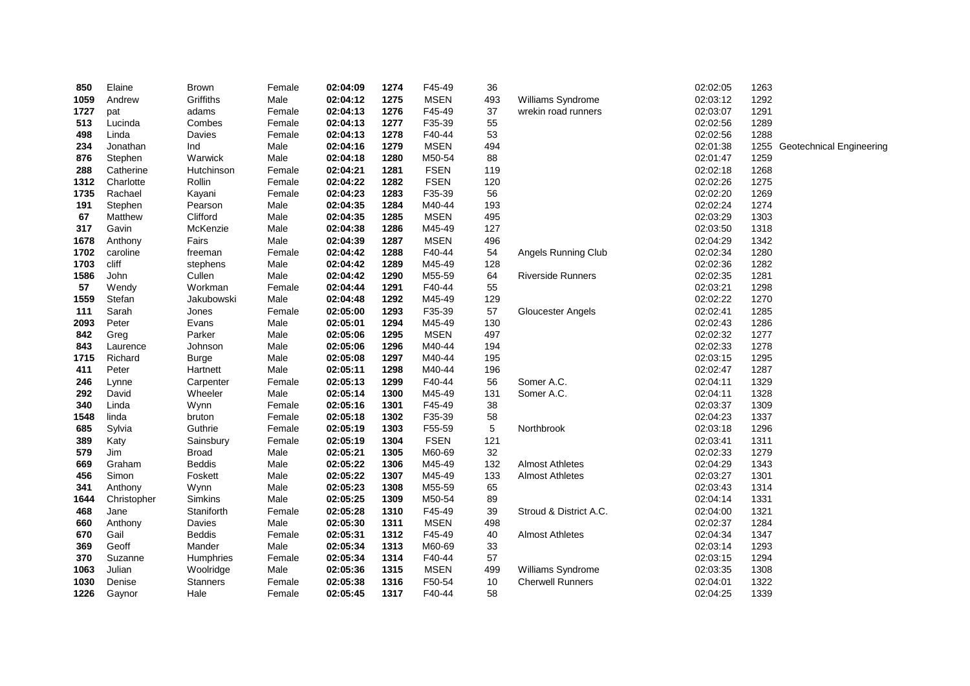| 850        | Elaine      | <b>Brown</b>                  | Female       | 02:04:09             | 1274         | F45-49           | 36            |                          | 02:02:05             | 1263         |                          |
|------------|-------------|-------------------------------|--------------|----------------------|--------------|------------------|---------------|--------------------------|----------------------|--------------|--------------------------|
| 1059       | Andrew      | Griffiths                     | Male         | 02:04:12             | 1275         | <b>MSEN</b>      | 493           | Williams Syndrome        | 02:03:12             | 1292         |                          |
| 1727       | pat         | adams                         | Female       | 02:04:13             | 1276         | F45-49           | 37            | wrekin road runners      | 02:03:07             | 1291         |                          |
| 513        | Lucinda     | Combes                        | Female       | 02:04:13             | 1277         | F35-39           | 55            |                          | 02:02:56             | 1289         |                          |
| 498        | Linda       | Davies                        | Female       | 02:04:13             | 1278         | F40-44           | 53            |                          | 02:02:56             | 1288         |                          |
| 234        | Jonathan    | Ind                           | Male         | 02:04:16             | 1279         | <b>MSEN</b>      | 494           |                          | 02:01:38             | 1255         | Geotechnical Engineering |
| 876        | Stephen     | Warwick                       | Male         | 02:04:18             | 1280         | M50-54           | 88            |                          | 02:01:47             | 1259         |                          |
| 288        | Catherine   | Hutchinson                    | Female       | 02:04:21             | 1281         | <b>FSEN</b>      | 119           |                          | 02:02:18             | 1268         |                          |
| 1312       | Charlotte   | Rollin                        | Female       | 02:04:22             | 1282         | <b>FSEN</b>      | 120           |                          | 02:02:26             | 1275         |                          |
| 1735       | Rachael     | Kayani                        | Female       | 02:04:23             | 1283         | F35-39           | 56            |                          | 02:02:20             | 1269         |                          |
| 191        | Stephen     | Pearson                       | Male         | 02:04:35             | 1284         | M40-44           | 193           |                          | 02:02:24             | 1274         |                          |
| 67         | Matthew     | Clifford                      | Male         | 02:04:35             | 1285         | <b>MSEN</b>      | 495           |                          | 02:03:29             | 1303         |                          |
| 317        | Gavin       | McKenzie                      | Male         | 02:04:38             | 1286         | M45-49           | 127           |                          | 02:03:50             | 1318         |                          |
| 1678       | Anthony     | Fairs                         | Male         | 02:04:39             | 1287         | <b>MSEN</b>      | 496           |                          | 02:04:29             | 1342         |                          |
| 1702       | caroline    | freeman                       | Female       | 02:04:42             | 1288         | F40-44           | 54            | Angels Running Club      | 02:02:34             | 1280         |                          |
| 1703       | cliff       | stephens                      | Male         | 02:04:42             | 1289         | M45-49           | 128           |                          | 02:02:36             | 1282         |                          |
| 1586       | John        | Cullen                        | Male         | 02:04:42             | 1290         | M55-59           | 64            | <b>Riverside Runners</b> | 02:02:35             | 1281         |                          |
| 57         | Wendy       | Workman                       | Female       | 02:04:44             | 1291         | F40-44           | 55            |                          | 02:03:21             | 1298         |                          |
| 1559       | Stefan      | Jakubowski                    | Male         | 02:04:48             | 1292         | M45-49           | 129           |                          | 02:02:22             | 1270         |                          |
| 111        | Sarah       | Jones                         | Female       | 02:05:00             | 1293         | F35-39           | 57            | Gloucester Angels        | 02:02:41             | 1285         |                          |
| 2093       | Peter       | Evans                         | Male         | 02:05:01             | 1294         | M45-49           | 130           |                          | 02:02:43             | 1286         |                          |
| 842        | Greg        | Parker                        | Male         | 02:05:06             | 1295         | <b>MSEN</b>      | 497           |                          | 02:02:32             | 1277         |                          |
| 843        | Laurence    | Johnson                       | Male         | 02:05:06             | 1296         | M40-44           | 194           |                          | 02:02:33             | 1278         |                          |
| 1715       | Richard     | <b>Burge</b>                  | Male         | 02:05:08             | 1297         | M40-44           | 195           |                          | 02:03:15             | 1295         |                          |
| 411        | Peter       | Hartnett                      | Male         | 02:05:11             | 1298         | M40-44           | 196           |                          | 02:02:47             | 1287         |                          |
| 246        | Lynne       | Carpenter                     | Female       | 02:05:13             | 1299         | F40-44           | 56            | Somer A.C.               | 02:04:11             | 1329         |                          |
| 292        | David       | Wheeler                       | Male         | 02:05:14             | 1300         | M45-49           | 131           | Somer A.C.               | 02:04:11             | 1328         |                          |
| 340        | Linda       | Wynn                          | Female       | 02:05:16             | 1301         | F45-49           | 38            |                          | 02:03:37             | 1309         |                          |
| 1548       | linda       | bruton                        | Female       | 02:05:18             | 1302         | F35-39           | 58            |                          | 02:04:23             | 1337         |                          |
| 685        | Sylvia      | Guthrie                       | Female       | 02:05:19             | 1303         | F55-59           | $\,$ 5 $\,$   | Northbrook               | 02:03:18             | 1296         |                          |
| 389<br>579 | Katy<br>Jim | Sainsbury                     | Female       | 02:05:19             | 1304         | <b>FSEN</b>      | 121<br>$32\,$ |                          | 02:03:41             | 1311         |                          |
|            | Graham      | <b>Broad</b><br><b>Beddis</b> | Male         | 02:05:21<br>02:05:22 | 1305         | M60-69<br>M45-49 | 132           | <b>Almost Athletes</b>   | 02:02:33<br>02:04:29 | 1279<br>1343 |                          |
| 669<br>456 | Simon       | Foskett                       | Male<br>Male | 02:05:22             | 1306<br>1307 | M45-49           | 133           | <b>Almost Athletes</b>   | 02:03:27             | 1301         |                          |
| 341        | Anthony     | Wynn                          | Male         | 02:05:23             | 1308         | M55-59           | 65            |                          | 02:03:43             | 1314         |                          |
| 1644       | Christopher | Simkins                       | Male         | 02:05:25             | 1309         | M50-54           | 89            |                          | 02:04:14             | 1331         |                          |
| 468        | Jane        | Staniforth                    | Female       | 02:05:28             | 1310         | F45-49           | 39            | Stroud & District A.C.   | 02:04:00             | 1321         |                          |
| 660        | Anthony     | Davies                        | Male         | 02:05:30             | 1311         | <b>MSEN</b>      | 498           |                          | 02:02:37             | 1284         |                          |
| 670        | Gail        | <b>Beddis</b>                 | Female       | 02:05:31             | 1312         | F45-49           | 40            | <b>Almost Athletes</b>   | 02:04:34             | 1347         |                          |
| 369        | Geoff       | Mander                        | Male         | 02:05:34             | 1313         | M60-69           | 33            |                          | 02:03:14             | 1293         |                          |
| 370        | Suzanne     | Humphries                     | Female       | 02:05:34             | 1314         | F40-44           | 57            |                          | 02:03:15             | 1294         |                          |
| 1063       | Julian      | Woolridge                     | Male         | 02:05:36             | 1315         | <b>MSEN</b>      | 499           | Williams Syndrome        | 02:03:35             | 1308         |                          |
| 1030       | Denise      | Stanners                      | Female       | 02:05:38             | 1316         | F50-54           | 10            | <b>Cherwell Runners</b>  | 02:04:01             | 1322         |                          |
| 1226       | Gaynor      | Hale                          | Female       | 02:05:45             | 1317         | F40-44           | 58            |                          | 02:04:25             | 1339         |                          |
|            |             |                               |              |                      |              |                  |               |                          |                      |              |                          |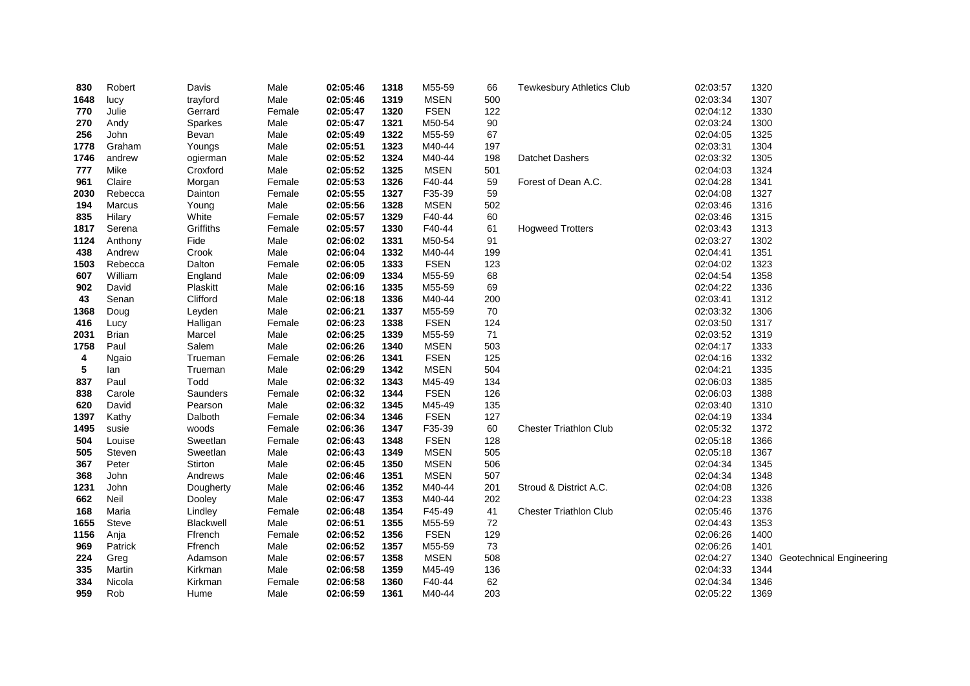| 830  | Robert        | Davis     | Male   | 02:05:46 | 1318 | M55-59      | 66  | <b>Tewkesbury Athletics Club</b> | 02:03:57 | 1320 |                               |
|------|---------------|-----------|--------|----------|------|-------------|-----|----------------------------------|----------|------|-------------------------------|
| 1648 | lucy          | trayford  | Male   | 02:05:46 | 1319 | <b>MSEN</b> | 500 |                                  | 02:03:34 | 1307 |                               |
| 770  | Julie         | Gerrard   | Female | 02:05:47 | 1320 | <b>FSEN</b> | 122 |                                  | 02:04:12 | 1330 |                               |
| 270  | Andy          | Sparkes   | Male   | 02:05:47 | 1321 | M50-54      | 90  |                                  | 02:03:24 | 1300 |                               |
| 256  | John          | Bevan     | Male   | 02:05:49 | 1322 | M55-59      | 67  |                                  | 02:04:05 | 1325 |                               |
| 1778 | Graham        | Youngs    | Male   | 02:05:51 | 1323 | M40-44      | 197 |                                  | 02:03:31 | 1304 |                               |
| 1746 | andrew        | ogierman  | Male   | 02:05:52 | 1324 | M40-44      | 198 | Datchet Dashers                  | 02:03:32 | 1305 |                               |
| 777  | Mike          | Croxford  | Male   | 02:05:52 | 1325 | <b>MSEN</b> | 501 |                                  | 02:04:03 | 1324 |                               |
| 961  | Claire        | Morgan    | Female | 02:05:53 | 1326 | F40-44      | 59  | Forest of Dean A.C.              | 02:04:28 | 1341 |                               |
| 2030 | Rebecca       | Dainton   | Female | 02:05:55 | 1327 | F35-39      | 59  |                                  | 02:04:08 | 1327 |                               |
| 194  | <b>Marcus</b> | Young     | Male   | 02:05:56 | 1328 | <b>MSEN</b> | 502 |                                  | 02:03:46 | 1316 |                               |
| 835  | Hilary        | White     | Female | 02:05:57 | 1329 | F40-44      | 60  |                                  | 02:03:46 | 1315 |                               |
| 1817 | Serena        | Griffiths | Female | 02:05:57 | 1330 | F40-44      | 61  | <b>Hogweed Trotters</b>          | 02:03:43 | 1313 |                               |
| 1124 | Anthony       | Fide      | Male   | 02:06:02 | 1331 | M50-54      | 91  |                                  | 02:03:27 | 1302 |                               |
| 438  | Andrew        | Crook     | Male   | 02:06:04 | 1332 | M40-44      | 199 |                                  | 02:04:41 | 1351 |                               |
| 1503 | Rebecca       | Dalton    | Female | 02:06:05 | 1333 | <b>FSEN</b> | 123 |                                  | 02:04:02 | 1323 |                               |
| 607  | William       | England   | Male   | 02:06:09 | 1334 | M55-59      | 68  |                                  | 02:04:54 | 1358 |                               |
| 902  | David         | Plaskitt  | Male   | 02:06:16 | 1335 | M55-59      | 69  |                                  | 02:04:22 | 1336 |                               |
| 43   | Senan         | Clifford  | Male   | 02:06:18 | 1336 | M40-44      | 200 |                                  | 02:03:41 | 1312 |                               |
| 1368 | Doug          | Leyden    | Male   | 02:06:21 | 1337 | M55-59      | 70  |                                  | 02:03:32 | 1306 |                               |
| 416  | Lucy          | Halligan  | Female | 02:06:23 | 1338 | <b>FSEN</b> | 124 |                                  | 02:03:50 | 1317 |                               |
| 2031 | Brian         | Marcel    | Male   | 02:06:25 | 1339 | M55-59      | 71  |                                  | 02:03:52 | 1319 |                               |
| 1758 | Paul          | Salem     | Male   | 02:06:26 | 1340 | <b>MSEN</b> | 503 |                                  | 02:04:17 | 1333 |                               |
| 4    | Ngaio         | Trueman   | Female | 02:06:26 | 1341 | <b>FSEN</b> | 125 |                                  | 02:04:16 | 1332 |                               |
| 5    | lan           | Trueman   | Male   | 02:06:29 | 1342 | <b>MSEN</b> | 504 |                                  | 02:04:21 | 1335 |                               |
| 837  | Paul          | Todd      | Male   | 02:06:32 | 1343 | M45-49      | 134 |                                  | 02:06:03 | 1385 |                               |
| 838  | Carole        | Saunders  | Female | 02:06:32 | 1344 | <b>FSEN</b> | 126 |                                  | 02:06:03 | 1388 |                               |
| 620  | David         | Pearson   | Male   | 02:06:32 | 1345 | M45-49      | 135 |                                  | 02:03:40 | 1310 |                               |
| 1397 | Kathy         | Dalboth   | Female | 02:06:34 | 1346 | <b>FSEN</b> | 127 |                                  | 02:04:19 | 1334 |                               |
| 1495 | susie         | woods     | Female | 02:06:36 | 1347 | F35-39      | 60  | <b>Chester Triathlon Club</b>    | 02:05:32 | 1372 |                               |
| 504  | Louise        | Sweetlan  | Female | 02:06:43 | 1348 | <b>FSEN</b> | 128 |                                  | 02:05:18 | 1366 |                               |
| 505  | Steven        | Sweetlan  | Male   | 02:06:43 | 1349 | <b>MSEN</b> | 505 |                                  | 02:05:18 | 1367 |                               |
| 367  | Peter         | Stirton   | Male   | 02:06:45 | 1350 | <b>MSEN</b> | 506 |                                  | 02:04:34 | 1345 |                               |
| 368  | John          | Andrews   | Male   | 02:06:46 | 1351 | <b>MSEN</b> | 507 |                                  | 02:04:34 | 1348 |                               |
| 1231 | John          | Dougherty | Male   | 02:06:46 | 1352 | M40-44      | 201 | Stroud & District A.C.           | 02:04:08 | 1326 |                               |
| 662  | Neil          | Dooley    | Male   | 02:06:47 | 1353 | M40-44      | 202 |                                  | 02:04:23 | 1338 |                               |
| 168  | Maria         | Lindley   | Female | 02:06:48 | 1354 | F45-49      | 41  | <b>Chester Triathlon Club</b>    | 02:05:46 | 1376 |                               |
| 1655 | <b>Steve</b>  | Blackwell | Male   | 02:06:51 | 1355 | M55-59      | 72  |                                  | 02:04:43 | 1353 |                               |
| 1156 | Anja          | Ffrench   | Female | 02:06:52 | 1356 | <b>FSEN</b> | 129 |                                  | 02:06:26 | 1400 |                               |
| 969  | Patrick       | Ffrench   | Male   | 02:06:52 | 1357 | M55-59      | 73  |                                  | 02:06:26 | 1401 |                               |
| 224  | Greg          | Adamson   | Male   | 02:06:57 | 1358 | <b>MSEN</b> | 508 |                                  | 02:04:27 |      | 1340 Geotechnical Engineering |
| 335  | Martin        | Kirkman   | Male   | 02:06:58 | 1359 | M45-49      | 136 |                                  | 02:04:33 | 1344 |                               |
| 334  | Nicola        | Kirkman   | Female | 02:06:58 | 1360 | F40-44      | 62  |                                  | 02:04:34 | 1346 |                               |
| 959  | Rob           | Hume      | Male   | 02:06:59 | 1361 | M40-44      | 203 |                                  | 02:05:22 | 1369 |                               |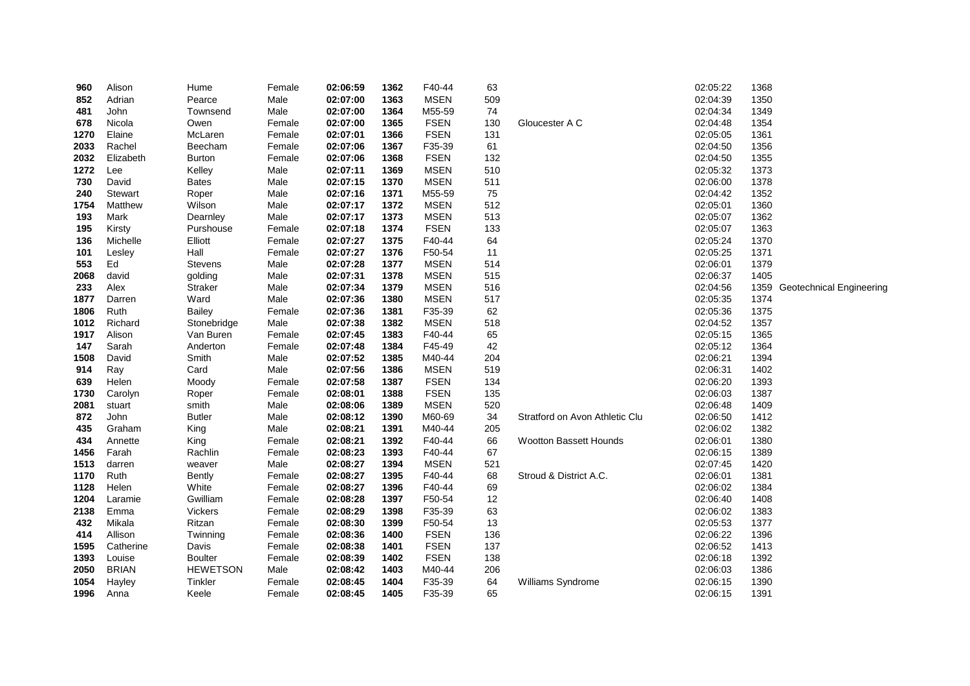| 960  | Alison         | Hume            | Female | 02:06:59 | 1362 | F40-44      | 63  |                                | 02:05:22 | 1368 |                          |
|------|----------------|-----------------|--------|----------|------|-------------|-----|--------------------------------|----------|------|--------------------------|
| 852  | Adrian         | Pearce          | Male   | 02:07:00 | 1363 | <b>MSEN</b> | 509 |                                | 02:04:39 | 1350 |                          |
| 481  | John           | Townsend        | Male   | 02:07:00 | 1364 | M55-59      | 74  |                                | 02:04:34 | 1349 |                          |
| 678  | Nicola         | Owen            | Female | 02:07:00 | 1365 | <b>FSEN</b> | 130 | Gloucester A C                 | 02:04:48 | 1354 |                          |
| 1270 | Elaine         | McLaren         | Female | 02:07:01 | 1366 | <b>FSEN</b> | 131 |                                | 02:05:05 | 1361 |                          |
| 2033 | Rachel         | Beecham         | Female | 02:07:06 | 1367 | F35-39      | 61  |                                | 02:04:50 | 1356 |                          |
| 2032 | Elizabeth      | <b>Burton</b>   | Female | 02:07:06 | 1368 | <b>FSEN</b> | 132 |                                | 02:04:50 | 1355 |                          |
| 1272 | Lee            | Kelley          | Male   | 02:07:11 | 1369 | <b>MSEN</b> | 510 |                                | 02:05:32 | 1373 |                          |
| 730  | David          | <b>Bates</b>    | Male   | 02:07:15 | 1370 | <b>MSEN</b> | 511 |                                | 02:06:00 | 1378 |                          |
| 240  | <b>Stewart</b> | Roper           | Male   | 02:07:16 | 1371 | M55-59      | 75  |                                | 02:04:42 | 1352 |                          |
| 1754 | Matthew        | Wilson          | Male   | 02:07:17 | 1372 | <b>MSEN</b> | 512 |                                | 02:05:01 | 1360 |                          |
| 193  | Mark           | Dearnley        | Male   | 02:07:17 | 1373 | <b>MSEN</b> | 513 |                                | 02:05:07 | 1362 |                          |
| 195  | Kirsty         | Purshouse       | Female | 02:07:18 | 1374 | <b>FSEN</b> | 133 |                                | 02:05:07 | 1363 |                          |
| 136  | Michelle       | Elliott         | Female | 02:07:27 | 1375 | F40-44      | 64  |                                | 02:05:24 | 1370 |                          |
| 101  | Lesley         | Hall            | Female | 02:07:27 | 1376 | F50-54      | 11  |                                | 02:05:25 | 1371 |                          |
| 553  | Ed             | Stevens         | Male   | 02:07:28 | 1377 | <b>MSEN</b> | 514 |                                | 02:06:01 | 1379 |                          |
| 2068 | david          | golding         | Male   | 02:07:31 | 1378 | <b>MSEN</b> | 515 |                                | 02:06:37 | 1405 |                          |
| 233  | Alex           | <b>Straker</b>  | Male   | 02:07:34 | 1379 | <b>MSEN</b> | 516 |                                | 02:04:56 | 1359 | Geotechnical Engineering |
| 1877 | Darren         | Ward            | Male   | 02:07:36 | 1380 | <b>MSEN</b> | 517 |                                | 02:05:35 | 1374 |                          |
| 1806 | Ruth           | <b>Bailey</b>   | Female | 02:07:36 | 1381 | F35-39      | 62  |                                | 02:05:36 | 1375 |                          |
| 1012 | Richard        | Stonebridge     | Male   | 02:07:38 | 1382 | <b>MSEN</b> | 518 |                                | 02:04:52 | 1357 |                          |
| 1917 | Alison         | Van Buren       | Female | 02:07:45 | 1383 | F40-44      | 65  |                                | 02:05:15 | 1365 |                          |
| 147  | Sarah          | Anderton        | Female | 02:07:48 | 1384 | F45-49      | 42  |                                | 02:05:12 | 1364 |                          |
| 1508 | David          | Smith           | Male   | 02:07:52 | 1385 | M40-44      | 204 |                                | 02:06:21 | 1394 |                          |
| 914  | Ray            | Card            | Male   | 02:07:56 | 1386 | <b>MSEN</b> | 519 |                                | 02:06:31 | 1402 |                          |
| 639  | Helen          | Moody           | Female | 02:07:58 | 1387 | <b>FSEN</b> | 134 |                                | 02:06:20 | 1393 |                          |
| 1730 | Carolyn        | Roper           | Female | 02:08:01 | 1388 | <b>FSEN</b> | 135 |                                | 02:06:03 | 1387 |                          |
| 2081 | stuart         | smith           | Male   | 02:08:06 | 1389 | <b>MSEN</b> | 520 |                                | 02:06:48 | 1409 |                          |
| 872  | John           | <b>Butler</b>   | Male   | 02:08:12 | 1390 | M60-69      | 34  | Stratford on Avon Athletic Clu | 02:06:50 | 1412 |                          |
| 435  | Graham         | King            | Male   | 02:08:21 | 1391 | M40-44      | 205 |                                | 02:06:02 | 1382 |                          |
| 434  | Annette        | King            | Female | 02:08:21 | 1392 | F40-44      | 66  | <b>Wootton Bassett Hounds</b>  | 02:06:01 | 1380 |                          |
| 1456 | Farah          | Rachlin         | Female | 02:08:23 | 1393 | F40-44      | 67  |                                | 02:06:15 | 1389 |                          |
| 1513 | darren         | weaver          | Male   | 02:08:27 | 1394 | <b>MSEN</b> | 521 |                                | 02:07:45 | 1420 |                          |
| 1170 | Ruth           | <b>Bently</b>   | Female | 02:08:27 | 1395 | F40-44      | 68  | Stroud & District A.C.         | 02:06:01 | 1381 |                          |
| 1128 | Helen          | White           | Female | 02:08:27 | 1396 | F40-44      | 69  |                                | 02:06:02 | 1384 |                          |
| 1204 | Laramie        | Gwilliam        | Female | 02:08:28 | 1397 | F50-54      | 12  |                                | 02:06:40 | 1408 |                          |
| 2138 | Emma           | Vickers         | Female | 02:08:29 | 1398 | F35-39      | 63  |                                | 02:06:02 | 1383 |                          |
| 432  | Mikala         | Ritzan          | Female | 02:08:30 | 1399 | F50-54      | 13  |                                | 02:05:53 | 1377 |                          |
| 414  | Allison        | Twinning        | Female | 02:08:36 | 1400 | <b>FSEN</b> | 136 |                                | 02:06:22 | 1396 |                          |
| 1595 | Catherine      | Davis           | Female | 02:08:38 | 1401 | <b>FSEN</b> | 137 |                                | 02:06:52 | 1413 |                          |
| 1393 | Louise         | <b>Boulter</b>  | Female | 02:08:39 | 1402 | <b>FSEN</b> | 138 |                                | 02:06:18 | 1392 |                          |
| 2050 | <b>BRIAN</b>   | <b>HEWETSON</b> | Male   | 02:08:42 | 1403 | M40-44      | 206 |                                | 02:06:03 | 1386 |                          |
| 1054 | Hayley         | Tinkler         | Female | 02:08:45 | 1404 | F35-39      | 64  | Williams Syndrome              | 02:06:15 | 1390 |                          |
| 1996 | Anna           | Keele           | Female | 02:08:45 | 1405 | F35-39      | 65  |                                | 02:06:15 | 1391 |                          |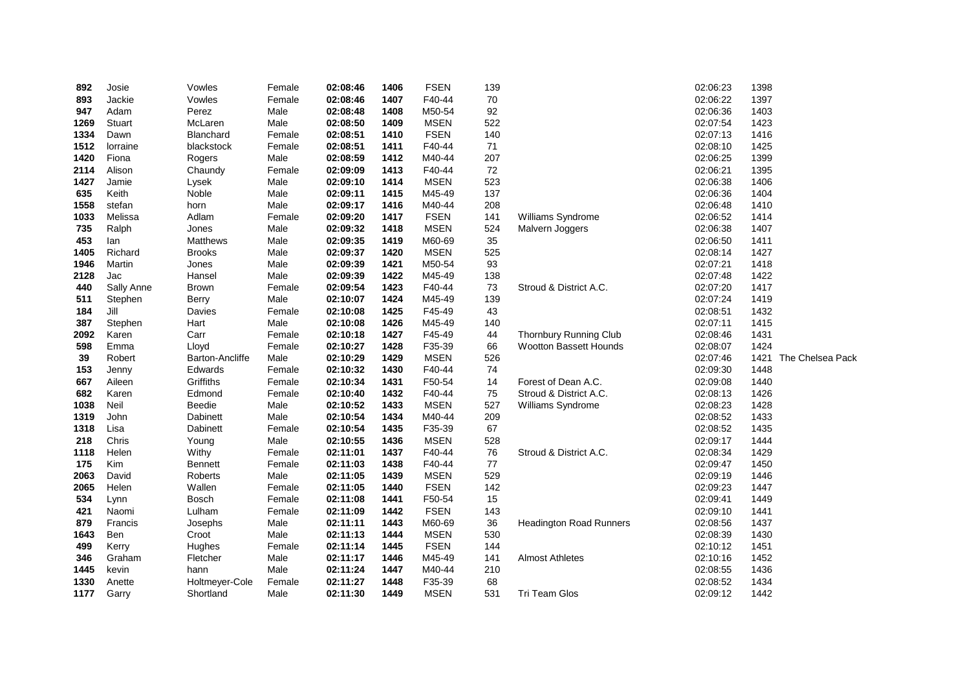| 892  | Josie         | Vowles                 | Female | 02:08:46 | 1406 | <b>FSEN</b> | 139 |                                | 02:06:23 | 1398                     |
|------|---------------|------------------------|--------|----------|------|-------------|-----|--------------------------------|----------|--------------------------|
| 893  | Jackie        | Vowles                 | Female | 02:08:46 | 1407 | F40-44      | 70  |                                | 02:06:22 | 1397                     |
| 947  | Adam          | Perez                  | Male   | 02:08:48 | 1408 | M50-54      | 92  |                                | 02:06:36 | 1403                     |
| 1269 | <b>Stuart</b> | McLaren                | Male   | 02:08:50 | 1409 | <b>MSEN</b> | 522 |                                | 02:07:54 | 1423                     |
| 1334 | Dawn          | Blanchard              | Female | 02:08:51 | 1410 | <b>FSEN</b> | 140 |                                | 02:07:13 | 1416                     |
| 1512 | lorraine      | blackstock             | Female | 02:08:51 | 1411 | F40-44      | 71  |                                | 02:08:10 | 1425                     |
| 1420 | Fiona         | Rogers                 | Male   | 02:08:59 | 1412 | M40-44      | 207 |                                | 02:06:25 | 1399                     |
| 2114 | Alison        | Chaundy                | Female | 02:09:09 | 1413 | F40-44      | 72  |                                | 02:06:21 | 1395                     |
| 1427 | Jamie         | Lysek                  | Male   | 02:09:10 | 1414 | <b>MSEN</b> | 523 |                                | 02:06:38 | 1406                     |
| 635  | Keith         | Noble                  | Male   | 02:09:11 | 1415 | M45-49      | 137 |                                | 02:06:36 | 1404                     |
| 1558 | stefan        | horn                   | Male   | 02:09:17 | 1416 | M40-44      | 208 |                                | 02:06:48 | 1410                     |
| 1033 | Melissa       | Adlam                  | Female | 02:09:20 | 1417 | <b>FSEN</b> | 141 | Williams Syndrome              | 02:06:52 | 1414                     |
| 735  | Ralph         | Jones                  | Male   | 02:09:32 | 1418 | <b>MSEN</b> | 524 | Malvern Joggers                | 02:06:38 | 1407                     |
| 453  | lan           | Matthews               | Male   | 02:09:35 | 1419 | M60-69      | 35  |                                | 02:06:50 | 1411                     |
| 1405 | Richard       | <b>Brooks</b>          | Male   | 02:09:37 | 1420 | <b>MSEN</b> | 525 |                                | 02:08:14 | 1427                     |
| 1946 | Martin        | Jones                  | Male   | 02:09:39 | 1421 | M50-54      | 93  |                                | 02:07:21 | 1418                     |
| 2128 | Jac           | Hansel                 | Male   | 02:09:39 | 1422 | M45-49      | 138 |                                | 02:07:48 | 1422                     |
| 440  | Sally Anne    | Brown                  | Female | 02:09:54 | 1423 | F40-44      | 73  | Stroud & District A.C.         | 02:07:20 | 1417                     |
| 511  | Stephen       | Berry                  | Male   | 02:10:07 | 1424 | M45-49      | 139 |                                | 02:07:24 | 1419                     |
| 184  | Jill          | Davies                 | Female | 02:10:08 | 1425 | F45-49      | 43  |                                | 02:08:51 | 1432                     |
| 387  | Stephen       | Hart                   | Male   | 02:10:08 | 1426 | M45-49      | 140 |                                | 02:07:11 | 1415                     |
| 2092 | Karen         | Carr                   | Female | 02:10:18 | 1427 | F45-49      | 44  | <b>Thornbury Running Club</b>  | 02:08:46 | 1431                     |
| 598  | Emma          | Lloyd                  | Female | 02:10:27 | 1428 | F35-39      | 66  | <b>Wootton Bassett Hounds</b>  | 02:08:07 | 1424                     |
| 39   | Robert        | <b>Barton-Ancliffe</b> | Male   | 02:10:29 | 1429 | <b>MSEN</b> | 526 |                                | 02:07:46 | 1421<br>The Chelsea Pack |
| 153  | Jenny         | Edwards                | Female | 02:10:32 | 1430 | F40-44      | 74  |                                | 02:09:30 | 1448                     |
| 667  | Aileen        | Griffiths              | Female | 02:10:34 | 1431 | F50-54      | 14  | Forest of Dean A.C.            | 02:09:08 | 1440                     |
| 682  | Karen         | Edmond                 | Female | 02:10:40 | 1432 | F40-44      | 75  | Stroud & District A.C.         | 02:08:13 | 1426                     |
| 1038 | Neil          | Beedie                 | Male   | 02:10:52 | 1433 | <b>MSEN</b> | 527 | Williams Syndrome              | 02:08:23 | 1428                     |
| 1319 | John          | Dabinett               | Male   | 02:10:54 | 1434 | M40-44      | 209 |                                | 02:08:52 | 1433                     |
| 1318 | Lisa          | Dabinett               | Female | 02:10:54 | 1435 | F35-39      | 67  |                                | 02:08:52 | 1435                     |
| 218  | Chris         | Young                  | Male   | 02:10:55 | 1436 | <b>MSEN</b> | 528 |                                | 02:09:17 | 1444                     |
| 1118 | Helen         | Withy                  | Female | 02:11:01 | 1437 | F40-44      | 76  | Stroud & District A.C.         | 02:08:34 | 1429                     |
| 175  | Kim           | <b>Bennett</b>         | Female | 02:11:03 | 1438 | F40-44      | 77  |                                | 02:09:47 | 1450                     |
| 2063 | David         | <b>Roberts</b>         | Male   | 02:11:05 | 1439 | <b>MSEN</b> | 529 |                                | 02:09:19 | 1446                     |
| 2065 | Helen         | Wallen                 | Female | 02:11:05 | 1440 | <b>FSEN</b> | 142 |                                | 02:09:23 | 1447                     |
| 534  | Lynn          | Bosch                  | Female | 02:11:08 | 1441 | F50-54      | 15  |                                | 02:09:41 | 1449                     |
| 421  | Naomi         | Lulham                 | Female | 02:11:09 | 1442 | <b>FSEN</b> | 143 |                                | 02:09:10 | 1441                     |
| 879  | Francis       | Josephs                | Male   | 02:11:11 | 1443 | M60-69      | 36  | <b>Headington Road Runners</b> | 02:08:56 | 1437                     |
| 1643 | Ben           | Croot                  | Male   | 02:11:13 | 1444 | <b>MSEN</b> | 530 |                                | 02:08:39 | 1430                     |
| 499  | Kerry         | Hughes                 | Female | 02:11:14 | 1445 | <b>FSEN</b> | 144 |                                | 02:10:12 | 1451                     |
| 346  | Graham        | Fletcher               | Male   | 02:11:17 | 1446 | M45-49      | 141 | <b>Almost Athletes</b>         | 02:10:16 | 1452                     |
| 1445 | kevin         | hann                   | Male   | 02:11:24 | 1447 | M40-44      | 210 |                                | 02:08:55 | 1436                     |
| 1330 | Anette        | Holtmeyer-Cole         | Female | 02:11:27 | 1448 | F35-39      | 68  |                                | 02:08:52 | 1434                     |
| 1177 | Garry         | Shortland              | Male   | 02:11:30 | 1449 | <b>MSEN</b> | 531 | Tri Team Glos                  | 02:09:12 | 1442                     |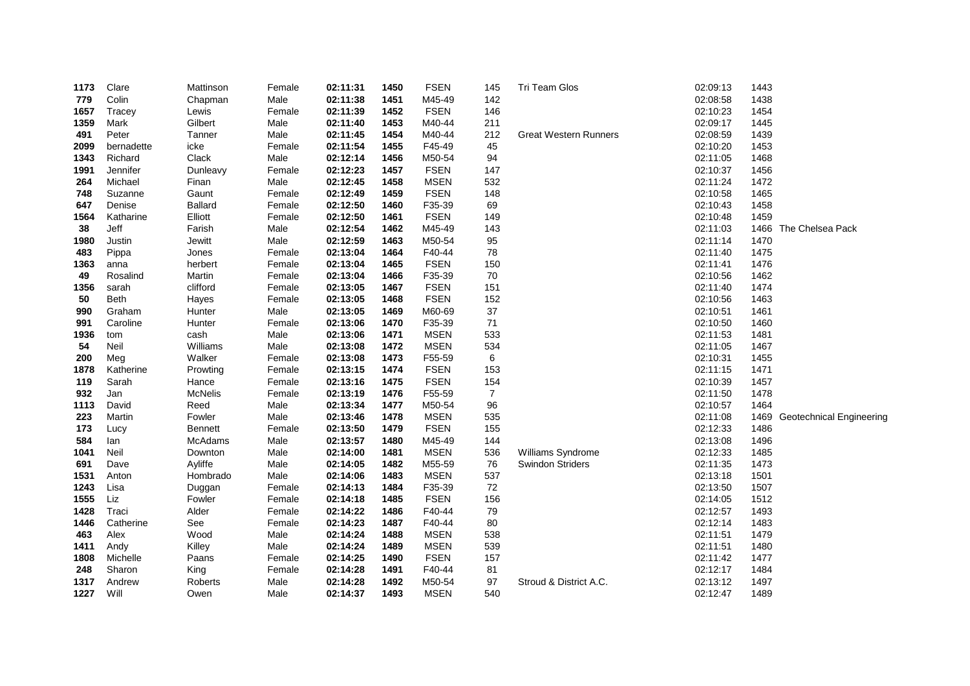| 1173 | Clare       | Mattinson      | Female | 02:11:31 | 1450 | <b>FSEN</b> | 145            | Tri Team Glos                | 02:09:13 | 1443 |                               |
|------|-------------|----------------|--------|----------|------|-------------|----------------|------------------------------|----------|------|-------------------------------|
| 779  | Colin       | Chapman        | Male   | 02:11:38 | 1451 | M45-49      | 142            |                              | 02:08:58 | 1438 |                               |
| 1657 | Tracey      | Lewis          | Female | 02:11:39 | 1452 | <b>FSEN</b> | 146            |                              | 02:10:23 | 1454 |                               |
| 1359 | Mark        | Gilbert        | Male   | 02:11:40 | 1453 | M40-44      | 211            |                              | 02:09:17 | 1445 |                               |
| 491  | Peter       | Tanner         | Male   | 02:11:45 | 1454 | M40-44      | 212            | <b>Great Western Runners</b> | 02:08:59 | 1439 |                               |
| 2099 | bernadette  | icke           | Female | 02:11:54 | 1455 | F45-49      | 45             |                              | 02:10:20 | 1453 |                               |
| 1343 | Richard     | Clack          | Male   | 02:12:14 | 1456 | M50-54      | 94             |                              | 02:11:05 | 1468 |                               |
| 1991 | Jennifer    | Dunleavy       | Female | 02:12:23 | 1457 | <b>FSEN</b> | 147            |                              | 02:10:37 | 1456 |                               |
| 264  | Michael     | Finan          | Male   | 02:12:45 | 1458 | <b>MSEN</b> | 532            |                              | 02:11:24 | 1472 |                               |
| 748  | Suzanne     | Gaunt          | Female | 02:12:49 | 1459 | <b>FSEN</b> | 148            |                              | 02:10:58 | 1465 |                               |
| 647  | Denise      | <b>Ballard</b> | Female | 02:12:50 | 1460 | F35-39      | 69             |                              | 02:10:43 | 1458 |                               |
| 1564 | Katharine   | Elliott        | Female | 02:12:50 | 1461 | <b>FSEN</b> | 149            |                              | 02:10:48 | 1459 |                               |
| 38   | Jeff        | Farish         | Male   | 02:12:54 | 1462 | M45-49      | 143            |                              | 02:11:03 |      | 1466 The Chelsea Pack         |
| 1980 | Justin      | Jewitt         | Male   | 02:12:59 | 1463 | M50-54      | 95             |                              | 02:11:14 | 1470 |                               |
| 483  | Pippa       | Jones          | Female | 02:13:04 | 1464 | F40-44      | 78             |                              | 02:11:40 | 1475 |                               |
| 1363 | anna        | herbert        | Female | 02:13:04 | 1465 | <b>FSEN</b> | 150            |                              | 02:11:41 | 1476 |                               |
| 49   | Rosalind    | Martin         | Female | 02:13:04 | 1466 | F35-39      | 70             |                              | 02:10:56 | 1462 |                               |
| 1356 | sarah       | clifford       | Female | 02:13:05 | 1467 | <b>FSEN</b> | 151            |                              | 02:11:40 | 1474 |                               |
| 50   | <b>Beth</b> | Hayes          | Female | 02:13:05 | 1468 | <b>FSEN</b> | 152            |                              | 02:10:56 | 1463 |                               |
| 990  | Graham      | Hunter         | Male   | 02:13:05 | 1469 | M60-69      | 37             |                              | 02:10:51 | 1461 |                               |
| 991  | Caroline    | Hunter         | Female | 02:13:06 | 1470 | F35-39      | $71$           |                              | 02:10:50 | 1460 |                               |
| 1936 | tom         | cash           | Male   | 02:13:06 | 1471 | <b>MSEN</b> | 533            |                              | 02:11:53 | 1481 |                               |
| 54   | Neil        | Williams       | Male   | 02:13:08 | 1472 | <b>MSEN</b> | 534            |                              | 02:11:05 | 1467 |                               |
| 200  | Meg         | Walker         | Female | 02:13:08 | 1473 | F55-59      | 6              |                              | 02:10:31 | 1455 |                               |
| 1878 | Katherine   | Prowting       | Female | 02:13:15 | 1474 | <b>FSEN</b> | 153            |                              | 02:11:15 | 1471 |                               |
| 119  | Sarah       | Hance          | Female | 02:13:16 | 1475 | <b>FSEN</b> | 154            |                              | 02:10:39 | 1457 |                               |
| 932  | Jan         | McNelis        | Female | 02:13:19 | 1476 | F55-59      | $\overline{7}$ |                              | 02:11:50 | 1478 |                               |
| 1113 | David       | Reed           | Male   | 02:13:34 | 1477 | M50-54      | 96             |                              | 02:10:57 | 1464 |                               |
| 223  | Martin      | Fowler         | Male   | 02:13:46 | 1478 | <b>MSEN</b> | 535            |                              | 02:11:08 |      | 1469 Geotechnical Engineering |
| 173  | Lucy        | Bennett        | Female | 02:13:50 | 1479 | <b>FSEN</b> | 155            |                              | 02:12:33 | 1486 |                               |
| 584  | lan         | <b>McAdams</b> | Male   | 02:13:57 | 1480 | M45-49      | 144            |                              | 02:13:08 | 1496 |                               |
| 1041 | Neil        | Downton        | Male   | 02:14:00 | 1481 | <b>MSEN</b> | 536            | Williams Syndrome            | 02:12:33 | 1485 |                               |
| 691  | Dave        | Ayliffe        | Male   | 02:14:05 | 1482 | M55-59      | 76             | Swindon Striders             | 02:11:35 | 1473 |                               |
| 1531 | Anton       | Hombrado       | Male   | 02:14:06 | 1483 | <b>MSEN</b> | 537            |                              | 02:13:18 | 1501 |                               |
| 1243 | Lisa        | Duggan         | Female | 02:14:13 | 1484 | F35-39      | 72             |                              | 02:13:50 | 1507 |                               |
| 1555 | Liz         | Fowler         | Female | 02:14:18 | 1485 | <b>FSEN</b> | 156            |                              | 02:14:05 | 1512 |                               |
| 1428 | Traci       | Alder          | Female | 02:14:22 | 1486 | F40-44      | 79             |                              | 02:12:57 | 1493 |                               |
| 1446 | Catherine   | See            | Female | 02:14:23 | 1487 | F40-44      | 80             |                              | 02:12:14 | 1483 |                               |
| 463  | Alex        | Wood           | Male   | 02:14:24 | 1488 | <b>MSEN</b> | 538            |                              | 02:11:51 | 1479 |                               |
| 1411 | Andy        | Killey         | Male   | 02:14:24 | 1489 | <b>MSEN</b> | 539            |                              | 02:11:51 | 1480 |                               |
| 1808 | Michelle    | Paans          | Female | 02:14:25 | 1490 | <b>FSEN</b> | 157            |                              | 02:11:42 | 1477 |                               |
| 248  | Sharon      | King           | Female | 02:14:28 | 1491 | F40-44      | 81             |                              | 02:12:17 | 1484 |                               |
| 1317 | Andrew      | <b>Roberts</b> | Male   | 02:14:28 | 1492 | M50-54      | 97             | Stroud & District A.C.       | 02:13:12 | 1497 |                               |
| 1227 | Will        | Owen           | Male   | 02:14:37 | 1493 | <b>MSEN</b> | 540            |                              | 02:12:47 | 1489 |                               |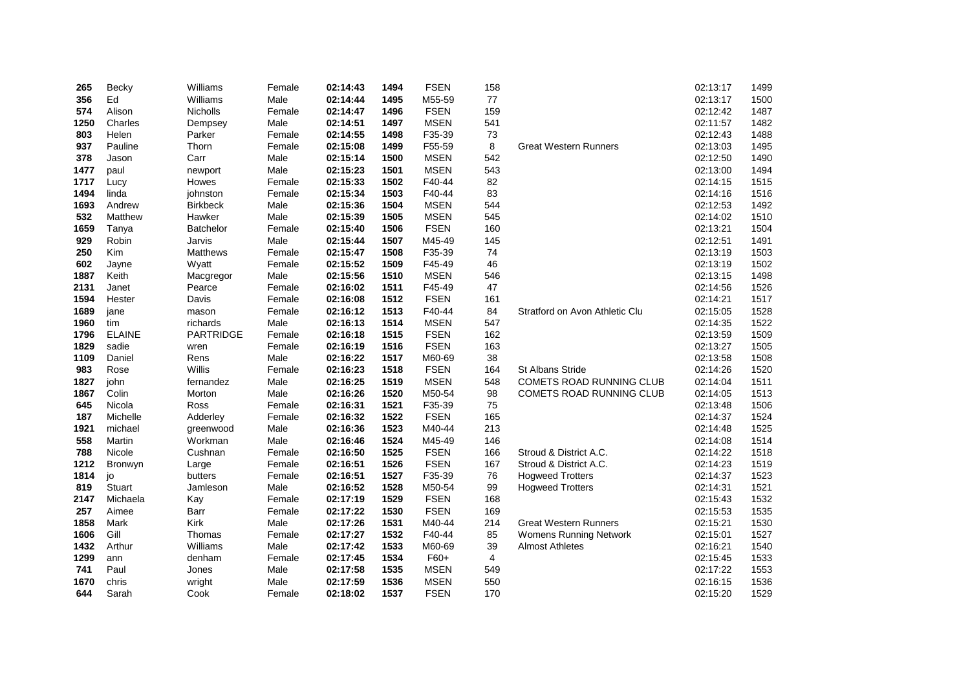| 265  | Becky         | Williams        | Female | 02:14:43 | 1494 | <b>FSEN</b> | 158 |                                | 02:13:17 | 1499 |
|------|---------------|-----------------|--------|----------|------|-------------|-----|--------------------------------|----------|------|
| 356  | Ed            | Williams        | Male   | 02:14:44 | 1495 | M55-59      | 77  |                                | 02:13:17 | 1500 |
| 574  | Alison        | <b>Nicholls</b> | Female | 02:14:47 | 1496 | <b>FSEN</b> | 159 |                                | 02:12:42 | 1487 |
| 1250 | Charles       | Dempsey         | Male   | 02:14:51 | 1497 | <b>MSEN</b> | 541 |                                | 02:11:57 | 1482 |
| 803  | Helen         | Parker          | Female | 02:14:55 | 1498 | F35-39      | 73  |                                | 02:12:43 | 1488 |
| 937  | Pauline       | Thorn           | Female | 02:15:08 | 1499 | F55-59      | 8   | <b>Great Western Runners</b>   | 02:13:03 | 1495 |
| 378  | Jason         | Carr            | Male   | 02:15:14 | 1500 | <b>MSEN</b> | 542 |                                | 02:12:50 | 1490 |
| 1477 | paul          | newport         | Male   | 02:15:23 | 1501 | <b>MSEN</b> | 543 |                                | 02:13:00 | 1494 |
| 1717 | Lucy          | Howes           | Female | 02:15:33 | 1502 | F40-44      | 82  |                                | 02:14:15 | 1515 |
| 1494 | linda         | johnston        | Female | 02:15:34 | 1503 | F40-44      | 83  |                                | 02:14:16 | 1516 |
| 1693 | Andrew        | <b>Birkbeck</b> | Male   | 02:15:36 | 1504 | <b>MSEN</b> | 544 |                                | 02:12:53 | 1492 |
| 532  | Matthew       | Hawker          | Male   | 02:15:39 | 1505 | <b>MSEN</b> | 545 |                                | 02:14:02 | 1510 |
| 1659 | Tanya         | Batchelor       | Female | 02:15:40 | 1506 | <b>FSEN</b> | 160 |                                | 02:13:21 | 1504 |
| 929  | Robin         | Jarvis          | Male   | 02:15:44 | 1507 | M45-49      | 145 |                                | 02:12:51 | 1491 |
| 250  | Kim           | <b>Matthews</b> | Female | 02:15:47 | 1508 | F35-39      | 74  |                                | 02:13:19 | 1503 |
| 602  | Jayne         | Wyatt           | Female | 02:15:52 | 1509 | F45-49      | 46  |                                | 02:13:19 | 1502 |
| 1887 | Keith         | Macgregor       | Male   | 02:15:56 | 1510 | <b>MSEN</b> | 546 |                                | 02:13:15 | 1498 |
| 2131 | Janet         | Pearce          | Female | 02:16:02 | 1511 | F45-49      | 47  |                                | 02:14:56 | 1526 |
| 1594 | Hester        | Davis           | Female | 02:16:08 | 1512 | <b>FSEN</b> | 161 |                                | 02:14:21 | 1517 |
| 1689 | jane          | mason           | Female | 02:16:12 | 1513 | F40-44      | 84  | Stratford on Avon Athletic Clu | 02:15:05 | 1528 |
| 1960 | tim           | richards        | Male   | 02:16:13 | 1514 | <b>MSEN</b> | 547 |                                | 02:14:35 | 1522 |
| 1796 | <b>ELAINE</b> | PARTRIDGE       | Female | 02:16:18 | 1515 | <b>FSEN</b> | 162 |                                | 02:13:59 | 1509 |
| 1829 | sadie         | wren            | Female | 02:16:19 | 1516 | <b>FSEN</b> | 163 |                                | 02:13:27 | 1505 |
| 1109 | Daniel        | Rens            | Male   | 02:16:22 | 1517 | M60-69      | 38  |                                | 02:13:58 | 1508 |
| 983  | Rose          | Willis          | Female | 02:16:23 | 1518 | <b>FSEN</b> | 164 | <b>St Albans Stride</b>        | 02:14:26 | 1520 |
| 1827 | john          | fernandez       | Male   | 02:16:25 | 1519 | <b>MSEN</b> | 548 | COMETS ROAD RUNNING CLUB       | 02:14:04 | 1511 |
| 1867 | Colin         | Morton          | Male   | 02:16:26 | 1520 | M50-54      | 98  | COMETS ROAD RUNNING CLUB       | 02:14:05 | 1513 |
| 645  | Nicola        | Ross            | Female | 02:16:31 | 1521 | F35-39      | 75  |                                | 02:13:48 | 1506 |
| 187  | Michelle      | Adderley        | Female | 02:16:32 | 1522 | <b>FSEN</b> | 165 |                                | 02:14:37 | 1524 |
| 1921 | michael       | greenwood       | Male   | 02:16:36 | 1523 | M40-44      | 213 |                                | 02:14:48 | 1525 |
| 558  | Martin        | Workman         | Male   | 02:16:46 | 1524 | M45-49      | 146 |                                | 02:14:08 | 1514 |
| 788  | Nicole        | Cushnan         | Female | 02:16:50 | 1525 | <b>FSEN</b> | 166 | Stroud & District A.C.         | 02:14:22 | 1518 |
| 1212 | Bronwyn       | Large           | Female | 02:16:51 | 1526 | <b>FSEN</b> | 167 | Stroud & District A.C.         | 02:14:23 | 1519 |
| 1814 | jo            | butters         | Female | 02:16:51 | 1527 | F35-39      | 76  | <b>Hogweed Trotters</b>        | 02:14:37 | 1523 |
| 819  | Stuart        | Jamleson        | Male   | 02:16:52 | 1528 | M50-54      | 99  | <b>Hogweed Trotters</b>        | 02:14:31 | 1521 |
| 2147 | Michaela      | Kay             | Female | 02:17:19 | 1529 | <b>FSEN</b> | 168 |                                | 02:15:43 | 1532 |
| 257  | Aimee         | Barr            | Female | 02:17:22 | 1530 | <b>FSEN</b> | 169 |                                | 02:15:53 | 1535 |
| 1858 | Mark          | <b>Kirk</b>     | Male   | 02:17:26 | 1531 | M40-44      | 214 | <b>Great Western Runners</b>   | 02:15:21 | 1530 |
| 1606 | Gill          | Thomas          | Female | 02:17:27 | 1532 | F40-44      | 85  | <b>Womens Running Network</b>  | 02:15:01 | 1527 |
| 1432 | Arthur        | Williams        | Male   | 02:17:42 | 1533 | M60-69      | 39  | <b>Almost Athletes</b>         | 02:16:21 | 1540 |
| 1299 | ann           | denham          | Female | 02:17:45 | 1534 | F60+        | 4   |                                | 02:15:45 | 1533 |
| 741  | Paul          | Jones           | Male   | 02:17:58 | 1535 | <b>MSEN</b> | 549 |                                | 02:17:22 | 1553 |
| 1670 | chris         | wright          | Male   | 02:17:59 | 1536 | <b>MSEN</b> | 550 |                                | 02:16:15 | 1536 |
| 644  | Sarah         | Cook            | Female | 02:18:02 | 1537 | <b>FSEN</b> | 170 |                                | 02:15:20 | 1529 |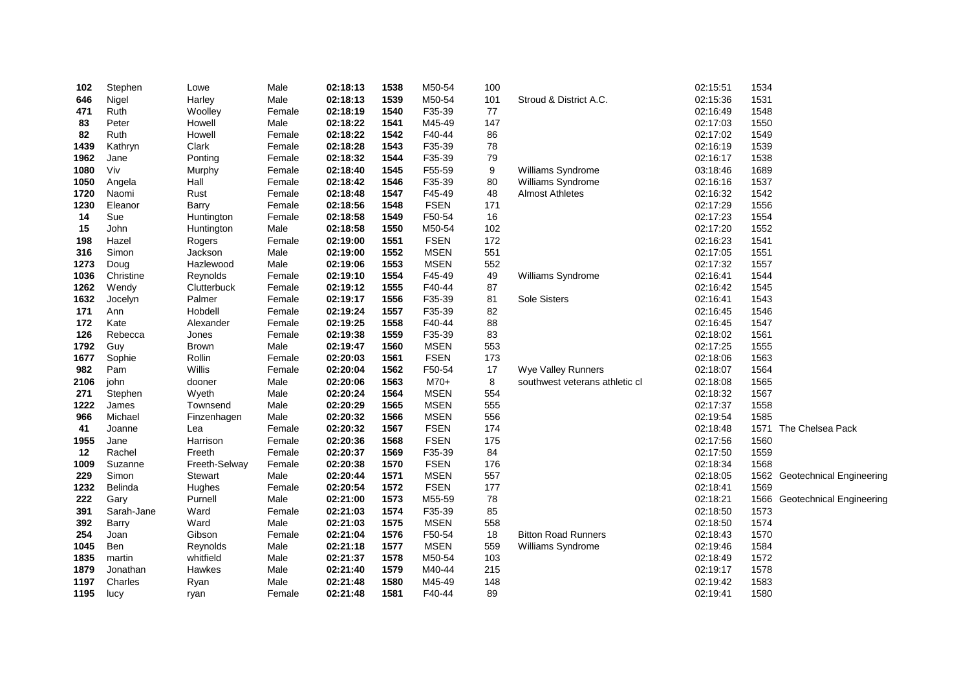| 102  | Stephen    | Lowe           | Male   | 02:18:13 | 1538 | M50-54      | 100 |                                | 02:15:51 | 1534 |                               |
|------|------------|----------------|--------|----------|------|-------------|-----|--------------------------------|----------|------|-------------------------------|
| 646  | Nigel      | Harley         | Male   | 02:18:13 | 1539 | M50-54      | 101 | Stroud & District A.C.         | 02:15:36 | 1531 |                               |
| 471  | Ruth       | Woolley        | Female | 02:18:19 | 1540 | F35-39      | 77  |                                | 02:16:49 | 1548 |                               |
| 83   | Peter      | Howell         | Male   | 02:18:22 | 1541 | M45-49      | 147 |                                | 02:17:03 | 1550 |                               |
| 82   | Ruth       | Howell         | Female | 02:18:22 | 1542 | F40-44      | 86  |                                | 02:17:02 | 1549 |                               |
| 1439 | Kathryn    | Clark          | Female | 02:18:28 | 1543 | F35-39      | 78  |                                | 02:16:19 | 1539 |                               |
| 1962 | Jane       | Ponting        | Female | 02:18:32 | 1544 | F35-39      | 79  |                                | 02:16:17 | 1538 |                               |
| 1080 | Viv        | Murphy         | Female | 02:18:40 | 1545 | F55-59      | 9   | Williams Syndrome              | 03:18:46 | 1689 |                               |
| 1050 | Angela     | Hall           | Female | 02:18:42 | 1546 | F35-39      | 80  | Williams Syndrome              | 02:16:16 | 1537 |                               |
| 1720 | Naomi      | Rust           | Female | 02:18:48 | 1547 | F45-49      | 48  | <b>Almost Athletes</b>         | 02:16:32 | 1542 |                               |
| 1230 | Eleanor    | <b>Barry</b>   | Female | 02:18:56 | 1548 | <b>FSEN</b> | 171 |                                | 02:17:29 | 1556 |                               |
| 14   | Sue        | Huntington     | Female | 02:18:58 | 1549 | F50-54      | 16  |                                | 02:17:23 | 1554 |                               |
| 15   | John       | Huntington     | Male   | 02:18:58 | 1550 | M50-54      | 102 |                                | 02:17:20 | 1552 |                               |
| 198  | Hazel      | Rogers         | Female | 02:19:00 | 1551 | <b>FSEN</b> | 172 |                                | 02:16:23 | 1541 |                               |
| 316  | Simon      | Jackson        | Male   | 02:19:00 | 1552 | <b>MSEN</b> | 551 |                                | 02:17:05 | 1551 |                               |
| 1273 | Doug       | Hazlewood      | Male   | 02:19:06 | 1553 | <b>MSEN</b> | 552 |                                | 02:17:32 | 1557 |                               |
| 1036 | Christine  | Reynolds       | Female | 02:19:10 | 1554 | F45-49      | 49  | Williams Syndrome              | 02:16:41 | 1544 |                               |
| 1262 | Wendy      | Clutterbuck    | Female | 02:19:12 | 1555 | F40-44      | 87  |                                | 02:16:42 | 1545 |                               |
| 1632 | Jocelyn    | Palmer         | Female | 02:19:17 | 1556 | F35-39      | 81  | <b>Sole Sisters</b>            | 02:16:41 | 1543 |                               |
| 171  | Ann        | Hobdell        | Female | 02:19:24 | 1557 | F35-39      | 82  |                                | 02:16:45 | 1546 |                               |
| 172  | Kate       | Alexander      | Female | 02:19:25 | 1558 | F40-44      | 88  |                                | 02:16:45 | 1547 |                               |
| 126  | Rebecca    | Jones          | Female | 02:19:38 | 1559 | F35-39      | 83  |                                | 02:18:02 | 1561 |                               |
| 1792 | Guy        | <b>Brown</b>   | Male   | 02:19:47 | 1560 | <b>MSEN</b> | 553 |                                | 02:17:25 | 1555 |                               |
| 1677 | Sophie     | Rollin         | Female | 02:20:03 | 1561 | <b>FSEN</b> | 173 |                                | 02:18:06 | 1563 |                               |
| 982  | Pam        | Willis         | Female | 02:20:04 | 1562 | F50-54      | 17  | Wye Valley Runners             | 02:18:07 | 1564 |                               |
| 2106 | john       | dooner         | Male   | 02:20:06 | 1563 | $M70+$      | 8   | southwest veterans athletic cl | 02:18:08 | 1565 |                               |
| 271  | Stephen    | Wyeth          | Male   | 02:20:24 | 1564 | <b>MSEN</b> | 554 |                                | 02:18:32 | 1567 |                               |
| 1222 | James      | Townsend       | Male   | 02:20:29 | 1565 | <b>MSEN</b> | 555 |                                | 02:17:37 | 1558 |                               |
| 966  | Michael    | Finzenhagen    | Male   | 02:20:32 | 1566 | <b>MSEN</b> | 556 |                                | 02:19:54 | 1585 |                               |
| 41   | Joanne     | Lea            | Female | 02:20:32 | 1567 | <b>FSEN</b> | 174 |                                | 02:18:48 | 1571 | The Chelsea Pack              |
| 1955 | Jane       | Harrison       | Female | 02:20:36 | 1568 | <b>FSEN</b> | 175 |                                | 02:17:56 | 1560 |                               |
| 12   | Rachel     | Freeth         | Female | 02:20:37 | 1569 | F35-39      | 84  |                                | 02:17:50 | 1559 |                               |
| 1009 | Suzanne    | Freeth-Selway  | Female | 02:20:38 | 1570 | <b>FSEN</b> | 176 |                                | 02:18:34 | 1568 |                               |
| 229  | Simon      | <b>Stewart</b> | Male   | 02:20:44 | 1571 | <b>MSEN</b> | 557 |                                | 02:18:05 |      | 1562 Geotechnical Engineering |
| 1232 | Belinda    | Hughes         | Female | 02:20:54 | 1572 | <b>FSEN</b> | 177 |                                | 02:18:41 | 1569 |                               |
| 222  | Gary       | Purnell        | Male   | 02:21:00 | 1573 | M55-59      | 78  |                                | 02:18:21 |      | 1566 Geotechnical Engineering |
| 391  | Sarah-Jane | Ward           | Female | 02:21:03 | 1574 | F35-39      | 85  |                                | 02:18:50 | 1573 |                               |
| 392  | Barry      | Ward           | Male   | 02:21:03 | 1575 | <b>MSEN</b> | 558 |                                | 02:18:50 | 1574 |                               |
| 254  | Joan       | Gibson         | Female | 02:21:04 | 1576 | F50-54      | 18  | <b>Bitton Road Runners</b>     | 02:18:43 | 1570 |                               |
| 1045 | Ben        | Reynolds       | Male   | 02:21:18 | 1577 | <b>MSEN</b> | 559 | Williams Syndrome              | 02:19:46 | 1584 |                               |
| 1835 | martin     | whitfield      | Male   | 02:21:37 | 1578 | M50-54      | 103 |                                | 02:18:49 | 1572 |                               |
| 1879 | Jonathan   | Hawkes         | Male   | 02:21:40 | 1579 | M40-44      | 215 |                                | 02:19:17 | 1578 |                               |
| 1197 | Charles    | Ryan           | Male   | 02:21:48 | 1580 | M45-49      | 148 |                                | 02:19:42 | 1583 |                               |
| 1195 | lucy       | ryan           | Female | 02:21:48 | 1581 | F40-44      | 89  |                                | 02:19:41 | 1580 |                               |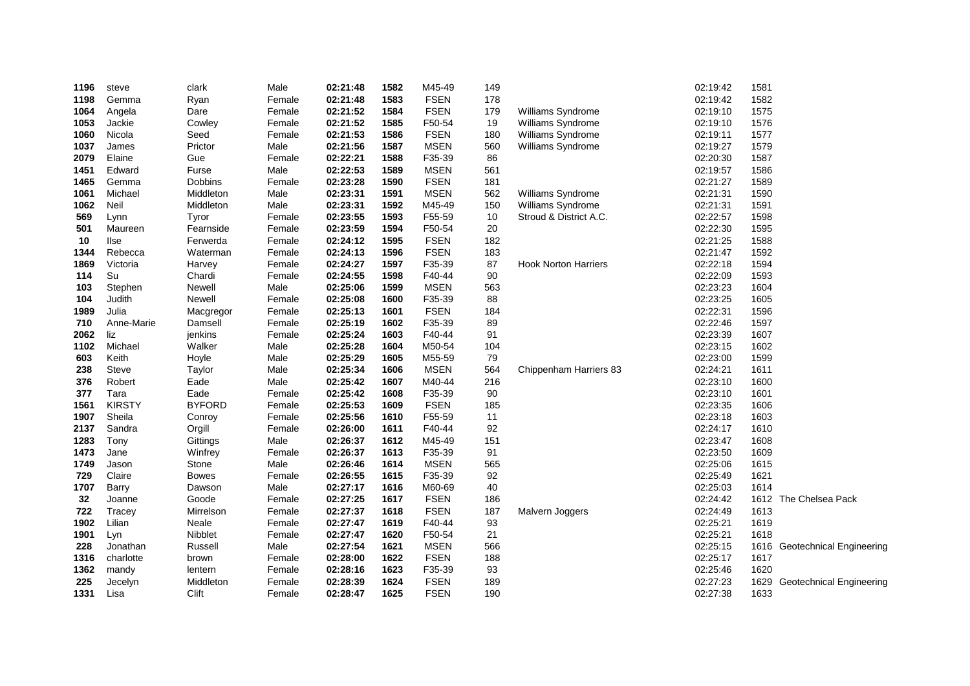| 1196 | steve         | clark         | Male   | 02:21:48 | 1582 | M45-49      | 149 |                             | 02:19:42 | 1581 |                                 |
|------|---------------|---------------|--------|----------|------|-------------|-----|-----------------------------|----------|------|---------------------------------|
| 1198 | Gemma         | Ryan          | Female | 02:21:48 | 1583 | <b>FSEN</b> | 178 |                             | 02:19:42 | 1582 |                                 |
| 1064 | Angela        | Dare          | Female | 02:21:52 | 1584 | <b>FSEN</b> | 179 | Williams Syndrome           | 02:19:10 | 1575 |                                 |
| 1053 | Jackie        | Cowley        | Female | 02:21:52 | 1585 | F50-54      | 19  | Williams Syndrome           | 02:19:10 | 1576 |                                 |
| 1060 | Nicola        | Seed          | Female | 02:21:53 | 1586 | <b>FSEN</b> | 180 | Williams Syndrome           | 02:19:11 | 1577 |                                 |
| 1037 | James         | Prictor       | Male   | 02:21:56 | 1587 | <b>MSEN</b> | 560 | Williams Syndrome           | 02:19:27 | 1579 |                                 |
| 2079 | Elaine        | Gue           | Female | 02:22:21 | 1588 | F35-39      | 86  |                             | 02:20:30 | 1587 |                                 |
| 1451 | Edward        | Furse         | Male   | 02:22:53 | 1589 | <b>MSEN</b> | 561 |                             | 02:19:57 | 1586 |                                 |
| 1465 | Gemma         | Dobbins       | Female | 02:23:28 | 1590 | <b>FSEN</b> | 181 |                             | 02:21:27 | 1589 |                                 |
| 1061 | Michael       | Middleton     | Male   | 02:23:31 | 1591 | <b>MSEN</b> | 562 | Williams Syndrome           | 02:21:31 | 1590 |                                 |
| 1062 | Neil          | Middleton     | Male   | 02:23:31 | 1592 | M45-49      | 150 | Williams Syndrome           | 02:21:31 | 1591 |                                 |
| 569  | Lynn          | Tyror         | Female | 02:23:55 | 1593 | F55-59      | 10  | Stroud & District A.C.      | 02:22:57 | 1598 |                                 |
| 501  | Maureen       | Fearnside     | Female | 02:23:59 | 1594 | F50-54      | 20  |                             | 02:22:30 | 1595 |                                 |
| 10   | llse          | Ferwerda      | Female | 02:24:12 | 1595 | <b>FSEN</b> | 182 |                             | 02:21:25 | 1588 |                                 |
| 1344 | Rebecca       | Waterman      | Female | 02:24:13 | 1596 | <b>FSEN</b> | 183 |                             | 02:21:47 | 1592 |                                 |
| 1869 | Victoria      | Harvey        | Female | 02:24:27 | 1597 | F35-39      | 87  | <b>Hook Norton Harriers</b> | 02:22:18 | 1594 |                                 |
| 114  | Su            | Chardi        | Female | 02:24:55 | 1598 | F40-44      | 90  |                             | 02:22:09 | 1593 |                                 |
| 103  | Stephen       | Newell        | Male   | 02:25:06 | 1599 | <b>MSEN</b> | 563 |                             | 02:23:23 | 1604 |                                 |
| 104  | Judith        | Newell        | Female | 02:25:08 | 1600 | F35-39      | 88  |                             | 02:23:25 | 1605 |                                 |
| 1989 | Julia         | Macgregor     | Female | 02:25:13 | 1601 | <b>FSEN</b> | 184 |                             | 02:22:31 | 1596 |                                 |
| 710  | Anne-Marie    | Damsell       | Female | 02:25:19 | 1602 | F35-39      | 89  |                             | 02:22:46 | 1597 |                                 |
| 2062 | liz           | jenkins       | Female | 02:25:24 | 1603 | F40-44      | 91  |                             | 02:23:39 | 1607 |                                 |
| 1102 | Michael       | Walker        | Male   | 02:25:28 | 1604 | M50-54      | 104 |                             | 02:23:15 | 1602 |                                 |
| 603  | Keith         | Hoyle         | Male   | 02:25:29 | 1605 | M55-59      | 79  |                             | 02:23:00 | 1599 |                                 |
| 238  | Steve         | Taylor        | Male   | 02:25:34 | 1606 | <b>MSEN</b> | 564 | Chippenham Harriers 83      | 02:24:21 | 1611 |                                 |
| 376  | Robert        | Eade          | Male   | 02:25:42 | 1607 | M40-44      | 216 |                             | 02:23:10 | 1600 |                                 |
| 377  | Tara          | Eade          | Female | 02:25:42 | 1608 | F35-39      | 90  |                             | 02:23:10 | 1601 |                                 |
| 1561 | <b>KIRSTY</b> | <b>BYFORD</b> | Female | 02:25:53 | 1609 | <b>FSEN</b> | 185 |                             | 02:23:35 | 1606 |                                 |
| 1907 | Sheila        | Conroy        | Female | 02:25:56 | 1610 | F55-59      | 11  |                             | 02:23:18 | 1603 |                                 |
| 2137 | Sandra        | Orgill        | Female | 02:26:00 | 1611 | F40-44      | 92  |                             | 02:24:17 | 1610 |                                 |
| 1283 | Tony          | Gittings      | Male   | 02:26:37 | 1612 | M45-49      | 151 |                             | 02:23:47 | 1608 |                                 |
| 1473 | Jane          | Winfrey       | Female | 02:26:37 | 1613 | F35-39      | 91  |                             | 02:23:50 | 1609 |                                 |
| 1749 | Jason         | Stone         | Male   | 02:26:46 | 1614 | <b>MSEN</b> | 565 |                             | 02:25:06 | 1615 |                                 |
| 729  | Claire        | <b>Bowes</b>  | Female | 02:26:55 | 1615 | F35-39      | 92  |                             | 02:25:49 | 1621 |                                 |
| 1707 | Barry         | Dawson        | Male   | 02:27:17 | 1616 | M60-69      | 40  |                             | 02:25:03 | 1614 |                                 |
| 32   | Joanne        | Goode         | Female | 02:27:25 | 1617 | <b>FSEN</b> | 186 |                             | 02:24:42 |      | 1612 The Chelsea Pack           |
| 722  | Tracey        | Mirrelson     | Female | 02:27:37 | 1618 | <b>FSEN</b> | 187 | Malvern Joggers             | 02:24:49 | 1613 |                                 |
| 1902 | Lilian        | Neale         | Female | 02:27:47 | 1619 | F40-44      | 93  |                             | 02:25:21 | 1619 |                                 |
| 1901 | Lyn           | Nibblet       | Female | 02:27:47 | 1620 | F50-54      | 21  |                             | 02:25:21 | 1618 |                                 |
| 228  | Jonathan      | Russell       | Male   | 02:27:54 | 1621 | <b>MSEN</b> | 566 |                             | 02:25:15 |      | 1616 Geotechnical Engineering   |
| 1316 | charlotte     | brown         | Female | 02:28:00 | 1622 | <b>FSEN</b> | 188 |                             | 02:25:17 | 1617 |                                 |
| 1362 | mandy         | lentern       | Female | 02:28:16 | 1623 | F35-39      | 93  |                             | 02:25:46 | 1620 |                                 |
| 225  | Jecelyn       | Middleton     | Female | 02:28:39 | 1624 | <b>FSEN</b> | 189 |                             | 02:27:23 | 1629 | <b>Geotechnical Engineering</b> |
| 1331 | Lisa          | Clift         | Female | 02:28:47 | 1625 | <b>FSEN</b> | 190 |                             | 02:27:38 | 1633 |                                 |
|      |               |               |        |          |      |             |     |                             |          |      |                                 |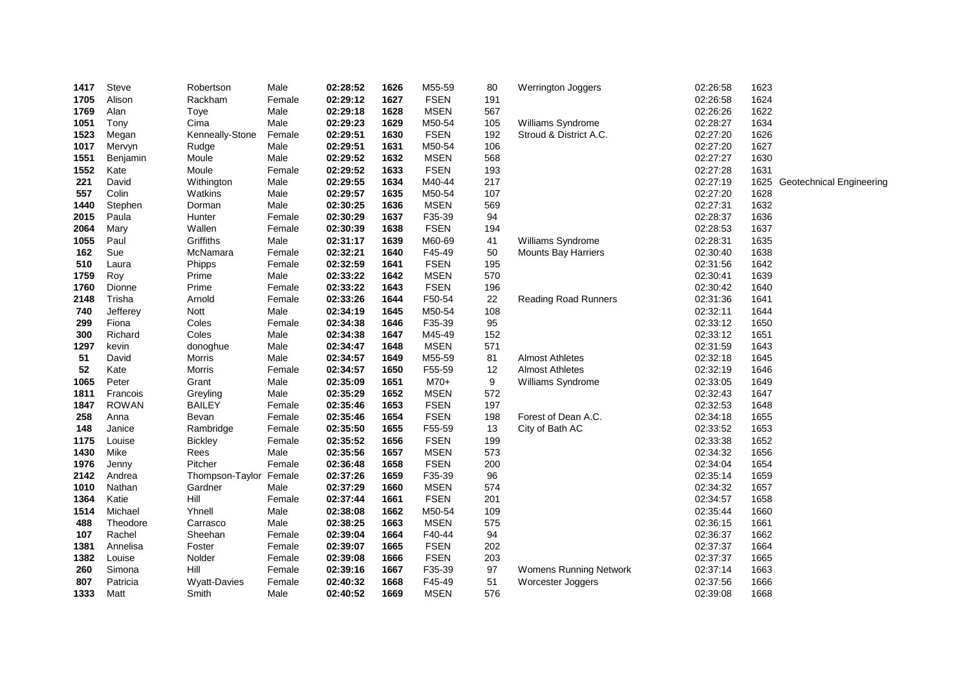| 1417 | Steve        | Robertson           | Male   | 02:28:52 | 1626         | M55-59                | 80  | Werrington Joggers            | 02:26:58             | 1623 |                          |
|------|--------------|---------------------|--------|----------|--------------|-----------------------|-----|-------------------------------|----------------------|------|--------------------------|
| 1705 | Alison       | Rackham             | Female | 02:29:12 | 1627         | <b>FSEN</b>           | 191 |                               | 02:26:58             | 1624 |                          |
| 1769 | Alan         | Toye                | Male   | 02:29:18 | 1628         | <b>MSEN</b>           | 567 |                               | 02:26:26             | 1622 |                          |
| 1051 | Tony         | Cima                | Male   | 02:29:23 | 1629         | M50-54                | 105 | Williams Syndrome             | 02:28:27             | 1634 |                          |
| 1523 | Megan        | Kenneally-Stone     | Female | 02:29:51 | 1630         | <b>FSEN</b>           | 192 | Stroud & District A.C.        | 02:27:20             | 1626 |                          |
| 1017 | Mervyn       | Rudge               | Male   | 02:29:51 | 1631         | M50-54                | 106 |                               | 02:27:20             | 1627 |                          |
| 1551 | Benjamin     | Moule               | Male   | 02:29:52 | 1632         | <b>MSEN</b>           | 568 |                               | 02:27:27             | 1630 |                          |
| 1552 | Kate         | Moule               | Female | 02:29:52 | 1633         | <b>FSEN</b>           | 193 |                               | 02:27:28             | 1631 |                          |
| 221  | David        | Withington          | Male   | 02:29:55 | 1634         | M40-44                | 217 |                               | 02:27:19             | 1625 | Geotechnical Engineering |
| 557  | Colin        | Watkins             | Male   | 02:29:57 | 1635         | M50-54                | 107 |                               | 02:27:20             | 1628 |                          |
| 1440 | Stephen      | Dorman              | Male   | 02:30:25 | 1636         | <b>MSEN</b>           | 569 |                               | 02:27:31             | 1632 |                          |
| 2015 | Paula        | Hunter              | Female | 02:30:29 | 1637         | F35-39                | 94  |                               | 02:28:37             | 1636 |                          |
| 2064 | Mary         | Wallen              | Female | 02:30:39 | 1638         | <b>FSEN</b>           | 194 |                               | 02:28:53             | 1637 |                          |
| 1055 | Paul         | Griffiths           | Male   | 02:31:17 | 1639         | M60-69                | 41  | Williams Syndrome             | 02:28:31             | 1635 |                          |
| 162  | Sue          | McNamara            | Female | 02:32:21 | 1640         | F45-49                | 50  | <b>Mounts Bay Harriers</b>    | 02:30:40             | 1638 |                          |
| 510  | Laura        | Phipps              | Female | 02:32:59 | 1641         | <b>FSEN</b>           | 195 |                               | 02:31:56             | 1642 |                          |
| 1759 | Roy          | Prime               | Male   | 02:33:22 | 1642         | <b>MSEN</b>           | 570 |                               | 02:30:41             | 1639 |                          |
| 1760 | Dionne       | Prime               | Female | 02:33:22 | 1643         | <b>FSEN</b>           | 196 |                               | 02:30:42             | 1640 |                          |
| 2148 | Trisha       | Arnold              | Female | 02:33:26 | 1644         | F50-54                | 22  | <b>Reading Road Runners</b>   | 02:31:36             | 1641 |                          |
| 740  | Jefferey     | <b>Nott</b>         | Male   | 02:34:19 | 1645         | M50-54                | 108 |                               | 02:32:11             | 1644 |                          |
| 299  | Fiona        | Coles               | Female | 02:34:38 | 1646         | F35-39                | 95  |                               | 02:33:12             | 1650 |                          |
| 300  | Richard      | Coles               | Male   | 02:34:38 | 1647         | M45-49                | 152 |                               | 02:33:12             | 1651 |                          |
| 1297 | kevin        | donoghue            | Male   | 02:34:47 | 1648         | <b>MSEN</b>           | 571 |                               | 02:31:59             | 1643 |                          |
| 51   | David        | Morris              | Male   | 02:34:57 | 1649         | M55-59                | 81  | <b>Almost Athletes</b>        | 02:32:18             | 1645 |                          |
| 52   | Kate         | Morris              | Female | 02:34:57 | 1650         | F55-59                | 12  | <b>Almost Athletes</b>        | 02:32:19             | 1646 |                          |
| 1065 | Peter        | Grant               | Male   | 02:35:09 | 1651         | M70+                  | 9   | Williams Syndrome             | 02:33:05             | 1649 |                          |
| 1811 | Francois     | Greyling            | Male   | 02:35:29 | 1652         | <b>MSEN</b>           | 572 |                               | 02:32:43             | 1647 |                          |
| 1847 | <b>ROWAN</b> | <b>BAILEY</b>       | Female | 02:35:46 | 1653         | <b>FSEN</b>           | 197 |                               | 02:32:53             | 1648 |                          |
| 258  | Anna         | Bevan               | Female | 02:35:46 | 1654         | <b>FSEN</b>           | 198 | Forest of Dean A.C.           | 02:34:18             | 1655 |                          |
| 148  | Janice       | Rambridge           | Female | 02:35:50 | 1655         | F55-59                | 13  | City of Bath AC               | 02:33:52             | 1653 |                          |
| 1175 | Louise       | <b>Bickley</b>      | Female | 02:35:52 | 1656         | <b>FSEN</b>           | 199 |                               | 02:33:38             | 1652 |                          |
| 1430 | Mike         | Rees                | Male   | 02:35:56 | 1657         | <b>MSEN</b>           | 573 |                               | 02:34:32             | 1656 |                          |
| 1976 | Jenny        | Pitcher             | Female | 02:36:48 | 1658         | <b>FSEN</b>           | 200 |                               | 02:34:04             | 1654 |                          |
| 2142 | Andrea       | Thompson-Taylor     | Female | 02:37:26 | 1659         | F35-39                | 96  |                               | 02:35:14             | 1659 |                          |
| 1010 | Nathan       | Gardner             | Male   | 02:37:29 | 1660         | <b>MSEN</b>           | 574 |                               | 02:34:32             | 1657 |                          |
| 1364 | Katie        | Hill                | Female | 02:37:44 | 1661         | <b>FSEN</b>           | 201 |                               | 02:34:57             | 1658 |                          |
| 1514 | Michael      | Yhnell              | Male   | 02:38:08 | 1662         | M50-54<br><b>MSEN</b> | 109 |                               | 02:35:44             | 1660 |                          |
| 488  | Theodore     | Carrasco            | Male   | 02:38:25 | 1663         |                       | 575 |                               | 02:36:15             | 1661 |                          |
| 107  | Rachel       | Sheehan             | Female | 02:39:04 | 1664<br>1665 | F40-44<br><b>FSEN</b> | 94  |                               | 02:36:37             | 1662 |                          |
| 1381 | Annelisa     | Foster<br>Nolder    | Female | 02:39:07 | 1666         | <b>FSEN</b>           | 202 |                               | 02:37:37<br>02:37:37 | 1664 |                          |
| 1382 | Louise       | Hill                | Female | 02:39:08 |              |                       | 203 |                               | 02:37:14             | 1665 |                          |
| 260  | Simona       |                     | Female | 02:39:16 | 1667         | F35-39                | 97  | <b>Womens Running Network</b> |                      | 1663 |                          |
| 807  | Patricia     | <b>Wyatt-Davies</b> | Female | 02:40:32 | 1668         | F45-49                | 51  | Worcester Joggers             | 02:37:56             | 1666 |                          |
| 1333 | Matt         | Smith               | Male   | 02:40:52 | 1669         | <b>MSEN</b>           | 576 |                               | 02:39:08             | 1668 |                          |